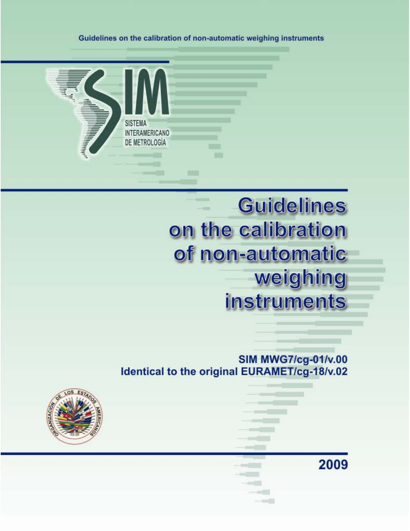Guidelines on the calibration of non-automatic weighing instruments



# **Guidelines** on the calibration of non-automatic weighing instruments

2009

**SIM MWG7/cg-01/v.00** Identical to the original EURAMET/cg-18/v.02

2009 0

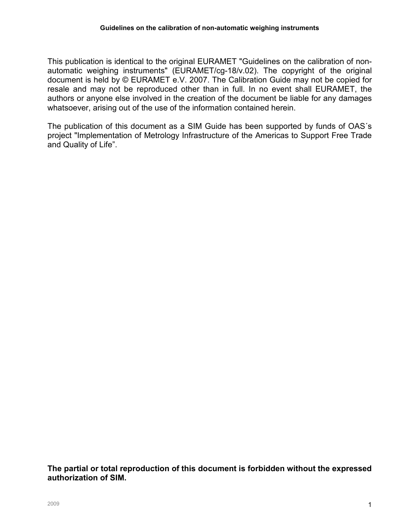This publication is identical to the original EURAMET "Guidelines on the calibration of nonautomatic weighing instruments" (EURAMET/cg-18/v.02). The copyright of the original document is held by © EURAMET e.V. 2007. The Calibration Guide may not be copied for resale and may not be reproduced other than in full. In no event shall EURAMET, the authors or anyone else involved in the creation of the document be liable for any damages whatsoever, arising out of the use of the information contained herein.

The publication of this document as a SIM Guide has been supported by funds of OAS´s project "Implementation of Metrology Infrastructure of the Americas to Support Free Trade and Quality of Life".

The partial or total reproduction of this document is forbidden without the expressed authorization of SIM.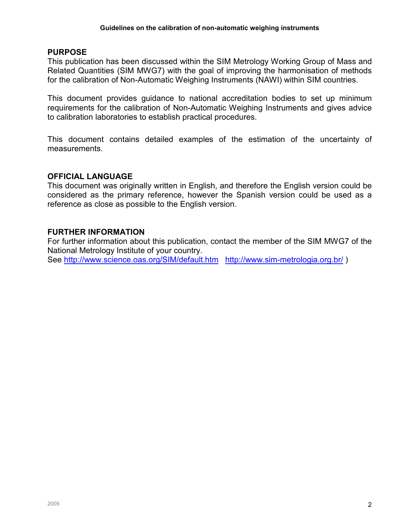#### PURPOSE

This publication has been discussed within the SIM Metrology Working Group of Mass and Related Quantities (SIM MWG7) with the goal of improving the harmonisation of methods for the calibration of Non-Automatic Weighing Instruments (NAWI) within SIM countries.

This document provides guidance to national accreditation bodies to set up minimum requirements for the calibration of Non-Automatic Weighing Instruments and gives advice to calibration laboratories to establish practical procedures.

This document contains detailed examples of the estimation of the uncertainty of measurements.

#### OFFICIAL LANGUAGE

This document was originally written in English, and therefore the English version could be considered as the primary reference, however the Spanish version could be used as a reference as close as possible to the English version.

#### FURTHER INFORMATION

For further information about this publication, contact the member of the SIM MWG7 of the National Metrology Institute of your country.

See http://www.science.oas.org/SIM/default.htm http://www.sim-metrologia.org.br/)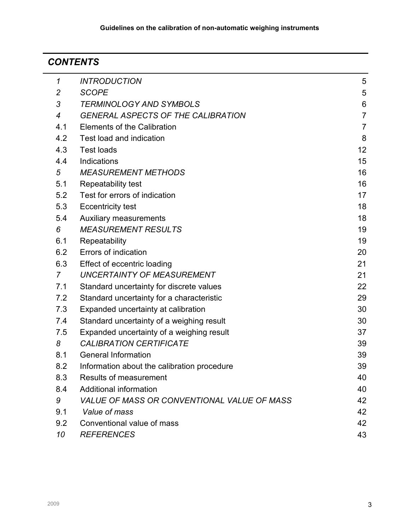#### 1 **CONTENTS**

| $\boldsymbol{\mathcal{L}}$ | <b>INTRODUCTION</b>                         | 5              |
|----------------------------|---------------------------------------------|----------------|
| $\overline{c}$             | <b>SCOPE</b>                                | 5              |
| 3                          | <b>TERMINOLOGY AND SYMBOLS</b>              | 6              |
| 4                          | <b>GENERAL ASPECTS OF THE CALIBRATION</b>   | $\overline{7}$ |
| 4.1                        | <b>Elements of the Calibration</b>          | $\overline{7}$ |
| 4.2                        | Test load and indication                    | 8              |
| 4.3                        | <b>Test loads</b>                           | 12             |
| 4.4                        | Indications                                 | 15             |
| 5                          | <b>MEASUREMENT METHODS</b>                  | 16             |
| 5.1                        | Repeatability test                          | 16             |
| 5.2                        | Test for errors of indication               | 17             |
| 5.3                        | <b>Eccentricity test</b>                    | 18             |
| 5.4                        | <b>Auxiliary measurements</b>               | 18             |
| 6                          | <b>MEASUREMENT RESULTS</b>                  | 19             |
| 6.1                        | Repeatability                               | 19             |
| 6.2                        | <b>Errors of indication</b>                 | 20             |
| 6.3                        | Effect of eccentric loading                 | 21             |
| $\overline{7}$             | <b>UNCERTAINTY OF MEASUREMENT</b>           | 21             |
| 7.1                        | Standard uncertainty for discrete values    | 22             |
| 7.2                        | Standard uncertainty for a characteristic   | 29             |
| 7.3                        | Expanded uncertainty at calibration         | 30             |
| 7.4                        | Standard uncertainty of a weighing result   | 30             |
| 7.5                        | Expanded uncertainty of a weighing result   | 37             |
| 8                          | <b>CALIBRATION CERTIFICATE</b>              | 39             |
| 8.1                        | <b>General Information</b>                  | 39             |
| 8.2                        | Information about the calibration procedure | 39             |
| 8.3                        | <b>Results of measurement</b>               | 40             |
| 8.4                        | Additional information                      | 40             |
| 9                          | VALUE OF MASS OR CONVENTIONAL VALUE OF MASS | 42             |
| 9.1                        | Value of mass                               | 42             |
| 9.2                        | Conventional value of mass                  | 42             |
| 10                         | <b>REFERENCES</b>                           | 43             |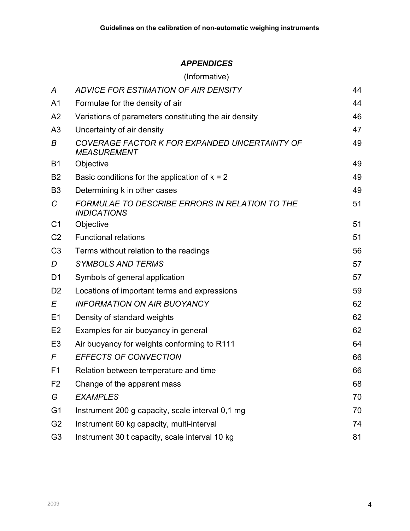# APPENDICES

|                | (Informative)                                                        |    |
|----------------|----------------------------------------------------------------------|----|
| A              | ADVICE FOR ESTIMATION OF AIR DENSITY                                 | 44 |
| A <sub>1</sub> | Formulae for the density of air                                      | 44 |
| A2             | Variations of parameters constituting the air density                | 46 |
| A <sub>3</sub> | Uncertainty of air density                                           | 47 |
| B              | COVERAGE FACTOR K FOR EXPANDED UNCERTAINTY OF<br><b>MEASUREMENT</b>  | 49 |
| B <sub>1</sub> | Objective                                                            | 49 |
| B <sub>2</sub> | Basic conditions for the application of $k = 2$                      | 49 |
| B <sub>3</sub> | Determining k in other cases                                         | 49 |
| C              | FORMULAE TO DESCRIBE ERRORS IN RELATION TO THE<br><b>INDICATIONS</b> | 51 |
| C <sub>1</sub> | Objective                                                            | 51 |
| C <sub>2</sub> | <b>Functional relations</b>                                          | 51 |
| C <sub>3</sub> | Terms without relation to the readings                               | 56 |
| D              | <b>SYMBOLS AND TERMS</b>                                             | 57 |
| D <sub>1</sub> | Symbols of general application                                       | 57 |
| D <sub>2</sub> | Locations of important terms and expressions                         | 59 |
| E              | <b>INFORMATION ON AIR BUOYANCY</b>                                   | 62 |
| E1             | Density of standard weights                                          | 62 |
| E <sub>2</sub> | Examples for air buoyancy in general                                 | 62 |
| E <sub>3</sub> | Air buoyancy for weights conforming to R111                          | 64 |
| F              | <b>EFFECTS OF CONVECTION</b>                                         | 66 |
| F <sub>1</sub> | Relation between temperature and time                                | 66 |
| F <sub>2</sub> | Change of the apparent mass                                          | 68 |
| G              | <b>EXAMPLES</b>                                                      | 70 |
| G <sub>1</sub> | Instrument 200 g capacity, scale interval 0,1 mg                     | 70 |
| G <sub>2</sub> | Instrument 60 kg capacity, multi-interval                            | 74 |
| G <sub>3</sub> | Instrument 30 t capacity, scale interval 10 kg                       | 81 |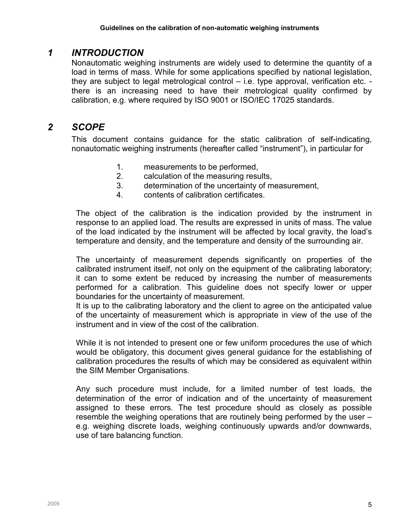# 1 INTRODUCTION

Nonautomatic weighing instruments are widely used to determine the quantity of a load in terms of mass. While for some applications specified by national legislation, they are subject to legal metrological control – i.e. type approval, verification etc. there is an increasing need to have their metrological quality confirmed by calibration, e.g. where required by ISO 9001 or ISO/IEC 17025 standards.

# 2 SCOPE

This document contains guidance for the static calibration of self-indicating, nonautomatic weighing instruments (hereafter called "instrument"), in particular for

- 1. measurements to be performed,
- 2. calculation of the measuring results,
- 3. determination of the uncertainty of measurement,
- 4. contents of calibration certificates.

The object of the calibration is the indication provided by the instrument in response to an applied load. The results are expressed in units of mass. The value of the load indicated by the instrument will be affected by local gravity, the load's temperature and density, and the temperature and density of the surrounding air.

The uncertainty of measurement depends significantly on properties of the calibrated instrument itself, not only on the equipment of the calibrating laboratory; it can to some extent be reduced by increasing the number of measurements performed for a calibration. This guideline does not specify lower or upper boundaries for the uncertainty of measurement.

It is up to the calibrating laboratory and the client to agree on the anticipated value of the uncertainty of measurement which is appropriate in view of the use of the instrument and in view of the cost of the calibration.

While it is not intended to present one or few uniform procedures the use of which would be obligatory, this document gives general guidance for the establishing of calibration procedures the results of which may be considered as equivalent within the SIM Member Organisations.

Any such procedure must include, for a limited number of test loads, the determination of the error of indication and of the uncertainty of measurement assigned to these errors. The test procedure should as closely as possible resemble the weighing operations that are routinely being performed by the user – e.g. weighing discrete loads, weighing continuously upwards and/or downwards, use of tare balancing function.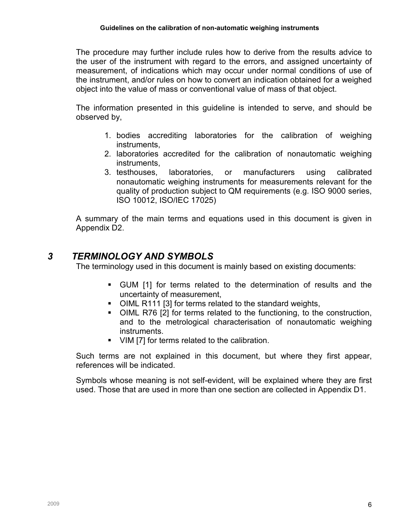The procedure may further include rules how to derive from the results advice to the user of the instrument with regard to the errors, and assigned uncertainty of measurement, of indications which may occur under normal conditions of use of the instrument, and/or rules on how to convert an indication obtained for a weighed object into the value of mass or conventional value of mass of that object.

The information presented in this guideline is intended to serve, and should be observed by,

- 1. bodies accrediting laboratories for the calibration of weighing instruments,
- 2. laboratories accredited for the calibration of nonautomatic weighing instruments,
- 3. testhouses, laboratories, or manufacturers using calibrated nonautomatic weighing instruments for measurements relevant for the quality of production subject to QM requirements (e.g. ISO 9000 series, ISO 10012, ISO/IEC 17025)

A summary of the main terms and equations used in this document is given in Appendix D2.

# 3 TERMINOLOGY AND SYMBOLS

The terminology used in this document is mainly based on existing documents:

- GUM [1] for terms related to the determination of results and the uncertainty of measurement,
- OIML R111 [3] for terms related to the standard weights,
- OIML R76 [2] for terms related to the functioning, to the construction, and to the metrological characterisation of nonautomatic weighing instruments.
- VIM [7] for terms related to the calibration.

Such terms are not explained in this document, but where they first appear, references will be indicated.

Symbols whose meaning is not self-evident, will be explained where they are first used. Those that are used in more than one section are collected in Appendix D1.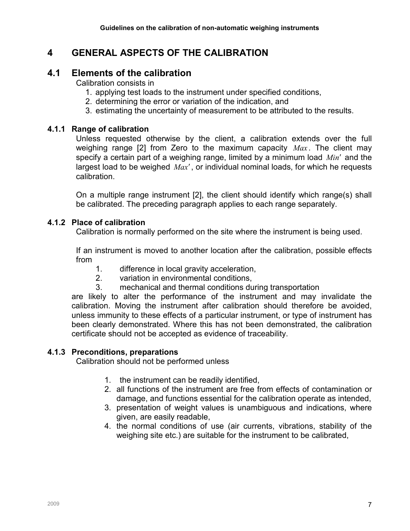# 4 GENERAL ASPECTS OF THE CALIBRATION

# 4.1 Elements of the calibration

Calibration consists in

- 1. applying test loads to the instrument under specified conditions,
- 2. determining the error or variation of the indication, and
- 3. estimating the uncertainty of measurement to be attributed to the results.

## 4.1.1 Range of calibration

Unless requested otherwise by the client, a calibration extends over the full weighing range [2] from Zero to the maximum capacity  $Max$ . The client may specify a certain part of a weighing range, limited by a minimum load  $Min'$  and the largest load to be weighed  $Max'$ , or individual nominal loads, for which he requests calibration.

On a multiple range instrument [2], the client should identify which range(s) shall be calibrated. The preceding paragraph applies to each range separately.

# 4.1.2 Place of calibration

Calibration is normally performed on the site where the instrument is being used.

If an instrument is moved to another location after the calibration, possible effects from

- 1. difference in local gravity acceleration,
- 2. variation in environmental conditions,
- 3. mechanical and thermal conditions during transportation

are likely to alter the performance of the instrument and may invalidate the calibration. Moving the instrument after calibration should therefore be avoided, unless immunity to these effects of a particular instrument, or type of instrument has been clearly demonstrated. Where this has not been demonstrated, the calibration certificate should not be accepted as evidence of traceability.

# 4.1.3 Preconditions, preparations

Calibration should not be performed unless

- 1. the instrument can be readily identified,
- 2. all functions of the instrument are free from effects of contamination or damage, and functions essential for the calibration operate as intended,
- 3. presentation of weight values is unambiguous and indications, where given, are easily readable,
- 4. the normal conditions of use (air currents, vibrations, stability of the weighing site etc.) are suitable for the instrument to be calibrated,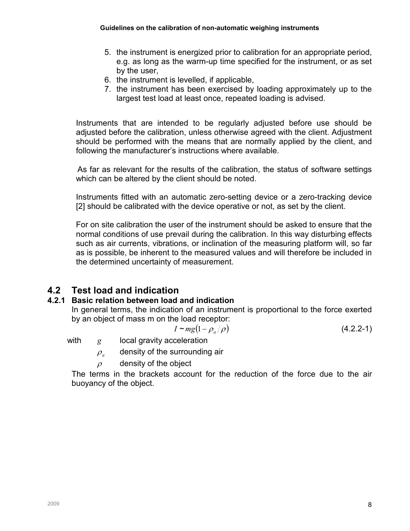- 5. the instrument is energized prior to calibration for an appropriate period, e.g. as long as the warm-up time specified for the instrument, or as set by the user,
- 6. the instrument is levelled, if applicable,
- 7. the instrument has been exercised by loading approximately up to the largest test load at least once, repeated loading is advised.

Instruments that are intended to be regularly adjusted before use should be adjusted before the calibration, unless otherwise agreed with the client. Adjustment should be performed with the means that are normally applied by the client, and following the manufacturer's instructions where available.

As far as relevant for the results of the calibration, the status of software settings which can be altered by the client should be noted.

Instruments fitted with an automatic zero-setting device or a zero-tracking device [2] should be calibrated with the device operative or not, as set by the client.

For on site calibration the user of the instrument should be asked to ensure that the normal conditions of use prevail during the calibration. In this way disturbing effects such as air currents, vibrations, or inclination of the measuring platform will, so far as is possible, be inherent to the measured values and will therefore be included in the determined uncertainty of measurement.

# 4.2 Test load and indication

## 4.2.1 Basic relation between load and indication

In general terms, the indication of an instrument is proportional to the force exerted by an object of mass m on the load receptor:

$$
I \sim mg(1 - \rho_a/\rho) \tag{4.2.2-1}
$$

with  $g$  local gravity acceleration

 $\rho_a$ density of the surrounding air

 $\rho$  density of the object

The terms in the brackets account for the reduction of the force due to the air buoyancy of the object.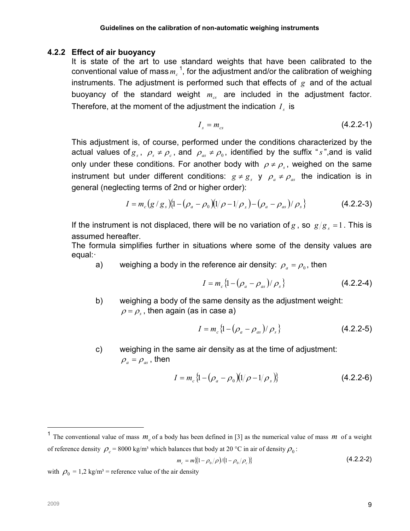#### 4.2.2 Effect of air buoyancy

It is state of the art to use standard weights that have been calibrated to the conventional value of mass $\,m_{c}^{\,\,2},\,$  for the adjustment and/or the calibration of weighing instruments. The adjustment is performed such that effects of  $g$  and of the actual buoyancy of the standard weight  $m_{cs}$  are included in the adjustment factor. Therefore, at the moment of the adjustment the indication  $I_s$  is

$$
I_s = m_{cs} \tag{4.2.2-1}
$$

This adjustment is, of course, performed under the conditions characterized by the actual values of  $g_s$ ,  $\rho_s \neq \rho_c$ , and  $\rho_{as} \neq \rho_0$ , identified by the suffix "s", and is valid only under these conditions. For another body with  $\rho \neq \rho_s$ , weighed on the same instrument but under different conditions:  $g \neq g_s$  y  $\rho_a \neq \rho_{as}$  the indication is in general (neglecting terms of 2nd or higher order):

$$
I = m_c (g/g_s) \{1 - (\rho_a - \rho_0) (1/\rho - 1/\rho_s) - (\rho_a - \rho_{as}) / \rho_s \}
$$
(4.2.2-3)

If the instrument is not displaced, there will be no variation of g, so  $g/g_s = 1$ . This is assumed hereafter.

The formula simplifies further in situations where some of the density values are equal:·

a) weighing a body in the reference air density:  $\rho_{a} = \rho_{0}$ , then

$$
I = m_c \{1 - (\rho_a - \rho_{as}) / \rho_s\}
$$
 (4.2.2-4)

b) weighing a body of the same density as the adjustment weight:  $\rho=\rho_{_{\mathrm{s}}}$  , then again (as in case a)

$$
I = m_c \{1 - (\rho_a - \rho_{as})/\rho_s\}
$$
 (4.2.2-5)

c) weighing in the same air density as at the time of adjustment:  $\rho_a = \rho_{as}$ , then

$$
I = m_c \{1 - (\rho_a - \rho_0)(1/\rho - 1/\rho_s)\}
$$
 (4.2.2-6)

$$
m_c = m\{(1 - \rho_0/\rho)/(1 - \rho_0/\rho_c)\}
$$
\n(4.2.2-2)

with  $\rho_0 = 1.2 \text{ kg/m}^3$  = reference value of the air density

 $\overline{a}$ 

<sup>&</sup>lt;sup>1</sup> The conventional value of mass  $m_c$  of a body has been defined in [3] as the numerical value of mass m of a weight of reference density  $\rho_c$  = 8000 kg/m<sup>3</sup> which balances that body at 20 °C in air of density  $\rho_0$ :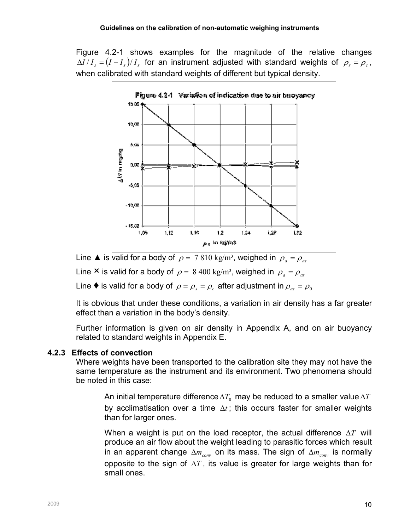Figure 4.2-1 shows examples for the magnitude of the relative changes  $\Delta I/I_s=(I-I_s)/I_s$  for an instrument adjusted with standard weights of  $\rho_s=\rho_c$ , when calibrated with standard weights of different but typical density.



Line  $\triangle$  is valid for a body of  $\rho = 7810 \text{ kg/m}^3$ , weighed in  $\rho_a = \rho_a$ 

Line **×** is valid for a body of  $\rho = 8\,400 \text{ kg/m}^3$ , weighed in  $\rho_a = \rho_{as}$ 

Line  $\blacklozenge$  is valid for a body of  $\rho = \rho_{s} = \rho_{c}$  after adjustment in  $\rho_{as} = \rho_{0}$ 

It is obvious that under these conditions, a variation in air density has a far greater effect than a variation in the body's density.

Further information is given on air density in Appendix A, and on air buoyancy related to standard weights in Appendix E.

## 4.2.3 Effects of convection

Where weights have been transported to the calibration site they may not have the same temperature as the instrument and its environment. Two phenomena should be noted in this case:

An initial temperature difference $\Delta T_{0}$  may be reduced to a smaller value $\Delta T$ by acclimatisation over a time  $\Delta t$ ; this occurs faster for smaller weights than for larger ones.

When a weight is put on the load receptor, the actual difference  $\Delta T$  will produce an air flow about the weight leading to parasitic forces which result in an apparent change  $\Delta m_{conv}$  on its mass. The sign of  $\Delta m_{conv}$  is normally opposite to the sign of  $\Delta T$ , its value is greater for large weights than for small ones.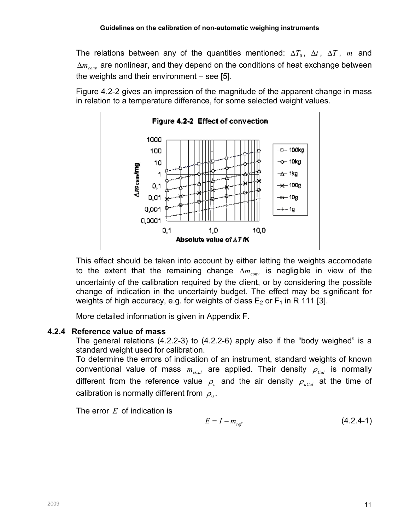The relations between any of the quantities mentioned:  $\Delta T_0$ ,  $\Delta t$ ,  $\Delta T$ , m and  $\Delta m_{conv}$  are nonlinear, and they depend on the conditions of heat exchange between the weights and their environment – see [5].

Figure 4.2-2 gives an impression of the magnitude of the apparent change in mass in relation to a temperature difference, for some selected weight values.



This effect should be taken into account by either letting the weights accomodate to the extent that the remaining change  $\Delta m_{conv}$  is negligible in view of the uncertainty of the calibration required by the client, or by considering the possible change of indication in the uncertainty budget. The effect may be significant for weights of high accuracy, e.g. for weights of class  $E_2$  or  $F_1$  in R 111 [3].

More detailed information is given in Appendix F.

# 4.2.4 Reference value of mass

The general relations (4.2.2-3) to (4.2.2-6) apply also if the "body weighed" is a standard weight used for calibration.

To determine the errors of indication of an instrument, standard weights of known conventional value of mass  $m_{cCal}$  are applied. Their density  $\rho_{Cal}$  is normally different from the reference value  $\rho_c$  and the air density  $\rho_{\textit{acal}}$  at the time of calibration is normally different from  $\rho_{\scriptscriptstyle 0}$  .

The error  $E$  of indication is

$$
E = I - m_{ref} \tag{4.2.4-1}
$$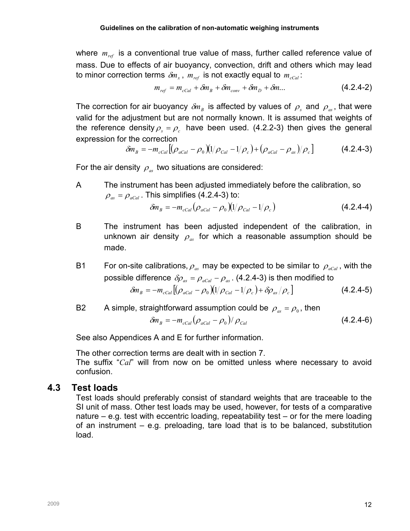where  $m_{ref}$  is a conventional true value of mass, further called reference value of mass. Due to effects of air buoyancy, convection, drift and others which may lead to minor correction terms  $\delta \! m_{_x}$ ,  $\, m_{_{ref}}\,$  is not exactly equal to  $\, m_{_{cCal}}\,$ :

$$
m_{ref} = m_{cCal} + \delta m_B + \delta m_{conv} + \delta m_D + \delta m \dots \qquad (4.2.4-2)
$$

The correction for air buoyancy  $\delta\!m_{_B}$  is affected by values of  $\,\rho_{_s}$  and  $\,\rho_{_{as}}$ , that were valid for the adjustment but are not normally known. It is assumed that weights of the reference density  $\rho_s = \rho_c$  have been used. (4.2.2-3) then gives the general expression for the correction

$$
\delta m_B = -m_{cCal} \left[ (\rho_{acal} - \rho_0) (1/\rho_{Cal} - 1/\rho_c) + (\rho_{acal} - \rho_{as})/\rho_c \right]
$$
(4.2.4-3)

For the air density  $\rho_{\alpha}$  two situations are considered:

A The instrument has been adjusted immediately before the calibration, so  $\rho_{\alpha s} = \rho_{\alpha Cal}$ . This simplifies (4.2.4-3) to:

$$
\delta m_B = -m_{cCal} (\rho_{aCal} - \rho_0)(1/\rho_{Cal} - 1/\rho_c)
$$
 (4.2.4-4)

B The instrument has been adjusted independent of the calibration, in unknown air density  $\rho_{\alpha s}$  for which a reasonable assumption should be made.

B1 For on-site calibrations,  $\rho_{as}$  may be expected to be similar to  $\rho_{aCal}$ , with the possible difference  $\delta \rho_{as} = \rho_{acal} - \rho_{as}$ . (4.2.4-3) is then modified to  $\delta m_{_B} = - m_{_cCal} [(\rho_{_aCal} - \rho_{_0}) (1/\rho_{Cal} - 1/\rho_{_c}) + \delta \rho_{_{as}} / \rho_{_c}]$ (4.2.4-5)

B2 A simple, straightforward assumption could be  $\rho_{as} = \rho_{0}$ , then

$$
\delta m_B = -m_{cCal} (\rho_{aCal} - \rho_0) / \rho_{Cal}
$$
 (4.2.4-6)

See also Appendices A and E for further information.

The other correction terms are dealt with in section 7.

The suffix "Cal" will from now on be omitted unless where necessary to avoid confusion.

## 4.3 Test loads

Test loads should preferably consist of standard weights that are traceable to the SI unit of mass. Other test loads may be used, however, for tests of a comparative nature – e.g. test with eccentric loading, repeatability test – or for the mere loading of an instrument – e.g. preloading, tare load that is to be balanced, substitution load.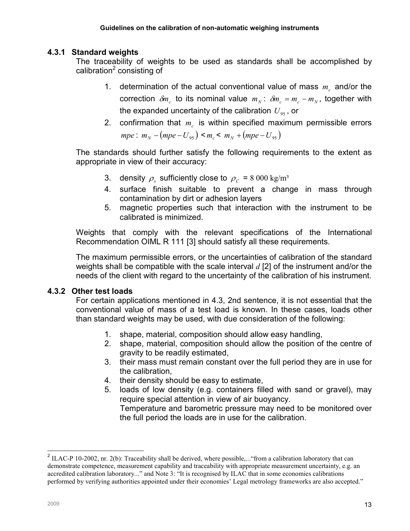#### 4.3.1 Standard weights

The traceability of weights to be used as standards shall be accomplished by calibration<sup>2</sup> consisting of

- 1. determination of the actual conventional value of mass  $m<sub>c</sub>$  and/or the correction  $\delta m_c$  to its nominal value  $m_N$ :  $\delta m_c = m_c - m_N$ , together with the expanded uncertainty of the calibration  $U_{95}$ , or
- 2. confirmation that  $m_c$  is within specified maximum permissible errors  $mpe$ :  $m_N - (mpe - U_{95}) < m_c < m_N + (mpe - U_{95})$

The standards should further satisfy the following requirements to the extent as appropriate in view of their accuracy:

- 3. density  $\rho_s$  sufficiently close to  $\rho_c$  = 8 000 kg/m<sup>3</sup>
- 4. surface finish suitable to prevent a change in mass through contamination by dirt or adhesion layers
- 5. magnetic properties such that interaction with the instrument to be calibrated is minimized.

Weights that comply with the relevant specifications of the International Recommendation OIML R 111 [3] should satisfy all these requirements.

The maximum permissible errors, or the uncertainties of calibration of the standard weights shall be compatible with the scale interval  $d$  [2] of the instrument and/or the needs of the client with regard to the uncertainty of the calibration of his instrument.

#### 4.3.2 Other test loads

For certain applications mentioned in 4.3, 2nd sentence, it is not essential that the conventional value of mass of a test load is known. In these cases, loads other than standard weights may be used, with due consideration of the following:

- 1. shape, material, composition should allow easy handling,
- 2. shape, material, composition should allow the position of the centre of gravity to be readily estimated,
- 3. their mass must remain constant over the full period they are in use for the calibration,
- 4. their density should be easy to estimate,
- 5. loads of low density (e.g. containers filled with sand or gravel), may require special attention in view of air buoyancy.

Temperature and barometric pressure may need to be monitored over the full period the loads are in use for the calibration.

<sup>&</sup>lt;sup>2</sup> ILAC-P 10-2002, nr. 2(b): Traceability shall be derived, where possible,... "from a calibration laboratory that can demonstrate competence, measurement capability and traceability with appropriate measurement uncertainty, e.g. an accredited calibration laboratory..." and Note 3: "It is recognised by ILAC that in some economies calibrations performed by verifying authorities appointed under their economies' Legal metrology frameworks are also accepted."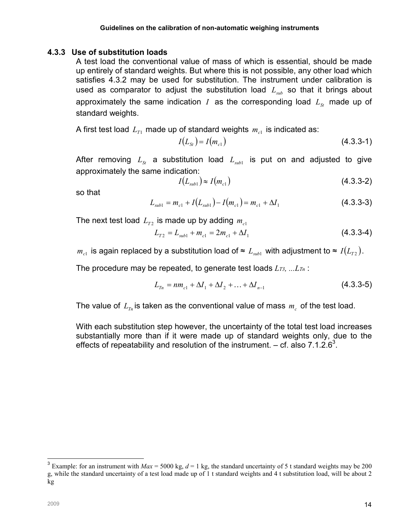#### 4.3.3 Use of substitution loads

A test load the conventional value of mass of which is essential, should be made up entirely of standard weights. But where this is not possible, any other load which satisfies 4.3.2 may be used for substitution. The instrument under calibration is used as comparator to adjust the substitution load  $L<sub>sub</sub>$  so that it brings about approximately the same indication I as the corresponding load  $L_{S}$  made up of standard weights.

A first test load  $\, L_{T1} \,$  made up of standard weights  $\, m_{_{c1}} \,$  is indicated as:

$$
I(L_{St}) = I(m_{c1})
$$
\n(4.3.3-1)

After removing  $L_{\text{sr}}$  a substitution load  $L_{\text{sub1}}$  is put on and adjusted to give approximately the same indication:

$$
I(L_{sub1}) \approx I(m_{c1}) \tag{4.3.3-2}
$$

so that

$$
L_{sub1} = m_{c1} + I(L_{sub1}) - I(m_{c1}) = m_{c1} + \Delta I_1
$$
\n(4.3.3-3)

The next test load  $\, L_{_{T2}}$  is made up by adding  $\, m_{_{c1}}$ 

$$
L_{T2} = L_{sub1} + m_{c1} = 2m_{c1} + \Delta I_1
$$
\n(4.3.3-4)

 $m_{c1}$  is again replaced by a substitution load of  $\thickapprox L_{sub1}$  with adjustment to  $\thickapprox I(L_{T2})$  .

The procedure may be repeated, to generate test loads  $L_{T3}$ , ... $L_{Tn}$ :

$$
L_{T_n} = nm_{c1} + \Delta I_1 + \Delta I_2 + \dots + \Delta I_{n-1}
$$
\n(4.3.3-5)

The value of  $L_{T_n}$  is taken as the conventional value of mass  $m_c$  of the test load.

With each substitution step however, the uncertainty of the total test load increases substantially more than if it were made up of standard weights only, due to the effects of repeatability and resolution of the instrument.  $-$  cf. also 7.1.2.6<sup>3</sup>.

 $\overline{a}$ 

<sup>&</sup>lt;sup>3</sup> Example: for an instrument with  $Max = 5000$  kg,  $d = 1$  kg, the standard uncertainty of 5 t standard weights may be 200 g, while the standard uncertainty of a test load made up of 1 t standard weights and 4 t substitution load, will be about 2 kg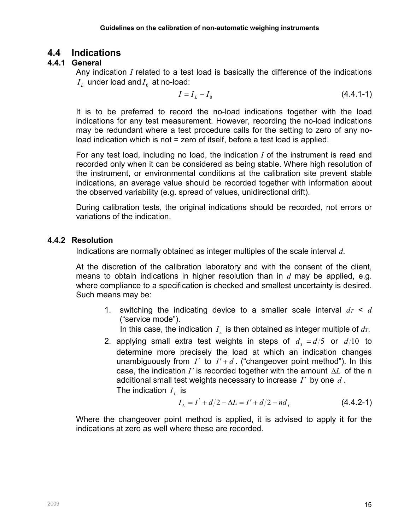# 4.4 Indications

# 4.4.1 General

Any indication  $I$  related to a test load is basically the difference of the indications  $I_{L}$  under load and  $I_{0}$  at no-load:

$$
I = I_L - I_0 \tag{4.4.1-1}
$$

It is to be preferred to record the no-load indications together with the load indications for any test measurement. However, recording the no-load indications may be redundant where a test procedure calls for the setting to zero of any noload indication which is not = zero of itself, before a test load is applied.

For any test load, including no load, the indication I of the instrument is read and recorded only when it can be considered as being stable. Where high resolution of the instrument, or environmental conditions at the calibration site prevent stable indications, an average value should be recorded together with information about the observed variability (e.g. spread of values, unidirectional drift).

During calibration tests, the original indications should be recorded, not errors or variations of the indication.

## 4.4.2 Resolution

Indications are normally obtained as integer multiples of the scale interval d.

At the discretion of the calibration laboratory and with the consent of the client, means to obtain indications in higher resolution than in  $d$  may be applied, e.g. where compliance to a specification is checked and smallest uncertainty is desired. Such means may be:

1. switching the indicating device to a smaller scale interval  $dr < d$ ("service mode").

In this case, the indication  $I_x$  is then obtained as integer multiple of  $dr$ .

2. applying small extra test weights in steps of  $d<sub>T</sub> = d/5$  or  $d/10$  to determine more precisely the load at which an indication changes unambiguously from I' to  $I' + d$ . ("changeover point method"). In this case, the indication I' is recorded together with the amount  $\Delta L$  of the n additional small test weights necessary to increase  $I'$  by one  $d$ . The indication  $I_{L}$  is

$$
I_L = I' + d/2 - \Delta L = I' + d/2 - nd_T
$$
 (4.4.2-1)

Where the changeover point method is applied, it is advised to apply it for the indications at zero as well where these are recorded.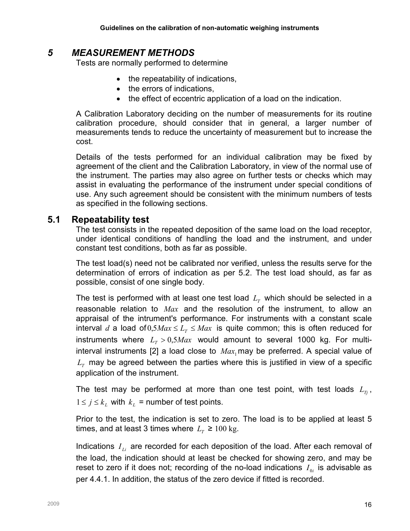# 5 MEASUREMENT METHODS

Tests are normally performed to determine

- the repeatability of indications,
- the errors of indications,
- the effect of eccentric application of a load on the indication.

A Calibration Laboratory deciding on the number of measurements for its routine calibration procedure, should consider that in general, a larger number of measurements tends to reduce the uncertainty of measurement but to increase the cost.

Details of the tests performed for an individual calibration may be fixed by agreement of the client and the Calibration Laboratory, in view of the normal use of the instrument. The parties may also agree on further tests or checks which may assist in evaluating the performance of the instrument under special conditions of use. Any such agreement should be consistent with the minimum numbers of tests as specified in the following sections.

## 5.1 Repeatability test

The test consists in the repeated deposition of the same load on the load receptor, under identical conditions of handling the load and the instrument, and under constant test conditions, both as far as possible.

The test load(s) need not be calibrated nor verified, unless the results serve for the determination of errors of indication as per 5.2. The test load should, as far as possible, consist of one single body.

The test is performed with at least one test load  $L_{\scriptscriptstyle T}$  which should be selected in a reasonable relation to  $Max$  and the resolution of the instrument, to allow an appraisal of the intrument's performance. For instruments with a constant scale interval d a load of  $0.5$ Max  $\le L<sub>T</sub> \le Max$  is quite common; this is often reduced for instruments where  $L<sub>T</sub> > 0.5$ Max would amount to several 1000 kg. For multiinterval instruments [2] a load close to  $Max_1$  may be preferred. A special value of  $L_{\scriptscriptstyle T}$  may be agreed between the parties where this is justified in view of a specific application of the instrument.

The test may be performed at more than one test point, with test loads  $L_{\tau_i}$ ,  $1 \le j \le k_L$  with  $k_L$  = number of test points.

Prior to the test, the indication is set to zero. The load is to be applied at least 5 times, and at least 3 times where  $L_{\text{r}} \geq 100 \text{ kg}$ .

Indications  $I_{ij}$  are recorded for each deposition of the load. After each removal of the load, the indication should at least be checked for showing zero, and may be reset to zero if it does not; recording of the no-load indications  $I_{0i}$  is advisable as per 4.4.1. In addition, the status of the zero device if fitted is recorded.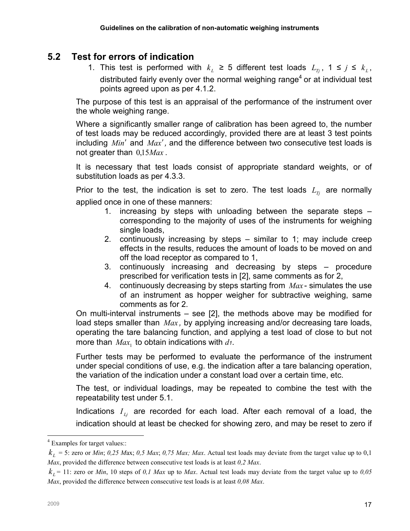# 5.2 Test for errors of indication

1. This test is performed with  $k_L \geq 5$  different test loads  $L_{Tj}$ ,  $1 \leq j \leq k_L$ , distributed fairly evenly over the normal weighing range<sup>4</sup> or at individual test points agreed upon as per 4.1.2.

The purpose of this test is an appraisal of the performance of the instrument over the whole weighing range.

Where a significantly smaller range of calibration has been agreed to, the number of test loads may be reduced accordingly, provided there are at least 3 test points including  $Min'$  and  $Max'$ , and the difference between two consecutive test loads is not greater than  $0.15$ *Max*.

It is necessary that test loads consist of appropriate standard weights, or of substitution loads as per 4.3.3.

Prior to the test, the indication is set to zero. The test loads  $L_T$  are normally applied once in one of these manners:

- 1. increasing by steps with unloading between the separate steps corresponding to the majority of uses of the instruments for weighing single loads,
- 2. continuously increasing by steps similar to 1; may include creep effects in the results, reduces the amount of loads to be moved on and off the load receptor as compared to 1,
- 3. continuously increasing and decreasing by steps procedure prescribed for verification tests in [2], same comments as for 2,
- 4. continuously decreasing by steps starting from  $Max$ -simulates the use of an instrument as hopper weigher for subtractive weighing, same comments as for 2.

On multi-interval instruments – see [2], the methods above may be modified for load steps smaller than  $Max$ , by applying increasing and/or decreasing tare loads, operating the tare balancing function, and applying a test load of close to but not more than  $Max_1$  to obtain indications with  $d_1$ .

Further tests may be performed to evaluate the performance of the instrument under special conditions of use, e.g. the indication after a tare balancing operation, the variation of the indication under a constant load over a certain time, etc.

The test, or individual loadings, may be repeated to combine the test with the repeatability test under 5.1.

Indications  $I_{Lj}$  are recorded for each load. After each removal of a load, the indication should at least be checked for showing zero, and may be reset to zero if

 4 Examples for target values::

 $k_L$  = 5: zero or *Min*; 0,25 Max; 0,5 Max; 0,75 Max; Max. Actual test loads may deviate from the target value up to 0,1 Max, provided the difference between consecutive test loads is at least  $0.2$  Max.

 $k_L$  = 11: zero or *Min*, 10 steps of 0,1 Max up to Max. Actual test loads may deviate from the target value up to 0,05 Max, provided the difference between consecutive test loads is at least  $0.08$  Max.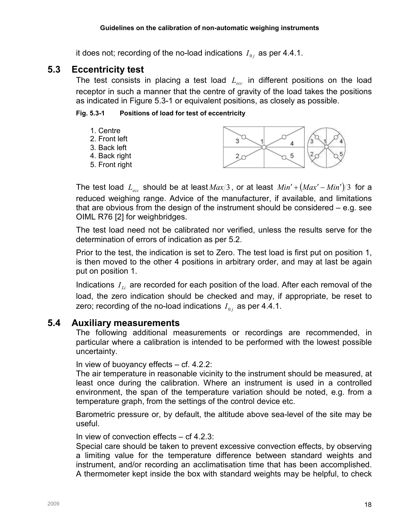it does not; recording of the no-load indications  $I_{0j}$  as per 4.4.1.

# 5.3 Eccentricity test

The test consists in placing a test load  $L_{\text{rec}}$  in different positions on the load receptor in such a manner that the centre of gravity of the load takes the positions as indicated in Figure 5.3-1 or equivalent positions, as closely as possible.

#### Fig. 5.3-1 Positions of load for test of eccentricity



The test load  $L_{ecc}$  should be at least  $Max/3$ , or at least  $Min' + (Max' - Min')/3$  for a reduced weighing range. Advice of the manufacturer, if available, and limitations that are obvious from the design of the instrument should be considered – e.g. see OIML R76 [2] for weighbridges.

The test load need not be calibrated nor verified, unless the results serve for the determination of errors of indication as per 5.2.

Prior to the test, the indication is set to Zero. The test load is first put on position 1, is then moved to the other 4 positions in arbitrary order, and may at last be again put on position 1.

Indications  $I_{Li}$  are recorded for each position of the load. After each removal of the load, the zero indication should be checked and may, if appropriate, be reset to zero; recording of the no-load indications  $I_{0j}$  as per 4.4.1.

## 5.4 Auxiliary measurements

The following additional measurements or recordings are recommended, in particular where a calibration is intended to be performed with the lowest possible uncertainty.

In view of buoyancy effects – cf. 4.2.2:

The air temperature in reasonable vicinity to the instrument should be measured, at least once during the calibration. Where an instrument is used in a controlled environment, the span of the temperature variation should be noted, e.g. from a temperature graph, from the settings of the control device etc.

Barometric pressure or, by default, the altitude above sea-level of the site may be useful.

In view of convection effects – cf 4.2.3:

Special care should be taken to prevent excessive convection effects, by observing a limiting value for the temperature difference between standard weights and instrument, and/or recording an acclimatisation time that has been accomplished. A thermometer kept inside the box with standard weights may be helpful, to check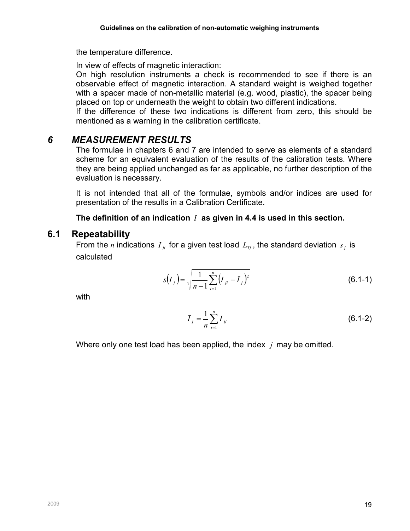the temperature difference.

In view of effects of magnetic interaction:

On high resolution instruments a check is recommended to see if there is an observable effect of magnetic interaction. A standard weight is weighed together with a spacer made of non-metallic material (e.g. wood, plastic), the spacer being placed on top or underneath the weight to obtain two different indications.

If the difference of these two indications is different from zero, this should be mentioned as a warning in the calibration certificate.

# 6 MEASUREMENT RESULTS

The formulae in chapters 6 and 7 are intended to serve as elements of a standard scheme for an equivalent evaluation of the results of the calibration tests. Where they are being applied unchanged as far as applicable, no further description of the evaluation is necessary.

It is not intended that all of the formulae, symbols and/or indices are used for presentation of the results in a Calibration Certificate.

# The definition of an indication  $I$  as given in 4.4 is used in this section.

# 6.1 Repeatability

From the *n* indications  $I_{ji}$  for a given test load  $L_{Tj}$ , the standard deviation  $s_j$  is calculated

$$
s(I_j) = \sqrt{\frac{1}{n-1} \sum_{i=1}^{n} (I_{ji} - \bar{I}_j)^2}
$$
 (6.1-1)

with

$$
\bar{I}_j = \frac{1}{n} \sum_{i=1}^n I_{ji}
$$
 (6.1-2)

Where only one test load has been applied, the index  $\gamma$  may be omitted.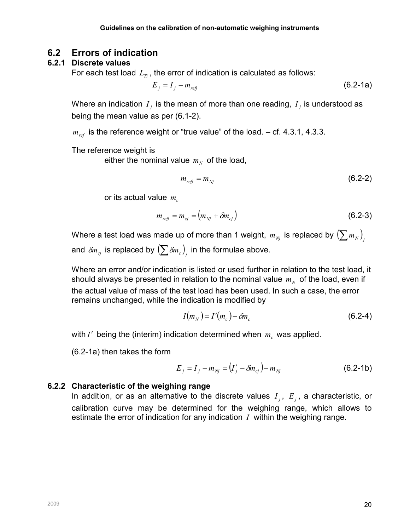# 6.2 Errors of indication

# 6.2.1 Discrete values

For each test load  $L_n$ , the error of indication is calculated as follows:

$$
E_j = I_j - m_{\text{refj}} \tag{6.2-1a}
$$

Where an indication  $\,I_{_f}$  is the mean of more than one reading,  $\,I_{_f}$  is understood as being the mean value as per (6.1-2).

 $m_{ref}$  is the reference weight or "true value" of the load. – cf. 4.3.1, 4.3.3.

The reference weight is

either the nominal value  $\,m_{_N}\,$  of the load,

$$
m_{refj} = m_{Nj} \tag{6.2-2}
$$

or its actual value  $m_c$ 

$$
m_{refj} = m_{cj} = (m_{Nj} + \delta m_{cj})
$$
\n(6.2-3)

Where a test load was made up of more than 1 weight,  $m_{N}$  is replaced by  $(\sum m_N)$ and  $\delta\!m_{\scriptscriptstyle (\!\varsigma\!)}$  is replaced by  $\left(\sum\delta\!m_{\scriptscriptstyle c}\right)_j$  in the formulae above.

Where an error and/or indication is listed or used further in relation to the test load, it should always be presented in relation to the nominal value  $\,m_{_N}\,$  of the load, even if the actual value of mass of the test load has been used. In such a case, the error remains unchanged, while the indication is modified by

$$
I(m_N) = I'(m_c) - \delta m_c \tag{6.2-4}
$$

with I' being the (interim) indication determined when  $m_c$  was applied.

(6.2-1a) then takes the form

$$
E_j = I_j - m_{Nj} = (I'_j - \delta m_{cj}) - m_{Nj}
$$
 (6.2-1b)

## 6.2.2 Characteristic of the weighing range

In addition, or as an alternative to the discrete values  $I_j$ ,  $E_j$ , a characteristic, or calibration curve may be determined for the weighing range, which allows to estimate the error of indication for any indication  $I$  within the weighing range.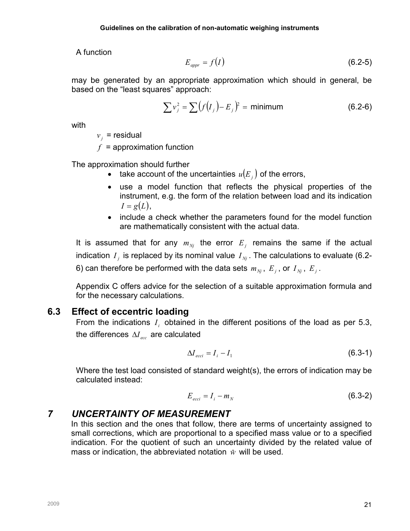A function

$$
E_{\text{appr}} = f(I) \tag{6.2-5}
$$

may be generated by an appropriate approximation which should in general, be based on the "least squares" approach:

$$
\sum v_j^2 = \sum (f(I_j) - E_j)^2 = \text{minimum} \tag{6.2-6}
$$

with

 $v_j$  = residual

 $f =$ approximation function

The approximation should further

- take account of the uncertainties  $u(E_j)$  of the errors,
- use a model function that reflects the physical properties of the instrument, e.g. the form of the relation between load and its indication  $I = g(L)$ ,
- include a check whether the parameters found for the model function are mathematically consistent with the actual data.

It is assumed that for any  $m_{Nj}$  the error  $E_j$  remains the same if the actual indication  $I_j$  is replaced by its nominal value  $I_{\scriptscriptstyle Nj}$  . The calculations to evaluate (6.2-6) can therefore be performed with the data sets  $m_{_{Nj}}$ ,  $E_j$ , or  $I_{_{Nj}}$ ,  $E_j$ .

Appendix C offers advice for the selection of a suitable approximation formula and for the necessary calculations.

# 6.3 Effect of eccentric loading

From the indications  $I_i$  obtained in the different positions of the load as per 5.3, the differences  $\Delta I_{\text{ecc}}$  are calculated

$$
\Delta I_{ecci} = I_i - I_1 \tag{6.3-1}
$$

Where the test load consisted of standard weight(s), the errors of indication may be calculated instead:

$$
E_{ecci} = I_i - m_N \tag{6.3-2}
$$

# 7 UNCERTAINTY OF MEASUREMENT

In this section and the ones that follow, there are terms of uncertainty assigned to small corrections, which are proportional to a specified mass value or to a specified indication. For the quotient of such an uncertainty divided by the related value of mass or indication, the abbreviated notation  $\hat{w}$  will be used.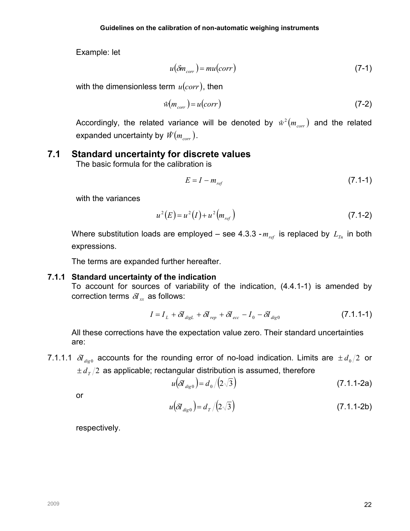Example: let

$$
u(\delta m_{corr}) = mu(corr)
$$
 (7-1)

with the dimensionless term  $u(corr)$ , then

$$
\hat{w}(m_{corr}) = u(corr) \tag{7-2}
$$

Accordingly, the related variance will be denoted by  $\hat{w}^2(m_{corr})$  and the related expanded uncertainty by  $\mathscr{W}(m_{\scriptscriptstyle corr})$  .

# 7.1 Standard uncertainty for discrete values

The basic formula for the calibration is

$$
E = I - m_{ref} \tag{7.1-1}
$$

with the variances

$$
u^{2}(E) = u^{2}(I) + u^{2}(m_{ref})
$$
\n(7.1-2)

Where substitution loads are employed – see 4.3.3 -  $m_{ref}$  is replaced by  $L_{T_n}$  in both expressions.

The terms are expanded further hereafter.

#### 7.1.1 Standard uncertainty of the indication

To account for sources of variability of the indication, (4.4.1-1) is amended by correction terms  $\delta I_{rr}$  as follows:

$$
I = I_L + \delta I_{\text{digL}} + \delta I_{\text{rep}} + \delta I_{\text{ecc}} - I_0 - \delta I_{\text{dig0}}
$$
\n(7.1.1-1)

All these corrections have the expectation value zero. Their standard uncertainties are:

7.1.1.1  $\delta I_{\text{dieo}}$  accounts for the rounding error of no-load indication. Limits are  $\pm d_0/2$  or  $\pm d_{\tau}/2$  as applicable; rectangular distribution is assumed, therefore

$$
u(\delta I_{\text{dig0}}) = d_0 / (2\sqrt{3})
$$
 (7.1.1-2a)

or

$$
u(\delta I_{\text{dig0}}) = d_{\text{r}}/(2\sqrt{3})
$$
 (7.1.1-2b)

respectively.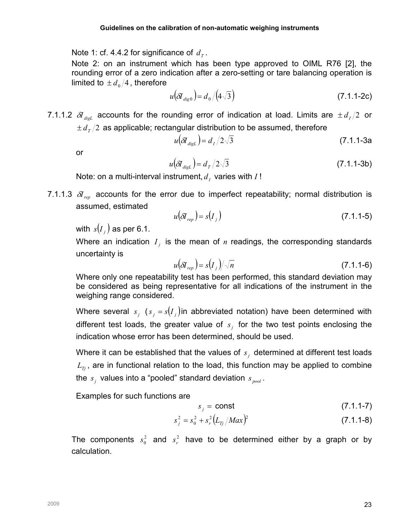Note 1: cf. 4.4.2 for significance of  $\,d_{_T}.$ 

Note 2: on an instrument which has been type approved to OIML R76 [2], the rounding error of a zero indication after a zero-setting or tare balancing operation is limited to  $\pm d_0/4$ , therefore

$$
u(\delta I_{\text{dig0}}) = d_0 / (4\sqrt{3})
$$
\n(7.1.1-2c)

7.1.1.2  $\delta I_{\text{disl}}$  accounts for the rounding error of indication at load. Limits are  $\pm d_I/2$  or  $\pm d_{\tau}/2$  as applicable; rectangular distribution to be assumed, therefore

$$
u(\delta I_{\text{dist}}) = d_1/2\sqrt{3} \tag{7.1.1-3a}
$$

or

$$
u(\delta I_{\text{dig.}}) = d_{\text{T}}/2\sqrt{3} \tag{7.1.1-3b}
$$

Note: on a multi-interval instrument,  $d_I$  varies with  $I!$ 

7.1.1.3  $\delta I_{ren}$  accounts for the error due to imperfect repeatability; normal distribution is assumed, estimated

$$
u(\delta I_{rep}) = s(I_j) \tag{7.1.1-5}
$$

with  $\,s\!\left( I_{\,j}\right)$  as per 6.1.

Where an indication  $I_j$  is the mean of n readings, the corresponding standards uncertainty is

$$
u(\delta I_{rep}) = s(I_j)/\sqrt{n} \tag{7.1.1-6}
$$

Where only one repeatability test has been performed, this standard deviation may be considered as being representative for all indications of the instrument in the weighing range considered.

Where several  $s_j$  ( $s_j = s(I_j)$ in abbreviated notation) have been determined with different test loads, the greater value of  $s_j$  for the two test points enclosing the indication whose error has been determined, should be used.

Where it can be established that the values of  $s_j$  determined at different test loads  $L_{T_i}$ , are in functional relation to the load, this function may be applied to combine the  $s_j$  values into a "pooled" standard deviation  $s_{\textit{pool}}$ .

Examples for such functions are

$$
s_j = \text{const} \tag{7.1.1-7}
$$

$$
s_j^2 = s_0^2 + s_r^2 \left( L_{Tj} / Max \right)^2 \tag{7.1.1-8}
$$

The components  $s_0^2$  and  $s_r^2$  have to be determined either by a graph or by calculation.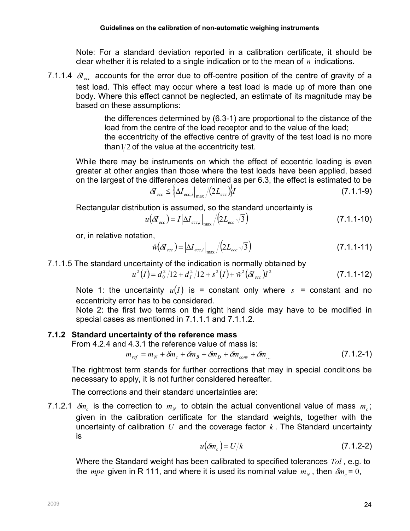Note: For a standard deviation reported in a calibration certificate, it should be clear whether it is related to a single indication or to the mean of  $n$  indications.

7.1.1.4  $\delta I_{\text{ecc}}$  accounts for the error due to off-centre position of the centre of gravity of a test load. This effect may occur where a test load is made up of more than one body. Where this effect cannot be neglected, an estimate of its magnitude may be based on these assumptions:

> the differences determined by (6.3-1) are proportional to the distance of the load from the centre of the load receptor and to the value of the load; the eccentricity of the effective centre of gravity of the test load is no more than  $1/2$  of the value at the eccentricity test.

While there may be instruments on which the effect of eccentric loading is even greater at other angles than those where the test loads have been applied, based on the largest of the differences determined as per 6.3, the effect is estimated to be

$$
\delta I_{ecc} \leq \left\{ \Delta I_{ecc,i} \right\}_{\text{max}} / (2L_{ecc}) \left\} I \tag{7.1.1-9}
$$

Rectangular distribution is assumed, so the standard uncertainty is

$$
u(\delta I_{ecc}) = I \left| \Delta I_{ecc,i} \right|_{max} / \left( 2L_{ecc} \sqrt{3} \right)
$$
 (7.1.1-10)

or, in relative notation,

$$
\hat{w}(\delta I_{ecc}) = |\Delta I_{ecc,i}|_{max} / (2L_{ecc} \sqrt{3})
$$
\n(7.1.1-11)

7.1.1.5 The standard uncertainty of the indication is normally obtained by

$$
u^{2}(I) = d_{0}^{2}/12 + d_{I}^{2}/12 + s^{2}(I) + \hat{w}^{2}(\delta I_{ecc})I^{2}
$$
\n(7.1.1-12)

Note 1: the uncertainty  $u(I)$  is = constant only where  $s = constant$  and no eccentricity error has to be considered.

Note 2: the first two terms on the right hand side may have to be modified in special cases as mentioned in 7.1.1.1 and 7.1.1.2.

## 7.1.2 Standard uncertainty of the reference mass

From 4.2.4 and 4.3.1 the reference value of mass is:

 $m_{ref} = m_N + \delta m_c + \delta m_B + \delta m_D + \delta m_{conv} + \delta m$  (7.1.2-1)

The rightmost term stands for further corrections that may in special conditions be necessary to apply, it is not further considered hereafter.

The corrections and their standard uncertainties are:

7.1.2.1  $\delta m_c$  is the correction to  $m_N$  to obtain the actual conventional value of mass  $m_c$ ; given in the calibration certificate for the standard weights, together with the uncertainty of calibration U and the coverage factor  $k$ . The Standard uncertainty is

$$
u(\delta m_c) = U/k \tag{7.1.2-2}
$$

Where the Standard weight has been calibrated to specified tolerances Tol, e.g. to the mpe given in R 111, and where it is used its nominal value  $m_N$ , then  $\delta m_c$  = 0,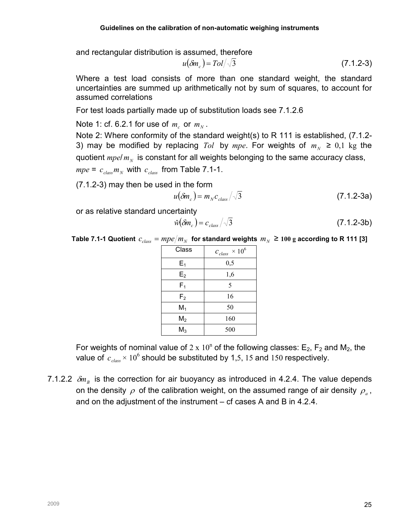and rectangular distribution is assumed, therefore

$$
u(\delta m_c) = T o l / \sqrt{3} \tag{7.1.2-3}
$$

Where a test load consists of more than one standard weight, the standard uncertainties are summed up arithmetically not by sum of squares, to account for assumed correlations

For test loads partially made up of substitution loads see 7.1.2.6

Note 1: cf. 6.2.1 for use of  $m_c$  or  $m_N$ .

Note 2: Where conformity of the standard weight(s) to R 111 is established, (7.1.2- 3) may be modified by replacing Tol by mpe. For weights of  $m_N \geq 0.1$  kg the quotient  $mpel$   $m_N$  is constant for all weights belonging to the same accuracy class,  $mpe = c_{class} m_N$  with  $c_{class}$  from Table 7.1-1.

(7.1.2-3) may then be used in the form

$$
u(\delta m_c) = m_N c_{class} / \sqrt{3}
$$
 (7.1.2-3a)

or as relative standard uncertainty

$$
\hat{w}(\delta m_c) = c_{class}/\sqrt{3} \tag{7.1.2-3b}
$$

Table 7.1-1 Quotient  $\,c_{\rm class} = mpe/m_{_N}\,$  for standard weights  $\,m_{_N} \geq 100~{\rm g}$  according to R 111 [3]

| Class          | $\times$ 10 <sup>6</sup><br>$c_{\text{class}}$ |
|----------------|------------------------------------------------|
| $E_1$          | 0,5                                            |
| E <sub>2</sub> | 1,6                                            |
| $F_1$          | 5                                              |
| F <sub>2</sub> | 16                                             |
| $M_1$          | 50                                             |
| M <sub>2</sub> | 160                                            |
| $M_3$          | 500                                            |

For weights of nominal value of  $2 \times 10^n$  of the following classes: E<sub>2</sub>, F<sub>2</sub> and M<sub>2</sub>, the value of  $c_{\text{class}} \times 10^6$  should be substituted by 1,5, 15 and 150 respectively.

7.1.2.2  $\delta m_{\rm B}$  is the correction for air buoyancy as introduced in 4.2.4. The value depends on the density  $\rho$  of the calibration weight, on the assumed range of air density  $\rho_{_a}$ , and on the adjustment of the instrument – cf cases A and B in 4.2.4.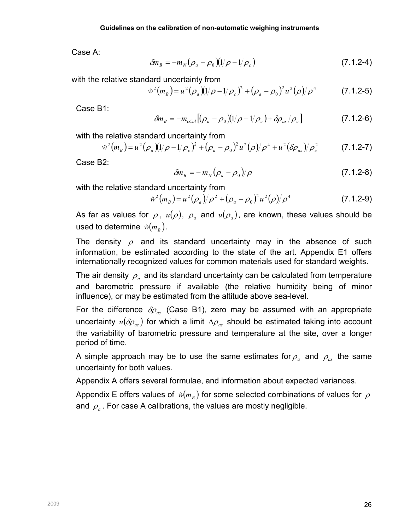Case A:

$$
\delta m_B = -m_N (\rho_a - \rho_0)(1/\rho - 1/\rho_c)
$$
 (7.1.2-4)

with the relative standard uncertainty from

$$
\hat{w}^2(m_B) = u^2 (\rho_a) (1/\rho - 1/\rho_c)^2 + (\rho_a - \rho_0)^2 u^2 (\rho) / \rho^4
$$
 (7.1.2-5)

Case B1:

$$
\delta m_B = -m_{cCal} [(\rho_a - \rho_0)(1/\rho - 1/\rho_c) + \delta \rho_{as}/\rho_c]
$$
 (7.1.2-6)

with the relative standard uncertainty from

$$
\hat{w}^2(m_B) = u^2 (\rho_a) (1/\rho - 1/\rho_c)^2 + (\rho_a - \rho_0)^2 u^2 (\rho) / \rho^4 + u^2 (\delta \rho_{as}) / \rho_c^2
$$
 (7.1.2-7)

Case B2:

$$
\delta m_B = -m_N (\rho_a - \rho_0)/\rho \qquad (7.1.2-8)
$$

with the relative standard uncertainty from

$$
\hat{w}^2(m_B) = u^2(\rho_a)/\rho^2 + (\rho_a - \rho_0)^2 u^2(\rho)/\rho^4
$$
 (7.1.2-9)

As far as values for  $\rho$ ,  $u(\rho)$ ,  $\rho_{_a}$  and  $u(\rho_{_a})$ , are known, these values should be used to determine  $\left| \hat{w}(m_{_B}) \right|$ .

The density  $\rho$  and its standard uncertainty may in the absence of such information, be estimated according to the state of the art. Appendix E1 offers internationally recognized values for common materials used for standard weights.

The air density  $\rho_{_a}$  and its standard uncertainty can be calculated from temperature and barometric pressure if available (the relative humidity being of minor influence), or may be estimated from the altitude above sea-level.

For the difference  $\delta \rho_{as}$  (Case B1), zero may be assumed with an appropriate uncertainty  $u(\delta \rho_{as})$  for which a limit  $\Delta \rho_{as}$  should be estimated taking into account the variability of barometric pressure and temperature at the site, over a longer period of time.

A simple approach may be to use the same estimates for  $\rho_{a}^{\text{}}$  and  $\rho_{as}^{\text{}}$  the same uncertainty for both values.

Appendix A offers several formulae, and information about expected variances.

Appendix E offers values of  $\left. \hat{w}\right( m_{\textit{B}}\left. \right)$  for some selected combinations of values for  $\rho$ and  $\rho_{\scriptscriptstyle a}$  . For case A calibrations, the values are mostly negligible.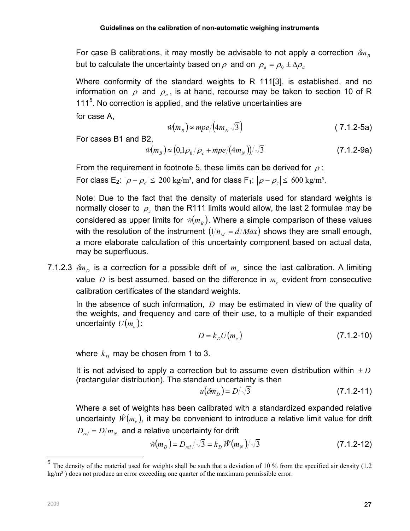For case B calibrations, it may mostly be advisable to not apply a correction  $\delta m_{\nu}$ but to calculate the uncertainty based on  $\rho$  and on  $\rho_a = \rho_0 \pm \Delta \rho_a$ 

Where conformity of the standard weights to R 111[3], is established, and no information on  $\rho$  and  $\rho_a$ , is at hand, recourse may be taken to section 10 of R 111<sup>5</sup>. No correction is applied, and the relative uncertainties are

for case A,

$$
\hat{w}(m_B) \approx mpe/(4m_N\sqrt{3})\tag{7.1.2-5a}
$$

For cases B1 and B2,

$$
\hat{w}(m_B) \approx (0.1 \rho_0 / \rho_c + mpe/(4m_N))/\sqrt{3}
$$
 (7.1.2-9a)

From the requirement in footnote 5, these limits can be derived for  $\rho$ : For class E<sub>2</sub>:  $|\rho - \rho_c| \leq 200$  kg/m<sup>3</sup>, and for class F<sub>1</sub>:  $|\rho - \rho_c| \leq 600$  kg/m<sup>3</sup>.

Note: Due to the fact that the density of materials used for standard weights is normally closer to  $\rho_c$  than the R111 limits would allow, the last 2 formulae may be considered as upper limits for  $\hat{w}(m_{_B})$ . Where a simple comparison of these values with the resolution of the instrument  $(1/n_M = d/Max)$  shows they are small enough, a more elaborate calculation of this uncertainty component based on actual data, may be superfluous.

7.1.2.3  $\delta m_D$  is a correction for a possible drift of  $m_c$  since the last calibration. A limiting value D is best assumed, based on the difference in  $m_c$  evident from consecutive calibration certificates of the standard weights.

In the absence of such information,  $D$  may be estimated in view of the quality of the weights, and frequency and care of their use, to a multiple of their expanded uncertainty  $U(m_c)$ :

$$
D = k_D U \big( m_c \big) \tag{7.1.2-10}
$$

where  $\,k_{\scriptscriptstyle D}\,$  may be chosen from 1 to 3.

It is not advised to apply a correction but to assume even distribution within  $\pm D$ (rectangular distribution). The standard uncertainty is then

$$
u(\delta m_D) = D/\sqrt{3} \tag{7.1.2-11}
$$

Where a set of weights has been calibrated with a standardized expanded relative uncertainty  $\hat{W}(m_{c}),$  it may be convenient to introduce a relative limit value for drift  $D_{\scriptscriptstyle rel}$  =  $D\!/m_{\scriptscriptstyle N}$  and a relative uncertainty for drift

$$
\hat{w}(m_D) = D_{rel} / \sqrt{3} = k_D \hat{W}(m_N) / \sqrt{3}
$$
 (7.1.2-12)

 $\overline{a}$ 

<sup>&</sup>lt;sup>5</sup> The density of the material used for weights shall be such that a deviation of 10 % from the specified air density (1.2) kg/m<sup>3</sup>) does not produce an error exceeding one quarter of the maximum permissible error.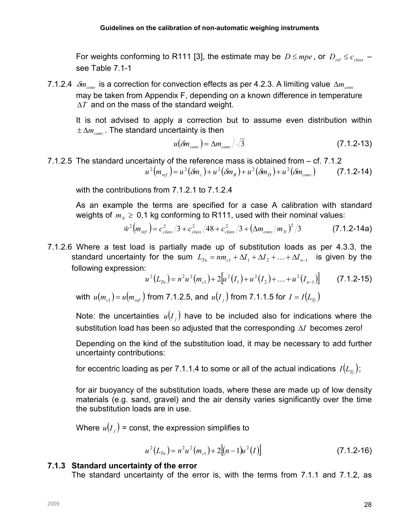For weights conforming to R111 [3], the estimate may be  $D \leq mpe$ , or  $D_{rel} \leq c_{class}$  – see Table 7.1-1

7.1.2.4  $\delta m_{conv}$  is a correction for convection effects as per 4.2.3. A limiting value  $\Delta m_{conv}$ may be taken from Appendix F, depending on a known difference in temperature  $\Delta T$  and on the mass of the standard weight.

It is not advised to apply a correction but to assume even distribution within  $\pm \Delta m_{\text{conv}}$ . The standard uncertainty is then

$$
u(\delta m_{conv}) = \Delta m_{conv} / \sqrt{3} \tag{7.1.2-13}
$$

7.1.2.5 The standard uncertainty of the reference mass is obtained from – cf. 7.1.2  $u^{2}(m_{ref}) = u^{2}(\delta m_{e}) + u^{2}(\delta m_{B}) + u^{2}(\delta m_{D}) + u^{2}(\delta m_{conv})$  (7.1.2-14)

with the contributions from 7.1.2.1 to 7.1.2.4

As an example the terms are specified for a case A calibration with standard weights of  $m_N \geq 0.1$  kg conforming to R111, used with their nominal values:

$$
\hat{w}^2 \big( m_{ref} \big) = c_{class}^2 / 3 + c_{class}^2 / 48 + c_{class}^2 / 3 + \big( \Delta m_{conv} / m_N \big)^2 / 3 \tag{7.1.2-14a}
$$

7.1.2.6 Where a test load is partially made up of substitution loads as per 4.3.3, the standard uncertainty for the sum  $L_{T_n} = nm_{c1} + \Delta I_1 + \Delta I_2 + ... + \Delta I_{n-1}$  is given by the following expression:

$$
u^{2}(L_{T_{n}}) = n^{2}u^{2}(m_{c1}) + 2[u^{2}(I_{1}) + u^{2}(I_{2}) + ... + u^{2}(I_{n-1})] \qquad (7.1.2-15)
$$

with  $u(m_{c1})$  =  $u(m_{ref})$  from 7.1.2.5, and  $u(I_{_J})$  from 7.1.1.5 for  $I = I(L_{T_{J}})$ 

Note: the uncertainties  $u(I_{j})$  have to be included also for indications where the substitution load has been so adjusted that the corresponding ∆I becomes zero!

Depending on the kind of the substitution load, it may be necessary to add further uncertainty contributions:

for eccentric loading as per 7.1.1.4 to some or all of the actual indications  $I(L_T)$ ;

for air buoyancy of the substitution loads, where these are made up of low density materials (e.g. sand, gravel) and the air density varies significantly over the time the substitution loads are in use.

Where  $\,u(I_{_j})$  = const, the expression simplifies to

$$
u^{2}(L_{T_{n}}) = n^{2}u^{2}(m_{c1}) + 2[(n-1)u^{2}(I)]
$$
\n(7.1.2-16)

#### 7.1.3 Standard uncertainty of the error

The standard uncertainty of the error is, with the terms from 7.1.1 and 7.1.2, as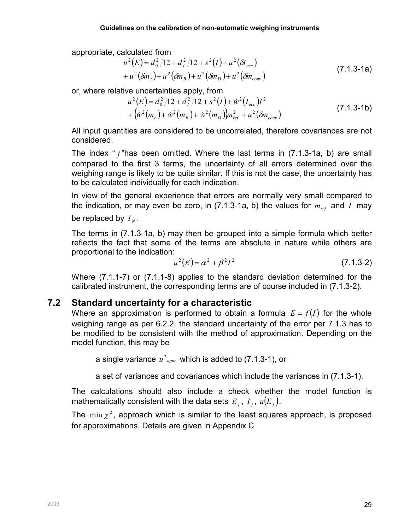appropriate, calculated from

$$
u^{2}(E) = d_{0}^{2}/12 + d_{1}^{2}/12 + s^{2}(I) + u^{2}(\delta I_{ecc})
$$
  
+ 
$$
u^{2}(\delta m_{c}) + u^{2}(\delta m_{B}) + u^{2}(\delta m_{D}) + u^{2}(\delta m_{conv})
$$
 (7.1.3-1a)

or, where relative uncertainties apply, from

$$
u^{2}(E) = d_{0}^{2}/12 + d_{I}^{2}/12 + s^{2}(I) + \hat{w}^{2}(I_{ecc})I^{2}
$$
  
+ { $\hat{w}^{2}(m_{c}) + \hat{w}^{2}(m_{B}) + \hat{w}^{2}(m_{D})\hat{m}_{ref}^{2} + u^{2}(\delta m_{conv})$  (7.1.3-1b)

All input quantities are considered to be uncorrelated, therefore covariances are not considered.

The index "  $i$  "has been omitted. Where the last terms in (7.1.3-1a, b) are small compared to the first 3 terms, the uncertainty of all errors determined over the weighing range is likely to be quite similar. If this is not the case, the uncertainty has to be calculated individually for each indication.

In view of the general experience that errors are normally very small compared to the indication, or may even be zero, in (7.1.3-1a, b) the values for  $m_{ref}$  and I may be replaced by  $\overline{I}_N$  .

The terms in (7.1.3-1a, b) may then be grouped into a simple formula which better reflects the fact that some of the terms are absolute in nature while others are proportional to the indication:

$$
u^{2}(E) = \alpha^{2} + \beta^{2} I^{2}
$$
 (7.1.3-2)

Where (7.1.1-7) or (7.1.1-8) applies to the standard deviation determined for the calibrated instrument, the corresponding terms are of course included in (7.1.3-2).

# 7.2 Standard uncertainty for a characteristic

Where an approximation is performed to obtain a formula  $E = f(I)$  for the whole weighing range as per 6.2.2, the standard uncertainty of the error per 7.1.3 has to be modified to be consistent with the method of approximation. Depending on the model function, this may be

a single variance  $u^2_{appr}$  which is added to (7.1.3-1), or

a set of variances and covariances which include the variances in (7.1.3-1).

The calculations should also include a check whether the model function is mathematically consistent with the data sets  $E_j$  ,  $I_j$  ,  $u(E_j)$  .

The  $\min x^2$ , approach which is similar to the least squares approach, is proposed for approximations. Details are given in Appendix C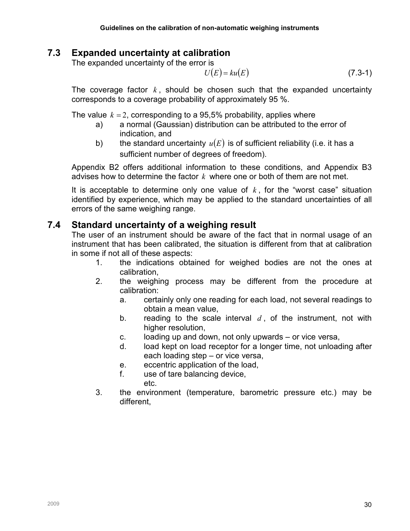# 7.3 Expanded uncertainty at calibration

The expanded uncertainty of the error is

$$
U(E) = ku(E) \tag{7.3-1}
$$

The coverage factor  $k$ , should be chosen such that the expanded uncertainty corresponds to a coverage probability of approximately 95 %.

The value  $k = 2$ , corresponding to a 95,5% probability, applies where

- a) a normal (Gaussian) distribution can be attributed to the error of indication, and
- b) the standard uncertainty  $u(E)$  is of sufficient reliability (i.e. it has a sufficient number of degrees of freedom).

Appendix B2 offers additional information to these conditions, and Appendix B3 advises how to determine the factor  $k$  where one or both of them are not met.

It is acceptable to determine only one value of  $k$ , for the "worst case" situation identified by experience, which may be applied to the standard uncertainties of all errors of the same weighing range.

# 7.4 Standard uncertainty of a weighing result

The user of an instrument should be aware of the fact that in normal usage of an instrument that has been calibrated, the situation is different from that at calibration in some if not all of these aspects:

- 1. the indications obtained for weighed bodies are not the ones at calibration,
- 2. the weighing process may be different from the procedure at calibration:
	- a. certainly only one reading for each load, not several readings to obtain a mean value,
	- b. reading to the scale interval  $d$ , of the instrument, not with higher resolution,
	- c. loading up and down, not only upwards or vice versa,
	- d. load kept on load receptor for a longer time, not unloading after each loading step – or vice versa,
	- e. eccentric application of the load,
	- f. use of tare balancing device,
		- etc.
- 3. the environment (temperature, barometric pressure etc.) may be different,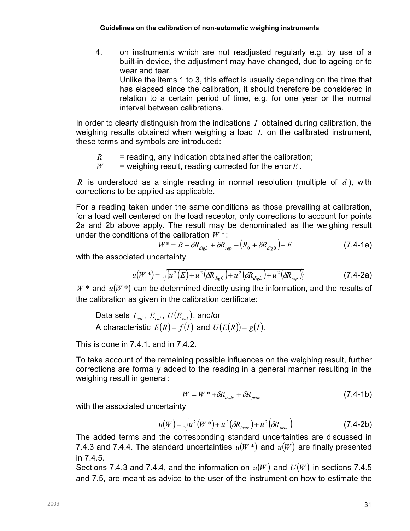4. on instruments which are not readjusted regularly e.g. by use of a built-in device, the adjustment may have changed, due to ageing or to wear and tear. Unlike the items 1 to 3, this effect is usually depending on the time that has elapsed since the calibration, it should therefore be considered in relation to a certain period of time, e.g. for one year or the normal interval between calibrations.

In order to clearly distinguish from the indications  $I$  obtained during calibration, the weighing results obtained when weighing a load  $L$  on the calibrated instrument, these terms and symbols are introduced:

- $R$  = reading, any indication obtained after the calibration;
- $W =$  weighing result, reading corrected for the error E.

R is understood as a single reading in normal resolution (multiple of d), with corrections to be applied as applicable.

For a reading taken under the same conditions as those prevailing at calibration, for a load well centered on the load receptor, only corrections to account for points 2a and 2b above apply. The result may be denominated as the weighing result under the conditions of the calibration  $W^*$ :

$$
W^* = R + \delta R_{\text{digL}} + \delta R_{\text{rep}} - \left(R_0 + \delta R_{\text{dig0}}\right) - E \tag{7.4-1a}
$$

with the associated uncertainty

$$
u(W^*) = \sqrt{\{u^2(E) + u^2(\delta R_{\text{digo}}) + u^2(\delta R_{\text{digL}}) + u^2(\delta R_{\text{rep}})\}}
$$
(7.4-2a)

 $W^*$  and  $u(W^*)$  can be determined directly using the information, and the results of the calibration as given in the calibration certificate:

Data sets  $I_{cal}$ ,  $E_{cal}$ ,  $U(E_{cal})$ , and/or A characteristic  $E(R) = f(I)$  and  $U(E(R)) = g(I)$ .

This is done in 7.4.1. and in 7.4.2.

To take account of the remaining possible influences on the weighing result, further corrections are formally added to the reading in a general manner resulting in the weighing result in general:

$$
W = W^* + \delta R_{\text{instr}} + \delta R_{\text{proc}} \tag{7.4-1b}
$$

with the associated uncertainty

$$
u(W) = \sqrt{u^2(W^*) + u^2(\delta R_{\text{instr}}) + u^2(\delta R_{\text{proc}})}
$$
 (7.4-2b)

The added terms and the corresponding standard uncertainties are discussed in 7.4.3 and 7.4.4. The standard uncertainties  $u(W^*)$  and  $u(W)$  are finally presented in 7.4.5.

Sections 7.4.3 and 7.4.4, and the information on  $u(W)$  and  $U(W)$  in sections 7.4.5 and 7.5, are meant as advice to the user of the instrument on how to estimate the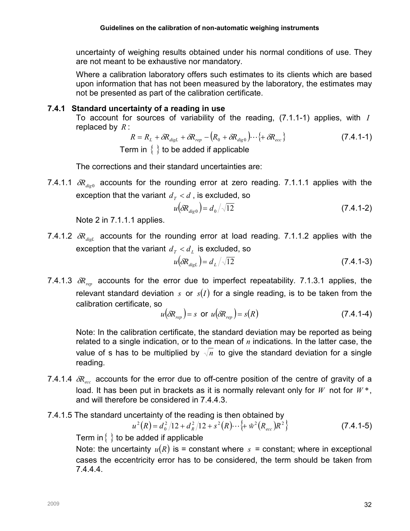uncertainty of weighing results obtained under his normal conditions of use. They are not meant to be exhaustive nor mandatory.

Where a calibration laboratory offers such estimates to its clients which are based upon information that has not been measured by the laboratory, the estimates may not be presented as part of the calibration certificate.

#### 7.4.1 Standard uncertainty of a reading in use

To account for sources of variability of the reading,  $(7.1.1-1)$  applies, with I replaced by  $R$  :

$$
R = R_L + \delta R_{\text{dig}} + \delta R_{\text{rep}} - (R_0 + \delta R_{\text{dig}}) \cdots \{ + \delta R_{\text{ecc}} \}
$$
 (7.4.1-1)  
Term in { } to be added if applicable

The corrections and their standard uncertainties are:

7.4.1.1  $\delta R_{_{dig0}}$  accounts for the rounding error at zero reading. 7.1.1.1 applies with the exception that the variant  $d_{\tau} < d$ , is excluded, so

$$
u(\delta R_{\text{diag}}) = d_0 / \sqrt{12} \tag{7.4.1-2}
$$

Note 2 in 7.1.1.1 applies.

7.4.1.2  $\delta R_{diel}$  accounts for the rounding error at load reading. 7.1.1.2 applies with the exception that the variant  $d_{\scriptscriptstyle T} < d_{\scriptscriptstyle L}$  is excluded, so

$$
u(\delta R_{\text{disl}}) = d_L / \sqrt{12} \tag{7.4.1-3}
$$

7.4.1.3  $\delta R_{\text{ren}}$  accounts for the error due to imperfect repeatability. 7.1.3.1 applies, the relevant standard deviation  $s$  or  $s(I)$  for a single reading, is to be taken from the calibration certificate, so

$$
u(\delta R_{rep}) = s \text{ or } u(\delta R_{rep}) = s(R) \tag{7.4.1-4}
$$

Note: In the calibration certificate, the standard deviation may be reported as being related to a single indication, or to the mean of  $n$  indications. In the latter case, the value of s has to be multiplied by  $\sqrt{n}$  to give the standard deviation for a single reading.

7.4.1.4  $\delta R_{\text{acc}}$  accounts for the error due to off-centre position of the centre of gravity of a load. It has been put in brackets as it is normally relevant only for W not for  $W^*$ , and will therefore be considered in 7.4.4.3.

## 7.4.1.5 The standard uncertainty of the reading is then obtained by

$$
u^{2}(R) = d_{0}^{2}/12 + d_{R}^{2}/12 + s^{2}(R) \cdots \{ + \omega^{2}(R_{ecc})R^{2} \}
$$
 (7.4.1-5)

Term in  $\{\}$  to be added if applicable

Note: the uncertainty  $u(R)$  is = constant where s = constant; where in exceptional cases the eccentricity error has to be considered, the term should be taken from 7.4.4.4.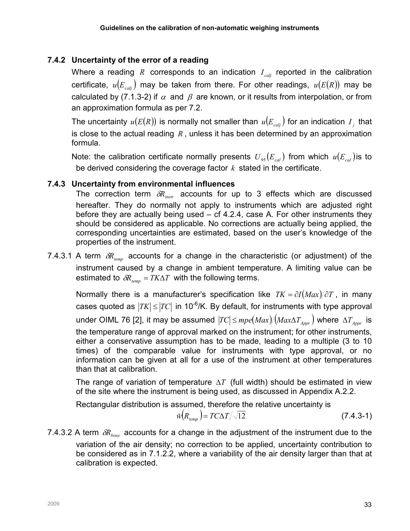# 7.4.2 Uncertainty of the error of a reading

Where a reading R corresponds to an indication  $I_{cal}$  reported in the calibration certificate,  $u(E_{cal})$  may be taken from there. For other readings,  $u(E(R))$  may be calculated by (7.1.3-2) if  $\alpha$  and  $\beta$  are known, or it results from interpolation, or from an approximation formula as per 7.2.

The uncertainty  $u(E(R))$  is normally not smaller than  $u(E_{\textit{calj}})$  for an indication  $I_{\textit{j}}$  that is close to the actual reading  $R$ , unless it has been determined by an approximation formula.

Note: the calibration certificate normally presents  $U_{.95}(E_{cal})$  from which  $u(E_{cal})$  is to be derived considering the coverage factor  $k$  stated in the certificate.

## 7.4.3 Uncertainty from environmental influences

The correction term  $\delta R_{\text{instr}}$  accounts for up to 3 effects which are discussed hereafter. They do normally not apply to instruments which are adjusted right before they are actually being used  $-$  cf 4.2.4, case A. For other instruments they should be considered as applicable. No corrections are actually being applied, the corresponding uncertainties are estimated, based on the user's knowledge of the properties of the instrument.

7.4.3.1 A term  $\delta R_{temp}$  accounts for a change in the characteristic (or adjustment) of the instrument caused by a change in ambient temperature. A limiting value can be estimated to  $\delta R_{temp} = TK\Delta T$  with the following terms.

Normally there is a manufacturer's specification like  $TK = \partial I(Max)/\partial T$ , in many cases quoted as  $|TK| \le |TC|$  in 10<sup>-6</sup>/K. By default, for instruments with type approval under OIML 76 [2], it may be assumed  $|TC| \leq mpe Max)/(Max\Delta T_{4\text{corr}})$  where  $\Delta T_{4\text{corr}}$  is the temperature range of approval marked on the instrument; for other instruments, either a conservative assumption has to be made, leading to a multiple (3 to 10 times) of the comparable value for instruments with type approval, or no information can be given at all for a use of the instrument at other temperatures than that at calibration.

The range of variation of temperature  $\Delta T$  (full width) should be estimated in view of the site where the instrument is being used, as discussed in Appendix A.2.2.

Rectangular distribution is assumed, therefore the relative uncertainty is

$$
\hat{w}(R_{temp}) = TC\Delta T / \sqrt{12} \tag{7.4.3-1}
$$

7.4.3.2 A term  $\delta R_{\text{hour}}$  accounts for a change in the adjustment of the instrument due to the variation of the air density; no correction to be applied, uncertainty contribution to be considered as in 7.1.2.2, where a variability of the air density larger than that at calibration is expected.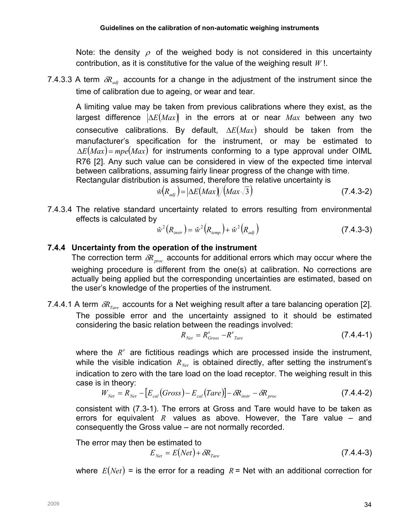Note: the density  $\rho$  of the weighed body is not considered in this uncertainty contribution, as it is constitutive for the value of the weighing result  $W!$ .

7.4.3.3 A term  $\delta R_{adi}$  accounts for a change in the adjustment of the instrument since the time of calibration due to ageing, or wear and tear.

A limiting value may be taken from previous calibrations where they exist, as the largest difference  $\Delta E(Max)$  in the errors at or near Max between any two consecutive calibrations. By default,  $\Delta E(Max)$  should be taken from the manufacturer's specification for the instrument, or may be estimated to  $\Delta E(Max)$  = mpe(Max) for instruments conforming to a type approval under OIML R76 [2]. Any such value can be considered in view of the expected time interval between calibrations, assuming fairly linear progress of the change with time.

Rectangular distribution is assumed, therefore the relative uncertainty is

$$
\hat{w}(R_{\text{adj}}) = |\Delta E(\text{Max})/(\text{Max}\sqrt{3}) \tag{7.4.3-2}
$$

7.4.3.4 The relative standard uncertainty related to errors resulting from environmental effects is calculated by

$$
\hat{w}^2(R_{\text{instr}}) = \hat{w}^2(R_{\text{temp}}) + \hat{w}^2(R_{\text{adj}})
$$
\n(7.4.3-3)

## 7.4.4 Uncertainty from the operation of the instrument

The correction term  $\delta R_{\text{muc}}$  accounts for additional errors which may occur where the weighing procedure is different from the one(s) at calibration. No corrections are actually being applied but the corresponding uncertainties are estimated, based on the user's knowledge of the properties of the instrument.

7.4.4.1 A term  $\delta R_{Tare}$  accounts for a Net weighing result after a tare balancing operation [2]. The possible error and the uncertainty assigned to it should be estimated considering the basic relation between the readings involved:

$$
R_{Net} = R'_{Gross} - R'_{Tare}
$$
\n
$$
(7.4.4-1)
$$

where the  $R'$  are fictitious readings which are processed inside the instrument, while the visible indication  $R_{\text{N}_{\text{eff}}}$  is obtained directly, after setting the instrument's indication to zero with the tare load on the load receptor. The weighing result in this case is in theory:

$$
W_{Net} = R_{Net} - [E_{cal}(Gross) - E_{cal}(Tare)] - \delta R_{instr} - \delta R_{proc}
$$
\n(7.4.4-2)

consistent with (7.3-1). The errors at Gross and Tare would have to be taken as errors for equivalent R values as above. However, the Tare value  $-$  and consequently the Gross value – are not normally recorded.

The error may then be estimated to

$$
E_{Net} = E(Net) + \delta R_{Tare}
$$
\n(7.4.4-3)

where  $E(Net)$  = is the error for a reading  $R$  = Net with an additional correction for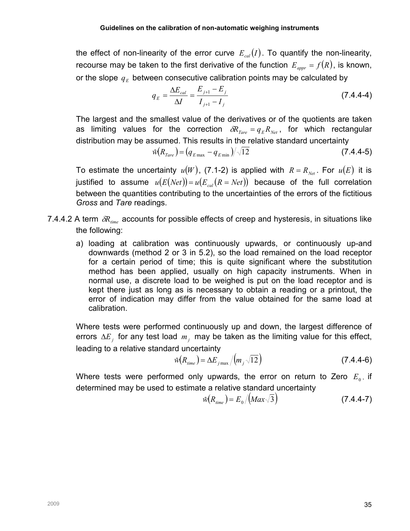the effect of non-linearity of the error curve  $E_{cal}(I)$ . To quantify the non-linearity, recourse may be taken to the first derivative of the function  $E_{appr} = f(R)$ , is known, or the slope  $\,q_{_E}$  between consecutive calibration points may be calculated by

$$
q_E = \frac{\Delta E_{cal}}{\Delta I} = \frac{E_{j+1} - E_j}{I_{j+1} - I_j}
$$
(7.4.4-4)

The largest and the smallest value of the derivatives or of the quotients are taken as limiting values for the correction  $\delta R_{Tare} = q_E R_{Net}$ , for which rectangular distribution may be assumed. This results in the relative standard uncertainty

$$
\hat{w}(R_{Tare}) = (q_{E\max} - q_{E\min})/\sqrt{12}
$$
\n(7.4.4-5)

To estimate the uncertainty  $u(W)$ , (7.1-2) is applied with  $R = R_{\text{Net}}$ . For  $u(E)$  it is justified to assume  $u(E(Net)) = u(E_{cal}(R = Net))$  because of the full correlation between the quantities contributing to the uncertainties of the errors of the fictitious Gross and Tare readings.

- 7.4.4.2 A term  $\delta R_{time}$  accounts for possible effects of creep and hysteresis, in situations like the following:
	- a) loading at calibration was continuously upwards, or continuously up-and downwards (method 2 or 3 in 5.2), so the load remained on the load receptor for a certain period of time; this is quite significant where the substitution method has been applied, usually on high capacity instruments. When in normal use, a discrete load to be weighed is put on the load receptor and is kept there just as long as is necessary to obtain a reading or a printout, the error of indication may differ from the value obtained for the same load at calibration.

Where tests were performed continuously up and down, the largest difference of errors  $\Delta E_j$  for any test load  $m_j$  may be taken as the limiting value for this effect, leading to a relative standard uncertainty

$$
\hat{w}(R_{time}) = \Delta E_{j\max} / (m_j \sqrt{12})
$$
\n(7.4.4-6)

Where tests were performed only upwards, the error on return to Zero  $E_0$ , if determined may be used to estimate a relative standard uncertainty

$$
\hat{w}(R_{time}) = E_0 / (Max\sqrt{3}) \tag{7.4.4-7}
$$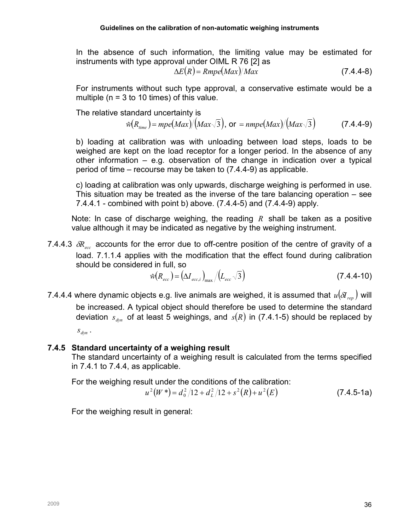In the absence of such information, the limiting value may be estimated for instruments with type approval under OIML R 76 [2] as

$$
\Delta E(R) = Rmpe(Max)/Max \qquad (7.4.4-8)
$$

For instruments without such type approval, a conservative estimate would be a multiple ( $n = 3$  to 10 times) of this value.

The relative standard uncertainty is

$$
\hat{w}(R_{time}) = mpe(Max)/(Max\sqrt{3}), \text{ or } = nmpe(Max)/(Max\sqrt{3})
$$
 (7.4.4-9)

b) loading at calibration was with unloading between load steps, loads to be weighed are kept on the load receptor for a longer period. In the absence of any other information – e.g. observation of the change in indication over a typical period of time – recourse may be taken to (7.4.4-9) as applicable.

c) loading at calibration was only upwards, discharge weighing is performed in use. This situation may be treated as the inverse of the tare balancing operation – see 7.4.4.1 - combined with point b) above. (7.4.4-5) and (7.4.4-9) apply.

Note: In case of discharge weighing, the reading  $R$  shall be taken as a positive value although it may be indicated as negative by the weighing instrument.

7.4.4.3  $\delta R_{\text{acc}}$  accounts for the error due to off-centre position of the centre of gravity of a load. 7.1.1.4 applies with the modification that the effect found during calibration should be considered in full, so

$$
\hat{w}(R_{\text{ecc}}) = \left(\Delta I_{\text{ecc},i}\right)_{\text{max}} / \left(L_{\text{ecc}}\sqrt{3}\right)
$$
\n(7.4.4-10)

7.4.4.4 where dynamic objects e.g. live animals are weighed, it is assumed that  $u(\delta I_{ren})$  will be increased. A typical object should therefore be used to determine the standard deviation  $s_{dyn}$  of at least 5 weighings, and  $s(R)$  in (7.4.1-5) should be replaced by

 $S_{dyn}$  .

## 7.4.5 Standard uncertainty of a weighing result

The standard uncertainty of a weighing result is calculated from the terms specified in 7.4.1 to 7.4.4, as applicable.

For the weighing result under the conditions of the calibration:

$$
u^{2}(W^{*}) = d_{0}^{2}/12 + d_{L}^{2}/12 + s^{2}(R) + u^{2}(E)
$$
 (7.4.5-1a)

For the weighing result in general: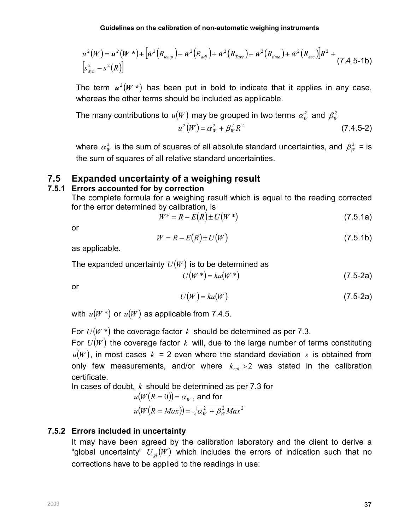$$
u^{2}(W) = u^{2}(W^{*}) + \left[\hat{w}^{2}(R_{temp}) + \hat{w}^{2}(R_{adj}) + \hat{w}^{2}(R_{Tare}) + \hat{w}^{2}(R_{time}) + \hat{w}^{2}(R_{ecc})\right]R^{2} + \left[s_{dyn}^{2} - s^{2}(R)\right]
$$
\n(7.4.5-1b)

The term  $u^2(W^*)$  has been put in bold to indicate that it applies in any case, whereas the other terms should be included as applicable.

The many contributions to 
$$
u(W)
$$
 may be grouped in two terms  $\alpha_W^2$  and  $\beta_W^2$   

$$
u^2(W) = \alpha_W^2 + \beta_W^2 R^2
$$
 (7.4.5-2)

where  $\alpha_w^2$  is the sum of squares of all absolute standard uncertainties, and  $\beta_w^2$  = is the sum of squares of all relative standard uncertainties.

## 7.5 Expanded uncertainty of a weighing result

#### 7.5.1 Errors accounted for by correction

The complete formula for a weighing result which is equal to the reading corrected for the error determined by calibration, is

$$
W^* = R - E(R) \pm U(W^*)
$$
 (7.5.1a)

or

$$
W = R - E(R) \pm U(W) \tag{7.5.1b}
$$

as applicable.

The expanded uncertainty  $U(W)$  is to be determined as

$$
U(W^*) = ku(W^*)
$$
\n<sup>(7.5-2a)</sup>

or

$$
U(W) = ku(W) \tag{7.5-2a}
$$

with  $u(W^*)$  or  $u(W)$  as applicable from 7.4.5.

For  $U(W^*)$  the coverage factor k should be determined as per 7.3.

For  $U(W)$  the coverage factor k will, due to the large number of terms constituting  $u(W)$ , in most cases  $k = 2$  even where the standard deviation s is obtained from only few measurements, and/or where  $k_{cal} > 2$  was stated in the calibration certificate.

In cases of doubt,  $k$  should be determined as per 7.3 for

$$
u(W(R = 0)) = \alpha_W, \text{ and for}
$$
  

$$
u(W(R = Max)) = \sqrt{\alpha_W^2 + \beta_W^2 Max^2}
$$

## 7.5.2 Errors included in uncertainty

It may have been agreed by the calibration laboratory and the client to derive a "global uncertainty"  $U_{el}(W)$  which includes the errors of indication such that no corrections have to be applied to the readings in use: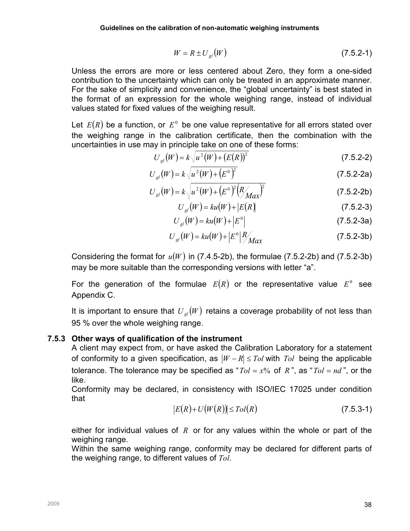$$
W = R \pm U_{gl}(W) \tag{7.5.2-1}
$$

Unless the errors are more or less centered about Zero, they form a one-sided contribution to the uncertainty which can only be treated in an approximate manner. For the sake of simplicity and convenience, the "global uncertainty" is best stated in the format of an expression for the whole weighing range, instead of individual values stated for fixed values of the weighing result.

Let  $E(R)$  be a function, or  $E^0$  be one value representative for all errors stated over the weighing range in the calibration certificate, then the combination with the uncertainties in use may in principle take on one of these forms:

$$
U_{gl}(W) = k \sqrt{u^2(W) + (E(R))^2}
$$
 (7.5.2-2)

$$
U_{gl}(W) = k\sqrt{u^2(W) + (E^0)^2}
$$
 (7.5.2-2a)

$$
U_{gl}(W) = k \sqrt{u^2(W) + (E^0)^2 (R_{Max})^2}
$$
 (7.5.2-2b)

$$
U_{gl}(W) = ku(W) + |E(R)|
$$
\n(7.5.2-3)

$$
U_{gl}(W) = ku(W) + |E^{0}|
$$
 (7.5.2-3a)

$$
U_{gl}(W) = ku(W) + |E^{0}| \frac{R}{Max}
$$
 (7.5.2-3b)

Considering the format for  $u(W)$  in (7.4.5-2b), the formulae (7.5.2-2b) and (7.5.2-3b) may be more suitable than the corresponding versions with letter "a".

For the generation of the formulae  $E(R)$  or the representative value  $E^0$  see Appendix C.

It is important to ensure that  $U_{\alpha}(W)$  retains a coverage probability of not less than 95 % over the whole weighing range.

#### 7.5.3 Other ways of qualification of the instrument

A client may expect from, or have asked the Calibration Laboratory for a statement of conformity to a given specification, as  $|W - R| \leq Tol$  with  $Tol$  being the applicable tolerance. The tolerance may be specified as " $Tol = x\%$  of R", as " $Tol = nd$ ", or the like.

Conformity may be declared, in consistency with ISO/IEC 17025 under condition that

$$
|E(R)+U(W(R))| \leq Tol(R)
$$
\n(7.5.3-1)

either for individual values of  $R$  or for any values within the whole or part of the weighing range.

Within the same weighing range, conformity may be declared for different parts of the weighing range, to different values of Tol.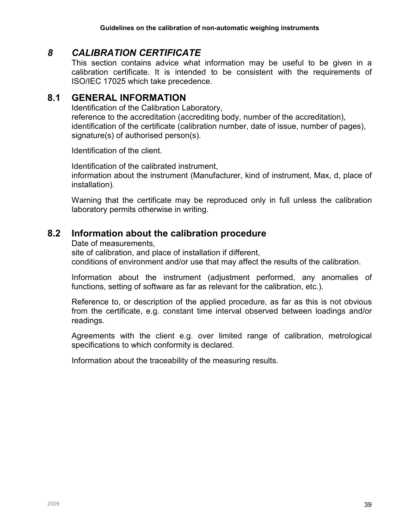# 8 CALIBRATION CERTIFICATE

This section contains advice what information may be useful to be given in a calibration certificate. It is intended to be consistent with the requirements of ISO/IEC 17025 which take precedence.

## 8.1 GENERAL INFORMATION

Identification of the Calibration Laboratory, reference to the accreditation (accrediting body, number of the accreditation), identification of the certificate (calibration number, date of issue, number of pages), signature(s) of authorised person(s).

Identification of the client.

Identification of the calibrated instrument, information about the instrument (Manufacturer, kind of instrument, Max, d, place of installation).

Warning that the certificate may be reproduced only in full unless the calibration laboratory permits otherwise in writing.

# 8.2 Information about the calibration procedure

Date of measurements,

site of calibration, and place of installation if different, conditions of environment and/or use that may affect the results of the calibration.

Information about the instrument (adjustment performed, any anomalies of functions, setting of software as far as relevant for the calibration, etc.).

Reference to, or description of the applied procedure, as far as this is not obvious from the certificate, e.g. constant time interval observed between loadings and/or readings.

Agreements with the client e.g. over limited range of calibration, metrological specifications to which conformity is declared.

Information about the traceability of the measuring results.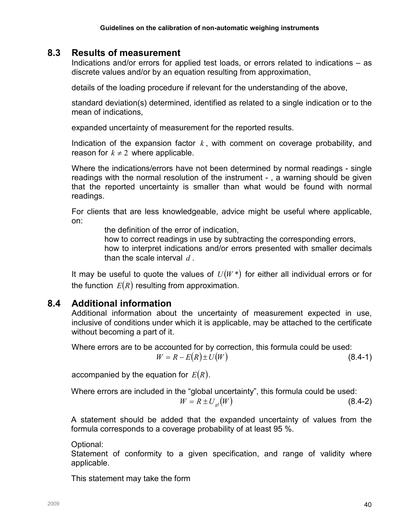## 8.3 Results of measurement

Indications and/or errors for applied test loads, or errors related to indications – as discrete values and/or by an equation resulting from approximation,

details of the loading procedure if relevant for the understanding of the above,

standard deviation(s) determined, identified as related to a single indication or to the mean of indications,

expanded uncertainty of measurement for the reported results.

Indication of the expansion factor  $k$ , with comment on coverage probability, and reason for  $k \neq 2$  where applicable.

Where the indications/errors have not been determined by normal readings - single readings with the normal resolution of the instrument - , a warning should be given that the reported uncertainty is smaller than what would be found with normal readings.

For clients that are less knowledgeable, advice might be useful where applicable, on:

the definition of the error of indication,

how to correct readings in use by subtracting the corresponding errors,

how to interpret indications and/or errors presented with smaller decimals than the scale interval  $d$ .

It may be useful to quote the values of  $U(W^*)$  for either all individual errors or for the function  $E(R)$  resulting from approximation.

# 8.4 Additional information

Additional information about the uncertainty of measurement expected in use, inclusive of conditions under which it is applicable, may be attached to the certificate without becoming a part of it.

Where errors are to be accounted for by correction, this formula could be used:  $W = R - E(R) \pm U(W)$  (8.4-1)

accompanied by the equation for  $E(R)$ .

Where errors are included in the "global uncertainty", this formula could be used:  $W = R \pm U_{ol}(W)$  (8.4-2)

A statement should be added that the expanded uncertainty of values from the formula corresponds to a coverage probability of at least 95 %.

Optional:

Statement of conformity to a given specification, and range of validity where applicable.

This statement may take the form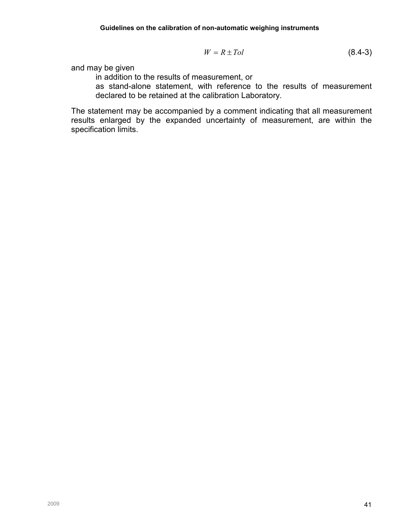$$
W = R \pm Tol \tag{8.4-3}
$$

and may be given

in addition to the results of measurement, or

as stand-alone statement, with reference to the results of measurement declared to be retained at the calibration Laboratory.

The statement may be accompanied by a comment indicating that all measurement results enlarged by the expanded uncertainty of measurement, are within the specification limits.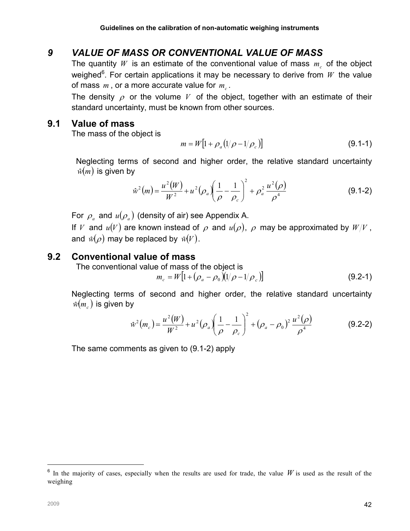# 9 VALUE OF MASS OR CONVENTIONAL VALUE OF MASS

The quantity  $W$  is an estimate of the conventional value of mass  $m_c$  of the object weighed<sup>6</sup>. For certain applications it may be necessary to derive from  $W$  the value of mass  $m$  , or a more accurate value for  $m_c$ .

The density  $\rho$  or the volume V of the object, together with an estimate of their standard uncertainty, must be known from other sources.

## 9.1 Value of mass

The mass of the object is

$$
m = W[1 + \rho_a (1/\rho - 1/\rho_c)] \tag{9.1-1}
$$

Neglecting terms of second and higher order, the relative standard uncertainty  $\hat{w}(m)$  is given by

$$
\hat{w}^2(m) = \frac{u^2(W)}{W^2} + u^2(\rho_a) \left(\frac{1}{\rho} - \frac{1}{\rho_c}\right)^2 + \rho_a^2 \frac{u^2(\rho)}{\rho^4}
$$
(9.1-2)

For  $\rho_{\scriptscriptstyle a}$  and  $u(\rho_{\scriptscriptstyle a})$  (density of air) see Appendix A.

If V and  $u(V)$  are known instead of  $\rho$  and  $u(\rho)$ ,  $\rho$  may be approximated by  $W/V$ , and  $\hat{w}(\rho)$  may be replaced by  $\hat{w}(V)$ .

## 9.2 Conventional value of mass

The conventional value of mass of the object is

$$
m_c = W[1 + (\rho_a - \rho_0)(1/\rho - 1/\rho_c)] \tag{9.2-1}
$$

Neglecting terms of second and higher order, the relative standard uncertainty  $\hat{w}({m_{_{c}}})$  is given by

$$
\hat{w}^2(m_c) = \frac{u^2(W)}{W^2} + u^2(\rho_a) \left(\frac{1}{\rho} - \frac{1}{\rho_c}\right)^2 + (\rho_a - \rho_0)^2 \frac{u^2(\rho)}{\rho^4}
$$
(9.2-2)

The same comments as given to (9.1-2) apply

 $\overline{a}$ 

 $6$  In the majority of cases, especially when the results are used for trade, the value W is used as the result of the weighing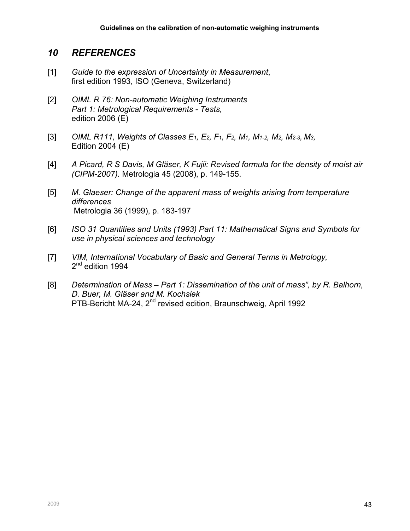# 10 REFERENCES

- [1] Guide to the expression of Uncertainty in Measurement, first edition 1993, ISO (Geneva, Switzerland)
- [2] OIML R 76: Non-automatic Weighing Instruments Part 1: Metrological Requirements - Tests, edition 2006 (E)
- [3] OIML R111, Weights of Classes E<sub>1</sub>, E<sub>2</sub>, F<sub>1</sub>, F<sub>2</sub>, M<sub>1</sub>, M<sub>1</sub>-2, M<sub>2</sub>, M<sub>2</sub>-3, M<sub>3</sub>, Edition 2004 (E)
- [4] A Picard, R S Davis, M Gläser, K Fujii: Revised formula for the density of moist air (CIPM-2007). Metrologia 45 (2008), p. 149-155.
- [5] M. Glaeser: Change of the apparent mass of weights arising from temperature differences Metrologia 36 (1999), p. 183-197
- [6] ISO 31 Quantities and Units (1993) Part 11: Mathematical Signs and Symbols for use in physical sciences and technology
- [7] VIM, International Vocabulary of Basic and General Terms in Metrology, 2<sup>nd</sup> edition 1994
- [8] Determination of Mass Part 1: Dissemination of the unit of mass", by R. Balhorn, D. Buer, M. Gläser and M. Kochsiek PTB-Bericht MA-24, 2<sup>nd</sup> revised edition, Braunschweig, April 1992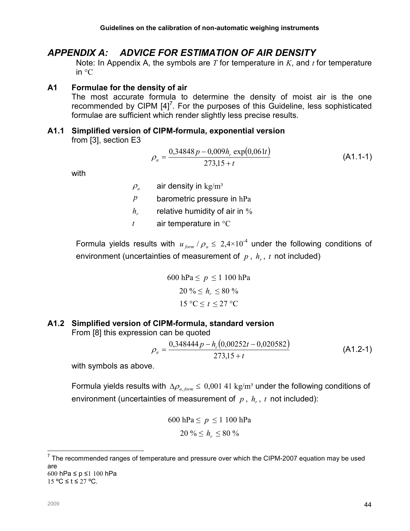# APPENDIX A: ADVICE FOR ESTIMATION OF AIR DENSITY

Note: In Appendix A, the symbols are T for temperature in K, and  $t$  for temperature in °C

#### A1 Formulae for the density of air

The most accurate formula to determine the density of moist air is the one recommended by CIPM  $[4]^7$ . For the purposes of this Guideline, less sophisticated formulae are sufficient which render slightly less precise results.

# A1.1 Simplified version of CIPM-formula, exponential version

from [3], section E3

$$
\rho_a = \frac{0,34848p - 0,009h_r \exp(0,061t)}{273,15 + t}
$$
\n(A1.1-1)

with

 $\rho_a$  air density in kg/m<sup>3</sup>

- $p$  barometric pressure in hPa
- $h_{\nu}$ relative humidity of air in %
- $t$  air temperature in  ${}^{\circ}C$

Formula yields results with  $u_{\text{form}}/\rho_a \leq 2.4 \times 10^{-4}$  under the following conditions of environment (uncertainties of measurement of  $p$ ,  $h<sub>r</sub>$ ,  $t$  not included)

600 hPa 
$$
\leq p \leq 1\ 100
$$
 hPa  
20 %  $\leq h_r \leq 80$  %  
15 °C  $\leq t \leq 27$  °C

## A1.2 Simplified version of CIPM-formula, standard version

From [8] this expression can be quoted

$$
\rho_a = \frac{0,348444p - h_r(0,00252t - 0,020582)}{273,15 + t}
$$
\n(A1.2-1)

with symbols as above.

Formula yields results with  $\Delta \rho_{a, form} \leq 0,001$  41 kg/m<sup>3</sup> under the following conditions of environment (uncertainties of measurement of  $p$  ,  $h_r$  ,  $t$  not included):

600 hPa 
$$
\leq p \leq 1 100
$$
 hPa  
20 %  $\leq h_r \leq 80$  %

15 °C ≤ t ≤ 27 °C.

<sup>————————————————————&</sup>lt;br><sup>7</sup> The recommended ranges of temperature and pressure over which the CIPM-2007 equation may be used are 600 hPa ≤ p ≤1 100 hPa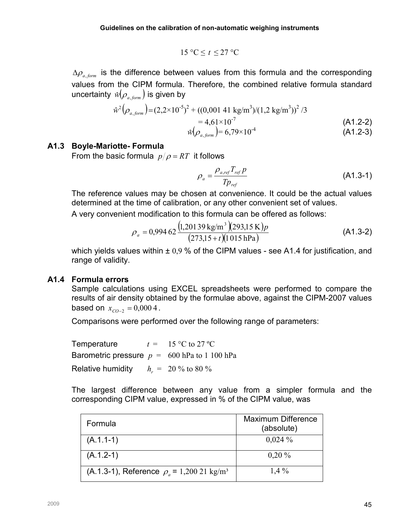$$
15 \, \mathrm{°C} \leq t \leq 27 \, \mathrm{°C}
$$

 $\Delta\rho_{a, form}$  is the difference between values from this formula and the corresponding values from the CIPM formula. Therefore, the combined relative formula standard uncertainty  $\hat{w}(\rho_{a-form})$  is given by

$$
\hat{w}^{2}(\rho_{a,form}) = (2,2 \times 10^{-5})^{2} + ((0,001 \ 41 \ \text{kg/m}^{3})/(1,2 \ \text{kg/m}^{3}))^{2}/3
$$
\n
$$
= 4,61 \times 10^{-7}
$$
\n
$$
\hat{w}(\rho_{a,form}) = 6,79 \times 10^{-4}
$$
\n
$$
(A1.2-2)
$$
\n
$$
(A1.2-3)
$$

#### A1.3 Boyle-Mariotte- Formula

From the basic formula  $p/\rho = RT$  it follows

$$
\rho_a = \frac{\rho_{a,ref} T_{ref} p}{T p_{ref}} \tag{A1.3-1}
$$

The reference values may be chosen at convenience. It could be the actual values determined at the time of calibration, or any other convenient set of values.

A very convenient modification to this formula can be offered as follows:

$$
\rho_a = 0.99462 \frac{\left(1,20139 \text{ kg/m}^3\right)\left(293,15 \text{ K}\right)p}{\left(273,15+t\right)\left(1015 \text{ hPa}\right)}\tag{A1.3-2}
$$

which yields values within  $\pm$  0,9 % of the CIPM values - see A1.4 for justification, and range of validity.

#### A1.4 Formula errors

Sample calculations using EXCEL spreadsheets were performed to compare the results of air density obtained by the formulae above, against the CIPM-2007 values based on  $x_{CO-2} = 0,0004$ .

Comparisons were performed over the following range of parameters:

Temperature  $t = 15 \degree C$  to 27 °C Barometric pressure  $p = 600$  hPa to 1 100 hPa Relative humidity  $h = 20\%$  to 80 %

The largest difference between any value from a simpler formula and the corresponding CIPM value, expressed in % of the CIPM value, was

| Formula                                                | <b>Maximum Difference</b><br>(absolute) |
|--------------------------------------------------------|-----------------------------------------|
| $(A.1.1-1)$                                            | $0,024\%$                               |
| $(A.1.2-1)$                                            | $0,20\%$                                |
| (A.1.3-1), Reference $\rho_a = 1,20021 \text{ kg/m}^3$ | $1,4\%$                                 |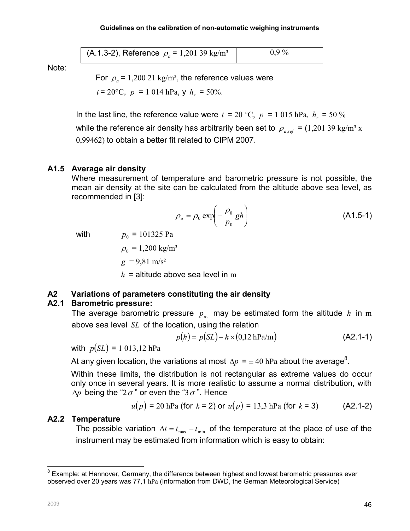(A.1.3-2), Reference  $\rho_a = 1,20139 \text{ kg/m}^3$  | 0,9 %

Note:

For  $\rho_a$  = 1,200 21 kg/m<sup>3</sup>, the reference values were

 $t = 20^{\circ}\text{C}, p = 1014 \text{ hPa}, \text{y} \text{ } h_r = 50\%$ .

In the last line, the reference value were  $t = 20$  °C,  $p = 1015$  hPa,  $h_r = 50$  % while the reference air density has arbitrarily been set to  $\rho_{\text{avof}} = (1,20139 \text{ kg/m}^3 \text{ x})$ 0,99462) to obtain a better fit related to CIPM 2007.

## A1.5 Average air density

Where measurement of temperature and barometric pressure is not possible, the mean air density at the site can be calculated from the altitude above sea level, as recommended in [3]:

$$
\rho_a = \rho_0 \exp\left(-\frac{\rho_0}{p_0}gh\right) \tag{A1.5-1}
$$

with

 $p_0$  = 101325 Pa

 $\rho_0 = 1,200 \text{ kg/m}^3$  $g = 9.81$  m/s<sup>2</sup>  $h =$  altitude above sea level in m

## A2 Variations of parameters constituting the air density

## A2.1 Barometric pressure:

The average barometric pressure  $p_{av}$  may be estimated form the altitude h in m above sea level SL of the location, using the relation

$$
p(h) = p(SL) - h \times (0.12 \text{ hPa/m})
$$
 (A2.1-1)

with  $p(SL) = 1013,12$  hPa

At any given location, the variations at most  $\Delta p = \pm\,40$  hPa about the average $^8$ .

Within these limits, the distribution is not rectangular as extreme values do occur only once in several years. It is more realistic to assume a normal distribution, with  $\Delta p$  being the "2 $\sigma$ " or even the "3 $\sigma$ ". Hence

$$
u(p) = 20 \text{ hPa (for } k = 2) \text{ or } u(p) = 13.3 \text{ hPa (for } k = 3)
$$
 (A2.1-2)

## A2.2 Temperature

The possible variation  $\Delta t = t_{\text{max}} - t_{\text{min}}$  of the temperature at the place of use of the instrument may be estimated from information which is easy to obtain:

 $\overline{a}$  $8$  Example: at Hannover, Germany, the difference between highest and lowest barometric pressures ever observed over 20 years was 77,1 hPa (Information from DWD, the German Meteorological Service)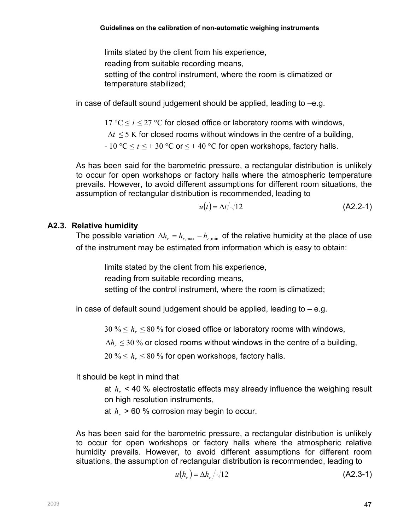limits stated by the client from his experience,

reading from suitable recording means,

setting of the control instrument, where the room is climatized or temperature stabilized;

in case of default sound judgement should be applied, leading to –e.g.

17 °C  $\leq t \leq 27$  °C for closed office or laboratory rooms with windows,

 $\Delta t \leq 5$  K for closed rooms without windows in the centre of a building,

- 10 °C  $\leq t \leq$  + 30 °C or  $\leq$  + 40 °C for open workshops, factory halls.

As has been said for the barometric pressure, a rectangular distribution is unlikely to occur for open workshops or factory halls where the atmospheric temperature prevails. However, to avoid different assumptions for different room situations, the assumption of rectangular distribution is recommended, leading to

$$
u(t) = \Delta t / \sqrt{12} \tag{A2.2-1}
$$

## A2.3. Relative humidity

The possible variation  $\Delta h_r = h_{r,\text{max}} - h_{r,\text{min}}$  of the relative humidity at the place of use of the instrument may be estimated from information which is easy to obtain:

limits stated by the client from his experience, reading from suitable recording means, setting of the control instrument, where the room is climatized;

in case of default sound judgement should be applied, leading to  $-$  e.g.

30 %  $\leq h_{r} \leq$  80 % for closed office or laboratory rooms with windows,

∆ $h_r$  ≤ 30 % or closed rooms without windows in the centre of a building,

 $20\:\% \leq h_{r} \leq 80\:\%$  for open workshops, factory halls.

It should be kept in mind that

at  $h_r$  < 40 % electrostatic effects may already influence the weighing result on high resolution instruments,

at  $h_r$  > 60 % corrosion may begin to occur.

As has been said for the barometric pressure, a rectangular distribution is unlikely to occur for open workshops or factory halls where the atmospheric relative humidity prevails. However, to avoid different assumptions for different room situations, the assumption of rectangular distribution is recommended, leading to

$$
u(hr) = \Delta hr/\sqrt{12}
$$
 (A2.3-1)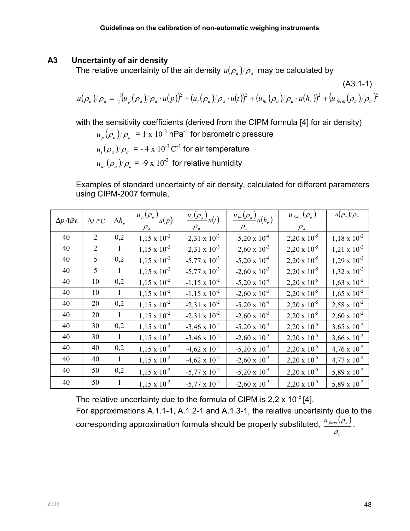#### A3 Uncertainty of air density

The relative uncertainty of the air density  $\mathit{u}(\rho_{\scriptscriptstyle a})\!/\rho_{\scriptscriptstyle a}\!$  may be calculated by

$$
u(\rho_a)/\rho_a = \sqrt{(u_p(\rho_a)/\rho_a \cdot u(p))^2 + (u_t(\rho_a)/\rho_a \cdot u(t))^2 + (u_{hr}(\rho_a)/\rho_a \cdot u(h_r))^2 + (u_{form}(\rho_a)/\rho_a)^2}
$$
 (A3.1-1)

with the sensitivity coefficients (derived from the CIPM formula [4] for air density)

 $u_{p}(\rho_{a})/\rho_{a}$  = 1 x 10<sup>-3</sup> hPa<sup>-1</sup> for barometric pressure  $u_t(\rho_a)/\rho_a$  = - 4 x 10<sup>-3</sup> C<sup>-1</sup> for air temperature

$$
u_{hr}(\rho_a)/\rho_a
$$
 = -9 x 10<sup>-3</sup> for relative humidity

Examples of standard uncertainty of air density, calculated for different parameters using CIPM-2007 formula,

| $\Delta p$ /hPa | $\Delta t$ /°C | $\Delta h_r$ | $\overline{u_p(\rho_a)}_{u(p)}$<br>$\rho_a$ | $\frac{u_t(\rho_a)}{u(t)}$<br>$\rho_a$ | $u_{hr}(\rho_a)_{u(h_r)}$<br>$\rho_a$ | $u_{\text{form}}(\rho_a)$<br>$\rho_a$ | $u(\rho_a)/\rho_a$    |
|-----------------|----------------|--------------|---------------------------------------------|----------------------------------------|---------------------------------------|---------------------------------------|-----------------------|
| 40              | 2              | 0,2          | $1,15 \times 10^{-2}$                       | $-2,31 \times 10^{-3}$                 | $-5,20 \times 10^{-4}$                | $2,20 \times 10^{-5}$                 | $1,18 \times 10^{-2}$ |
| 40              | 2              | 1            | $1,15 \times 10^{-2}$                       | $-2,31 \times 10^{-3}$                 | $-2,60 \times 10^{-3}$                | $2,20 \times 10^{-5}$                 | $1,21 \times 10^{-2}$ |
| 40              | 5              | 0,2          | $1,15 \times 10^{-2}$                       | $-5,77 \times 10^{-3}$                 | $-5,20 \times 10^{-4}$                | $2,20 \times 10^{-5}$                 | $1,29 \times 10^{-2}$ |
| 40              | 5              | 1            | $1,15 \times 10^{-2}$                       | $-5,77 \times 10^{-3}$                 | $-2,60 \times 10^{-3}$                | $2,20 \times 10^{-5}$                 | $1,32 \times 10^{-2}$ |
| 40              | 10             | 0,2          | $1,15 \times 10^{-2}$                       | $-1,15 \times 10^{-2}$                 | $-5,20 \times 10^{-4}$                | $2,20 \times 10^{-5}$                 | $1,63 \times 10^{-2}$ |
| 40              | 10             | $\mathbf{1}$ | $1,15 \times 10^{-2}$                       | $-1,15 \times 10^{-2}$                 | $-2,60 \times 10^{-3}$                | $2,20 \times 10^{-5}$                 | $1,65 \times 10^{-2}$ |
| 40              | 20             | 0,2          | $1,15 \times 10^{-2}$                       | $-2,31 \times 10^{-2}$                 | $-5,20 \times 10^{-4}$                | $2,20 \times 10^{-5}$                 | $2,58 \times 10^{-2}$ |
| 40              | 20             | $\mathbf{1}$ | $1,15 \times 10^{-2}$                       | $-2,31 \times 10^{-2}$                 | $-2,60 \times 10^{-3}$                | $2,20 \times 10^{-5}$                 | $2,60 \times 10^{-2}$ |
| 40              | 30             | 0,2          | $1,15 \times 10^{-2}$                       | $-3,46 \times 10^{-2}$                 | $-5,20 \times 10^{-4}$                | $2,20 \times 10^{-5}$                 | $3,65 \times 10^{-2}$ |
| 40              | 30             | $\mathbf{1}$ | $1,15 \times 10^{-2}$                       | $-3,46 \times 10^{-2}$                 | $-2,60 \times 10^{-3}$                | $2,20 \times 10^{-5}$                 | $3,66 \times 10^{-2}$ |
| 40              | 40             | 0,2          | $1,15 \times 10^{-2}$                       | $-4,62 \times 10^{-2}$                 | $-5,20 \times 10^{-4}$                | $2,20 \times 10^{-5}$                 | $4,76 \times 10^{-2}$ |
| 40              | 40             | 1            | $1,15 \times 10^{-2}$                       | $-4,62 \times 10^{-2}$                 | $-2,60 \times 10^{-3}$                | $2,20 \times 10^{-5}$                 | $4,77 \times 10^{-2}$ |
| 40              | 50             | 0,2          | $1,15 \times 10^{-2}$                       | $-5,77 \times 10^{-2}$                 | $-5,20 \times 10^{-4}$                | $2,20 \times 10^{-5}$                 | 5,89 x $10^{-2}$      |
| 40              | 50             |              | $1,15 \times 10^{-2}$                       | $-5,77 \times 10^{-2}$                 | $-2,60 \times 10^{-3}$                | $2,20 \times 10^{-5}$                 | 5,89 x $10^{-2}$      |

The relative uncertainty due to the formula of CIPM is  $2.2 \times 10^{-5}$  [4].

For approximations A.1.1-1, A.1.2-1 and A.1.3-1, the relative uncertainty due to the corresponding approximation formula should be properly substituted,  $\frac{u_{\mathit{form}}(\rho_{\mathit{a}})}{w_{\mathit{a}}(\rho_{\mathit{a}})}$ a  $u$  <sub>form</sub>  $(\rho_{\scriptscriptstyle a}$ ρ  $\frac{\rho_a}{\rho_a}$ .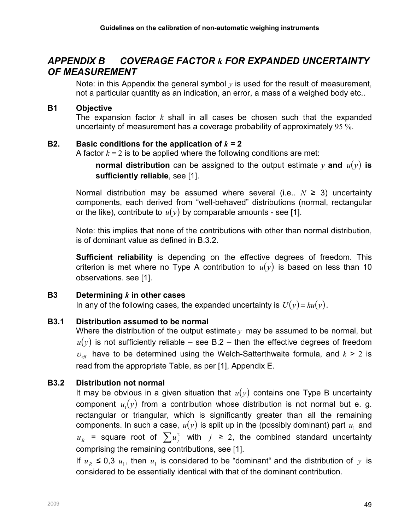# APPENDIX B COVERAGE FACTOR k FOR EXPANDED UNCERTAINTY OF MEASUREMENT

Note: in this Appendix the general symbol  $\nu$  is used for the result of measurement, not a particular quantity as an indication, an error, a mass of a weighed body etc..

#### B1 Objective

The expansion factor  $k$  shall in all cases be chosen such that the expanded uncertainty of measurement has a coverage probability of approximately 95 %.

#### B2. Basic conditions for the application of  $k = 2$

A factor  $k = 2$  is to be applied where the following conditions are met:

**normal distribution** can be assigned to the output estimate y and  $u(y)$  is sufficiently reliable, see [1].

Normal distribution may be assumed where several (i.e.,  $N \geq 3$ ) uncertainty components, each derived from "well-behaved" distributions (normal, rectangular or the like), contribute to  $u(y)$  by comparable amounts - see [1].

Note: this implies that none of the contributions with other than normal distribution, is of dominant value as defined in B.3.2.

**Sufficient reliability** is depending on the effective degrees of freedom. This criterion is met where no Type A contribution to  $u(y)$  is based on less than 10 observations. see [1].

## B3 Determining  $k$  in other cases

In any of the following cases, the expanded uncertainty is  $U(y) = ku(y)$ .

#### B3.1 Distribution assumed to be normal

Where the distribution of the output estimate  $y$  may be assumed to be normal, but  $u(y)$  is not sufficiently reliable – see B.2 – then the effective degrees of freedom  $v_{\text{eff}}$  have to be determined using the Welch-Satterthwaite formula, and  $k > 2$  is read from the appropriate Table, as per [1], Appendix E.

## B3.2 Distribution not normal

It may be obvious in a given situation that  $u(y)$  contains one Type B uncertainty component  $u_1(y)$  from a contribution whose distribution is not normal but e. g. rectangular or triangular, which is significantly greater than all the remaining components. In such a case,  $u(y)$  is split up in the (possibly dominant) part  $u_1$  and  $u_R$  = square root of  $\sum u_j^2$  with  $j \ge 2$ , the combined standard uncertainty comprising the remaining contributions, see [1].

If  $u_R \leq 0.3$   $u_1$ , then  $u_1$  is considered to be "dominant" and the distribution of y is considered to be essentially identical with that of the dominant contribution.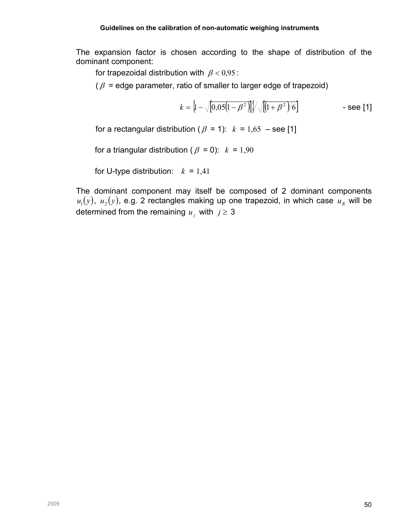The expansion factor is chosen according to the shape of distribution of the dominant component:

for trapezoidal distribution with  $\beta < 0.95$ :

 $(\beta =$  edge parameter, ratio of smaller to larger edge of trapezoid)

$$
k = \left\{1 - \sqrt{[0.05(1 - \beta^2)]}\right\} / \sqrt{[(1 + \beta^2)]/6}
$$
 - see [1]

for a rectangular distribution ( $\beta$  = 1):  $k$  = 1,65 – see [1]

for a triangular distribution ( $\beta = 0$ ):  $k = 1,90$ 

for U-type distribution:  $k = 1,41$ 

The dominant component may itself be composed of 2 dominant components  $u_1(y)$ ,  $u_2(y)$ , e.g. 2 rectangles making up one trapezoid, in which case  $u_{\scriptscriptstyle R}$  will be determined from the remaining  $u_j$  with  $j \geq 3$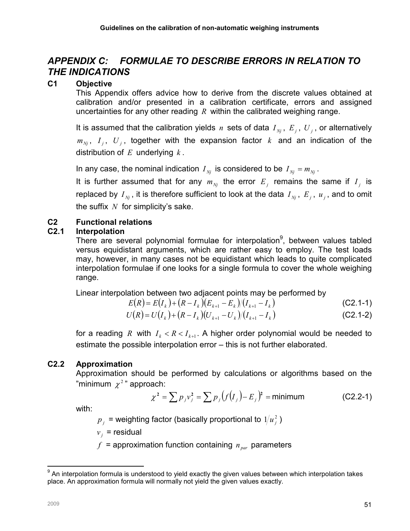# APPENDIX C: FORMULAE TO DESCRIBE ERRORS IN RELATION TO THE INDICATIONS

## C1 Objective

This Appendix offers advice how to derive from the discrete values obtained at calibration and/or presented in a calibration certificate, errors and assigned uncertainties for any other reading  $R$  within the calibrated weighing range.

It is assumed that the calibration yields n sets of data  $I_{Nj}$ ,  $E_j$ ,  $U_j$ , or alternatively  $m_{_{Nj}}$ ,  $I_j$ ,  $U_j$ , together with the expansion factor  $k$  and an indication of the distribution of  $E$  underlying  $k$ .

In any case, the nominal indication  $I_{\scriptscriptstyle N_i}$  is considered to be  $I_{\scriptscriptstyle N_i} = m_{\scriptscriptstyle N_i}$ .

It is further assumed that for any  $m_{Nj}$  the error  $E_j$  remains the same if  $I_j$  is replaced by  $I_{\scriptscriptstyle Nj}$  , it is therefore sufficient to look at the data  $I_{\scriptscriptstyle Nj}$  ,  $\,E_{\scriptscriptstyle j}$  ,  $\,u_{\scriptscriptstyle j}$  , and to omit the suffix  $N$  for simplicity's sake.

## C2 Functional relations

## C2.1 Interpolation

There are several polynomial formulae for interpolation<sup>9</sup>, between values tabled versus equidistant arguments, which are rather easy to employ. The test loads may, however, in many cases not be equidistant which leads to quite complicated interpolation formulae if one looks for a single formula to cover the whole weighing range.

Linear interpolation between two adjacent points may be performed by

$$
E(R) = E(I_k) + (R - I_k)(E_{k+1} - E_k)/(I_{k+1} - I_k)
$$
\n(C2.1-1)

$$
U(R) = U(I_k) + (R - I_k)(U_{k+1} - U_k)/(I_{k+1} - I_k)
$$
\n(C2.1-2)

for a reading R with  $I_k < R < I_{k+1}$ . A higher order polynomial would be needed to estimate the possible interpolation error – this is not further elaborated.

## C2.2 Approximation

Approximation should be performed by calculations or algorithms based on the "minimum  $\chi^2$ " approach:

$$
\chi^2 = \sum p_j v_j^2 = \sum p_j (f(I_j) - E_j)^2 = \text{minimum} \tag{C2.2-1}
$$

with:

 $p_{\overline{j}}$  = weighting factor (basically proportional to  $1\!/u_{\overline{j}}^2$  )

 $v_j$  = residual

 $f$  = approximation function containing  $n_{\text{par}}$  parameters

 $\overline{a}$ <sup>9</sup> An interpolation formula is understood to yield exactly the given values between which interpolation takes place. An approximation formula will normally not yield the given values exactly.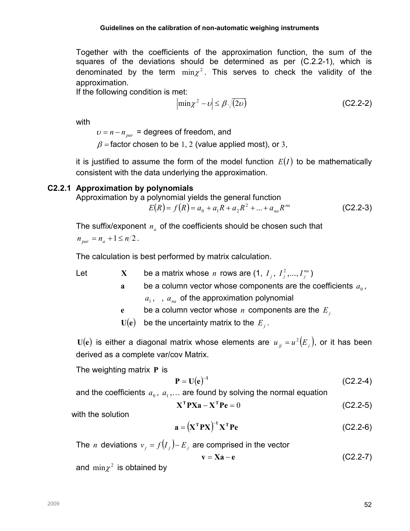Together with the coefficients of the approximation function, the sum of the squares of the deviations should be determined as per (C.2.2-1), which is denominated by the term  $\min z^2$ . This serves to check the validity of the approximation.

If the following condition is met:

$$
\left|\min \chi^2 - \upsilon\right| \le \beta \sqrt{(2\upsilon)}\tag{C2.2-2}
$$

with

 $v = n - n_{\text{par}}$  = degrees of freedom, and

 $\beta$  = factor chosen to be 1, 2 (value applied most), or 3,

it is justified to assume the form of the model function  $E(I)$  to be mathematically consistent with the data underlying the approximation.

#### C2.2.1 Approximation by polynomials

Approximation by a polynomial yields the general function

 $E(R) = f(R) = a_0 + a_1 R + a_2 R^2 + ... + a_{na} R^{na}$  $0 + u_1$ 1  $u_2$ (C2.2-3)

The suffix/exponent  $n_a$  of the coefficients should be chosen such that  $n_{\text{par}} = n_a + 1 \le n/2$ .

The calculation is best performed by matrix calculation.

Let  $X$  be a matrix whose n rows are (1,  $I_j$ ,  $I_j^2$  $I_j^2,...,I_j^{na}$  $I_j^{na}$ )

> a be a column vector whose components are the coefficients  $a_0$ ,  $a_1$ , ,  $a_{na}$  of the approximation polynomial

- e be a column vector whose *n* components are the  $E_j$
- $U(e)$  be the uncertainty matrix to the  $E_j$ .

 $U(e)$  is either a diagonal matrix whose elements are  $u_{ij} = u^2(E_j)$ , or it has been derived as a complete var/cov Matrix.

The weighting matrix P is

$$
P = U(e)^{-1}
$$
 (C2.2-4)

and the coefficients  $a_0, a_1,...$  are found by solving the normal equation

$$
\mathbf{X}^{\mathrm{T}} \mathbf{P} \mathbf{X} \mathbf{a} - \mathbf{X}^{\mathrm{T}} \mathbf{P} \mathbf{e} = 0 \tag{C2.2-5}
$$

with the solution

$$
\mathbf{a} = (\mathbf{X}^{\mathrm{T}} \mathbf{P} \mathbf{X})^{-1} \mathbf{X}^{\mathrm{T}} \mathbf{P} \mathbf{e}
$$
 (C2.2-6)

The *n* deviations  $v_j = f(I_j) - E_j$  are comprised in the vector

$$
v = Xa - e \tag{C2.2-7}
$$

and  $\min \chi^2$  is obtained by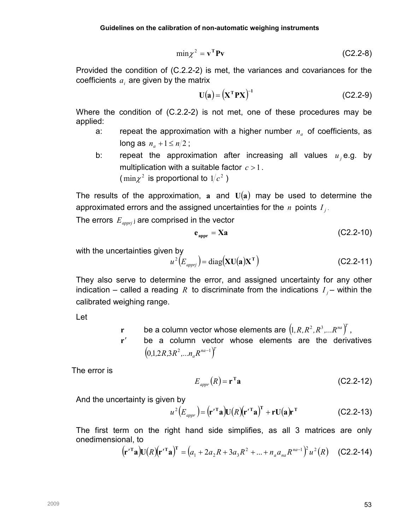$$
\min \chi^2 = \mathbf{v}^{\mathrm{T}} \mathbf{P} \mathbf{v} \tag{C2.2-8}
$$

Provided the condition of (C.2.2-2) is met, the variances and covariances for the coefficients  $a_i$  are given by the matrix

$$
\mathbf{U}(\mathbf{a}) = (\mathbf{X}^{\mathrm{T}} \mathbf{P} \mathbf{X})^{-1} \tag{C2.2-9}
$$

Where the condition of (C.2.2-2) is not met, one of these procedures may be applied:

- a: repeat the approximation with a higher number  $n_a$  of coefficients, as long as  $n_a + 1 \le n/2$ ;
- b: repeat the approximation after increasing all values  $u_j$ e.g. by multiplication with a suitable factor  $c > 1$ . (min $\chi^2$  is proportional to  $1/c^2$  )

The results of the approximation, a and  $U(a)$  may be used to determine the approximated errors and the assigned uncertainties for the  $n$  points  $I_j$ .

The errors  $E_{appri}$  are comprised in the vector

$$
e_{\text{appr}} = Xa \tag{C2.2-10}
$$

with the uncertainties given by

$$
u^{2}(E_{\text{approx}}) = \text{diag}(\mathbf{X} \mathbf{U}(\mathbf{a}) \mathbf{X}^{\mathrm{T}})
$$
 (C2.2-11)

They also serve to determine the error, and assigned uncertainty for any other indication – called a reading R to discriminate from the indications  $I_j$ – within the calibrated weighing range.

Let

- **r** be a column vector whose elements are  $\left(1, R, R^2, R^3, ... R^{na}\right)^T$  ,
- r′ be a column vector whose elements are the derivatives  $\left( 0,1,2R,3R^{2},...n_{a}R^{na-1}\right) ^{T}$

The error is

$$
E_{\text{appr}}(R) = \mathbf{r}^{\mathrm{T}} \mathbf{a} \tag{C2.2-12}
$$

And the uncertainty is given by

$$
u^{2}(E_{\text{appr}}) = (\mathbf{r}^{\prime \mathrm{T}} \mathbf{a}) \mathbf{U}(R) (\mathbf{r}^{\prime \mathrm{T}} \mathbf{a})^{\mathrm{T}} + \mathbf{r} \mathbf{U}(\mathbf{a}) \mathbf{r}^{\mathrm{T}}
$$
 (C2.2-13)

The first term on the right hand side simplifies, as all 3 matrices are only onedimensional, to

$$
(\mathbf{r'}^{\mathrm{T}}\mathbf{a})\mathbf{U}(R)(\mathbf{r'}^{\mathrm{T}}\mathbf{a})^{\mathrm{T}} = (a_1 + 2a_2R + 3a_3R^2 + ... + n_a a_{na}R^{na-1})^2u^2(R) \quad \text{(C2.2-14)}
$$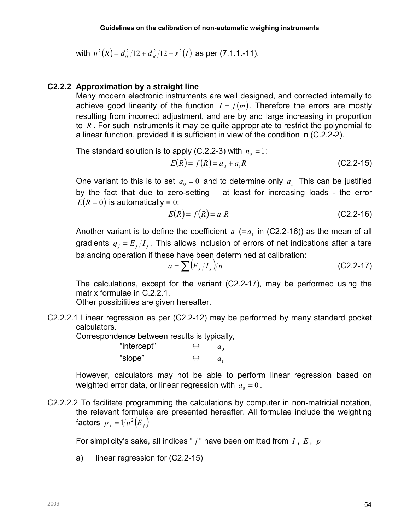with 
$$
u^2(R) = d_0^2/12 + d_R^2/12 + s^2(I)
$$
 as per (7.1.1.11).

#### C2.2.2 Approximation by a straight line

Many modern electronic instruments are well designed, and corrected internally to achieve good linearity of the function  $I = f(m)$ . Therefore the errors are mostly resulting from incorrect adjustment, and are by and large increasing in proportion to  $R$ . For such instruments it may be quite appropriate to restrict the polynomial to a linear function, provided it is sufficient in view of the condition in (C.2.2-2).

The standard solution is to apply (C.2.2-3) with  $n_a = 1$ :

$$
E(R) = f(R) = a_0 + a_1 R
$$
 (C2.2-15)

One variant to this is to set  $a_0 = 0$  and to determine only  $a_1$ . This can be justified by the fact that due to zero-setting – at least for increasing loads - the error  $E(R = 0)$  is automatically = 0:

$$
E(R) = f(R) = a_1 R
$$
 (C2.2-16)

Another variant is to define the coefficient  $a$  (= $a<sub>1</sub>$  in (C2.2-16)) as the mean of all gradients  $q_{j} = E_{j}/I_{j}$  . This allows inclusion of errors of net indications after a tare balancing operation if these have been determined at calibration:

$$
a = \sum (E_j / I_j)/n
$$
 (C2.2-17)

The calculations, except for the variant (C2.2-17), may be performed using the matrix formulae in C.2.2.1.

Other possibilities are given hereafter.

C2.2.2.1 Linear regression as per (C2.2-12) may be performed by many standard pocket calculators.

Correspondence between results is typically,

| "intercept" | $\Leftrightarrow$ | $a_{\alpha}$ |
|-------------|-------------------|--------------|
| "slope"     | $\Leftrightarrow$ | $a_{1}$      |

However, calculators may not be able to perform linear regression based on weighted error data, or linear regression with  $a_0 = 0$ .

C2.2.2.2 To facilitate programming the calculations by computer in non-matricial notation, the relevant formulae are presented hereafter. All formulae include the weighting factors  $p_{j} = 1/u^{2}(E_{j})$ 

For simplicity's sake, all indices "  $j$ " have been omitted from  $I$ ,  $E$ ,  $p$ 

a) linear regression for (C2.2-15)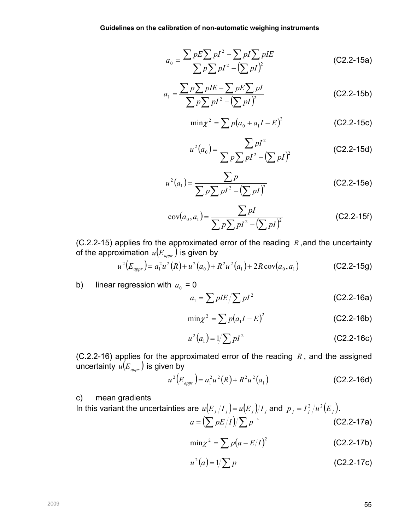$$
a_0 = \frac{\sum pE \sum pI^2 - \sum pI \sum pIE}{\sum p\sum pI^2 - (\sum pI)^2}
$$
 (C2.2-15a)

$$
a_1 = \frac{\sum p \sum pIE - \sum pE \sum pI}{\sum p I^2 - (\sum pI)^2}
$$
 (C2.2-15b)

$$
\min \chi^2 = \sum p(a_0 + a_1 I - E)^2
$$
 (C2.2-15c)

$$
u^{2}(a_{0}) = \frac{\sum pI^{2}}{\sum p\sum pI^{2} - (\sum pI)^{2}}
$$
 (C2.2-15d)

$$
u^{2}(a_{1}) = \frac{\sum p}{\sum p \sum pI^{2} - (\sum pI)^{2}}
$$
 (C2.2-15e)

$$
cov(a_0, a_1) = \frac{\sum pI}{\sum p\sum pI^2 - (\sum pI)^2}
$$
 (C2.2-15f)

(C.2.2-15) applies fro the approximated error of the reading  $R$ , and the uncertainty of the approximation  $\,u(E_{_{appr}}\,)$  is given by

$$
u^{2}(E_{appr}) = a_{1}^{2}u^{2}(R) + u^{2}(a_{0}) + R^{2}u^{2}(a_{1}) + 2R \cos(a_{0}, a_{1})
$$
 (C2.2-15g)

b) linear regression with  $a_0 = 0$ 

$$
a_1 = \sum pIE / \sum pI^2
$$
 (C2.2-16a)

$$
\min \chi^2 = \sum p(a_1 I - E)^2
$$
 (C2.2-16b)

$$
u^{2}(a_{1}) = 1/\sum pI^{2}
$$
 (C2.2-16c)

(C.2.2-16) applies for the approximated error of the reading  $R$ , and the assigned uncertainty  $\mathit{u}( E_{\mathit{appr}})$  is given by

$$
u^{2}(E_{\text{appr}}) = a_{1}^{2}u^{2}(R) + R^{2}u^{2}(a_{1})
$$
 (C2.2-16d)

c) mean gradients

In this variant the uncertainties are 
$$
u(E_j/I_j) = u(E_j)/I_j
$$
 and  $p_j = I_j^2/u^2(E_j)$ .  
\n
$$
a = \left(\sum pE/I\right)/\sum p
$$
 (C2.2-17a)

$$
\min z^2 = \sum p(a - E/I)^2
$$
 (C2.2-17b)

$$
u^{2}(a) = 1/\sum p
$$
 (C2.2-17c)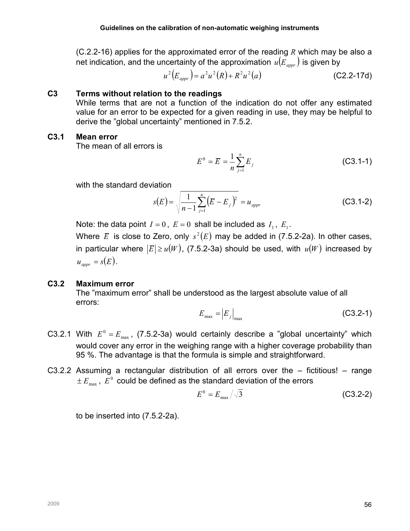$(C.2.2-16)$  applies for the approximated error of the reading R which may be also a net indication, and the uncertainty of the approximation  $\hat{u(E_{\mathit{appr}})}$  is given by

 $u^{2}(E_{appr}) = a^{2}u^{2}(R) + R^{2}u^{2}(a)$  (C2.2-17d)

#### C3 Terms without relation to the readings

While terms that are not a function of the indication do not offer any estimated value for an error to be expected for a given reading in use, they may be helpful to derive the "global uncertainty" mentioned in 7.5.2.

#### C3.1 Mean error

The mean of all errors is

$$
E^{0} = \overline{E} = \frac{1}{n} \sum_{j=1}^{n} E_{j}
$$
 (C3.1-1)

with the standard deviation

$$
s(E) = \sqrt{\frac{1}{n-1} \sum_{j=1}^{n} (E - E_j)^2} = u_{appr}
$$
 (C3.1-2)

Note: the data point  $I = 0$ ,  $E = 0$  shall be included as  $I_1$ ,  $E_1$ .

Where  $\overline{E}$  is close to Zero, only  $s^2(E)$  may be added in (7.5.2-2a). In other cases, in particular where  $|E| \ge u(W)$ , (7.5.2-3a) should be used, with  $u(W)$  increased by  $u_{appr} = s(E)$ .

## C3.2 Maximum error

The "maximum error" shall be understood as the largest absolute value of all errors:

$$
E_{\text{max}} = |E_j|_{\text{max}} \tag{C3.2-1}
$$

- C3.2.1 With  $E^0 = E_{\text{max}}$ , (7.5.2-3a) would certainly describe a "global uncertainty" which would cover any error in the weighing range with a higher coverage probability than 95 %. The advantage is that the formula is simple and straightforward.
- C3.2.2 Assuming a rectangular distribution of all errors over the fictitious! range  $\pm\,E_{\textrm{\tiny{max}}}$  ,  $E^{\textrm{0}}$  could be defined as the standard deviation of the errors

$$
E^0 = E_{\text{max}} / \sqrt{3} \tag{C3.2-2}
$$

to be inserted into (7.5.2-2a).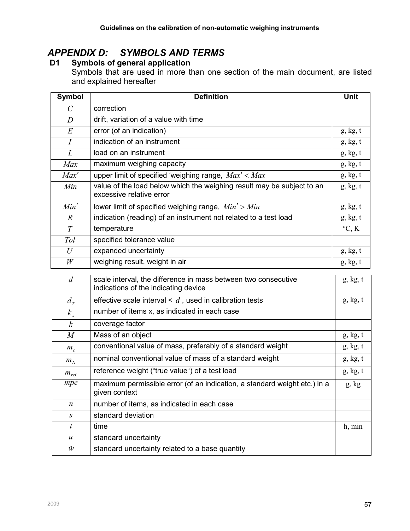# APPENDIX D: SYMBOLS AND TERMS

## D1 Symbols of general application

Symbols that are used in more than one section of the main document, are listed and explained hereafter

| Symbol           | <b>Definition</b>                                                                                  | Unit            |
|------------------|----------------------------------------------------------------------------------------------------|-----------------|
| $\mathcal{C}$    | correction                                                                                         |                 |
| $\boldsymbol{D}$ | drift, variation of a value with time                                                              |                 |
| $E_{\rm}$        | error (of an indication)                                                                           | g, kg, t        |
| $\overline{I}$   | indication of an instrument                                                                        | g, kg, t        |
| L                | load on an instrument                                                                              | g, kg, t        |
| Max              | maximum weighing capacity                                                                          | g, kg, t        |
| Max'             | upper limit of specified 'weighing range, $Max' < Max$                                             | g, kg, t        |
| Min              | value of the load below which the weighing result may be subject to an<br>excessive relative error | g, kg, t        |
| Min'             | lower limit of specified weighing range, $Min' > Min$                                              | g, kg, t        |
| $\overline{R}$   | indication (reading) of an instrument not related to a test load                                   | g, kg, t        |
| T                | temperature                                                                                        | $\mathrm{C}, K$ |
| Tol              | specified tolerance value                                                                          |                 |
| U                | expanded uncertainty                                                                               | g, kg, t        |
| W                | weighing result, weight in air                                                                     | g, kg, t        |

| $\overline{d}$   | scale interval, the difference in mass between two consecutive<br>indications of the indicating device | g, kg, t |
|------------------|--------------------------------------------------------------------------------------------------------|----------|
| $d_{\tau}$       | effective scale interval $\leq d$ , used in calibration tests                                          | g, kg, t |
| $k_{x}$          | number of items x, as indicated in each case                                                           |          |
| $\mathcal{k}$    | coverage factor                                                                                        |          |
| $\boldsymbol{M}$ | Mass of an object                                                                                      | g, kg, t |
| $m_c$            | conventional value of mass, preferably of a standard weight                                            | g, kg, t |
| $m_N$            | nominal conventional value of mass of a standard weight                                                | g, kg, t |
| $m_{ref}$        | reference weight ("true value") of a test load                                                         | g, kg, t |
| mpe              | maximum permissible error (of an indication, a standard weight etc.) in a<br>given context             | g, kg    |
| n                | number of items, as indicated in each case                                                             |          |
| $\mathcal{S}$    | standard deviation                                                                                     |          |
| t                | time                                                                                                   | h, min   |
| $\boldsymbol{u}$ | standard uncertainty                                                                                   |          |
| ŵ                | standard uncertainty related to a base quantity                                                        |          |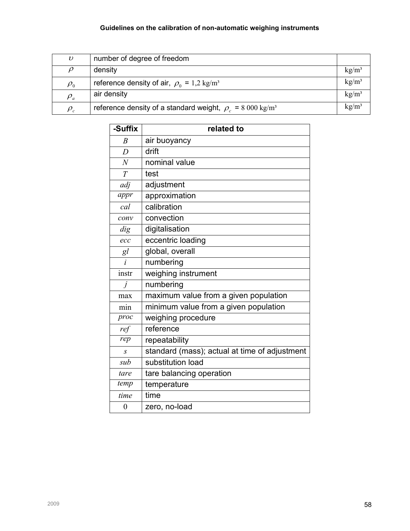## Guidelines on the calibration of non-automatic weighing instruments

| υ                             | number of degree of freedom                                              |          |
|-------------------------------|--------------------------------------------------------------------------|----------|
| $\rho$                        | density                                                                  | $kg/m^3$ |
| $\rho_{\scriptscriptstyle 0}$ | reference density of air, $\rho_0 = 1.2 \text{ kg/m}^3$                  | $kg/m^3$ |
| $\rho_a$                      | air density                                                              | $kg/m^3$ |
| $\rho_c$                      | reference density of a standard weight, $\rho$ = 8 000 kg/m <sup>3</sup> | $kg/m^3$ |

| -Suffix          | related to                                    |
|------------------|-----------------------------------------------|
| $\overline{B}$   | air buoyancy                                  |
| D                | drift                                         |
| $\overline{N}$   | nominal value                                 |
| $\overline{T}$   | test                                          |
| adj              | adjustment                                    |
| appr             | approximation                                 |
| cal              | calibration                                   |
| conv             | convection                                    |
| dig              | digitalisation                                |
| ecc              | eccentric loading                             |
| gl               | global, overall                               |
| $\dot{i}$        | numbering                                     |
| instr            | weighing instrument                           |
| $\dot{I}$        | numbering                                     |
| max              | maximum value from a given population         |
| min              | minimum value from a given population         |
| proc             | weighing procedure                            |
| ref              | reference                                     |
| rep              | repeatability                                 |
| $\overline{S}$   | standard (mass); actual at time of adjustment |
| sub              | substitution load                             |
| tare             | tare balancing operation                      |
| temp             | temperature                                   |
| time             | time                                          |
| $\boldsymbol{0}$ | zero, no-load                                 |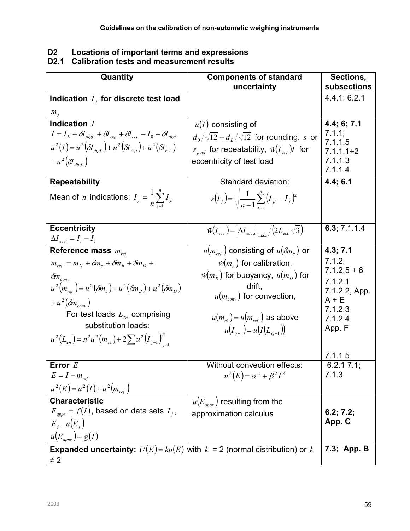| D <sub>2</sub> | Locations of important terms and expressions |
|----------------|----------------------------------------------|
|----------------|----------------------------------------------|

#### D2.1 Calibration tests and measurement results

| Quantity                                                                               | <b>Components of standard</b>                                       | Sections,                |
|----------------------------------------------------------------------------------------|---------------------------------------------------------------------|--------------------------|
|                                                                                        | uncertainty                                                         | subsections              |
| Indication $I_j$ for discrete test load                                                |                                                                     | 4.4.1; 6.2.1             |
| $m_i$                                                                                  |                                                                     |                          |
| Indication /                                                                           | $u(I)$ consisting of                                                | 4.4; 6; 7.1              |
| $I = I_L + \delta I_{digl.} + \delta I_{rep} + \delta I_{ecc} - I_0 - \delta I_{dig0}$ | $d_0/\sqrt{12}+d_1/\sqrt{12}$ for rounding, s or                    | 7.1.1;                   |
| $u^{2}(I) = u^{2}(\delta I_{diel.}) + u^{2}(\delta I_{rep.}) + u^{2}(\delta I_{ecc.})$ | $s_{pool}$ for repeatability, $\hat{w}(I_{ecc})I$ for               | 7.1.1.5<br>$7.1.1.1 + 2$ |
| + $u^2\left(\delta J_{div\ 0}\right)$                                                  | eccentricity of test load                                           | 7.1.1.3                  |
|                                                                                        |                                                                     | 7.1.1.4                  |
| <b>Repeatability</b>                                                                   | Standard deviation:                                                 | 4.4; 6.1                 |
| Mean of <i>n</i> indications: $I_j = \frac{1}{n} \sum_{i=1}^{n} I_{ji}$                |                                                                     |                          |
|                                                                                        | $s(I_j) = \sqrt{\frac{1}{n-1}\sum_{i=1}^{n}(I_{ji} - \bar{I}_j)^2}$ |                          |
|                                                                                        |                                                                     |                          |
| <b>Eccentricity</b>                                                                    | $\hat{w}(I_{ecc}) =  \Delta I_{ecc,i} _{max}/(2L_{ecc}\sqrt{3})$    | 6.3; $7.1.1.4$           |
| $\Delta I_{ecci} = I_i - I_1$                                                          |                                                                     |                          |
| Reference mass $m_{ref}$                                                               | $u(m_{ref})$ consisting of $u(\delta m_c)$ or                       | 4.3; 7.1                 |
| $m_{ref} = m_N + \delta m_c + \delta m_B + \delta m_D +$                               | $\hat{w}(m_c)$ for calibration,                                     | 7.1.2,                   |
| $\delta m_{\rm conv}$                                                                  | $\hat{w}(m_R)$ for buoyancy, $u(m_D)$ for                           | $7.1.2.5 + 6$            |
| $u^{2}(m_{ref}) = u^{2}(\delta m_{e}) + u^{2}(\delta m_{B}) + u^{2}(\delta m_{D})$     | drift,                                                              | 7.1.2.1                  |
|                                                                                        | $u(m_{conv})$ for convection,                                       | 7.1.2.2, App.<br>$A + E$ |
| $+u^2(\delta m_{conv})$                                                                |                                                                     | 7.1.2.3                  |
| For test loads $L_{T_n}$ comprising                                                    | $u(m_{c1}) = u(m_{ref})$ as above                                   | 7.1.2.4                  |
| substitution loads:                                                                    | $u(I_{i-1}) = u(I(L_{\tau_{i-1}}))$                                 | App. F                   |
| $u^{2}(L_{T_{n}}) = n^{2}u^{2}(m_{c1}) + 2\sum u^{2}(I_{j-1})_{i=1}^{n}$               |                                                                     |                          |
|                                                                                        |                                                                     | 7.1.1.5                  |
| Error $E$                                                                              | Without convection effects:                                         | 6.2.17.1;                |
| $E = I - m_{ref}$                                                                      | $u^{2}(E) = \alpha^{2} + \beta^{2}I^{2}$                            | 7.1.3                    |
| $u^{2}(E) = u^{2}(I) + u^{2}(m_{ref})$                                                 |                                                                     |                          |
| <b>Characteristic</b>                                                                  | $u(E_{\textit{apor}})$ resulting from the                           |                          |
| $E_{\textit{appr}} = f(I)$ , based on data sets $I_i$ ,                                | approximation calculus                                              | 6.2; 7.2;                |
| $E_i$ , $u(E_i)$                                                                       |                                                                     | App. C                   |
| $u(E_{appr})=g(I)$                                                                     |                                                                     |                          |
| <b>Expanded uncertainty:</b> $U(E) = ku(E)$ with $k = 2$ (normal distribution) or k    |                                                                     | 7.3; App. B              |
| $\neq$ 2                                                                               |                                                                     |                          |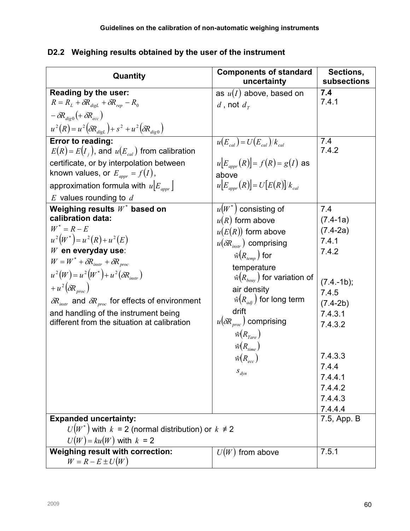| Quantity                                                                                                                                                                                                                                                                                                                                                                                                                                                                      | <b>Components of standard</b><br>uncertainty                                                                                                                                                                                                                                                                                                                           | Sections,<br>subsections                                                                                        |
|-------------------------------------------------------------------------------------------------------------------------------------------------------------------------------------------------------------------------------------------------------------------------------------------------------------------------------------------------------------------------------------------------------------------------------------------------------------------------------|------------------------------------------------------------------------------------------------------------------------------------------------------------------------------------------------------------------------------------------------------------------------------------------------------------------------------------------------------------------------|-----------------------------------------------------------------------------------------------------------------|
| Reading by the user:                                                                                                                                                                                                                                                                                                                                                                                                                                                          | as $u(I)$ above, based on                                                                                                                                                                                                                                                                                                                                              | 7.4                                                                                                             |
| $R = R_L + \delta R_{digL} + \delta R_{rep} - R_0$                                                                                                                                                                                                                                                                                                                                                                                                                            | d, not $d_r$                                                                                                                                                                                                                                                                                                                                                           | 7.4.1                                                                                                           |
| $-\delta R_{div0}$ (+ $\delta R_{ecc}$ )                                                                                                                                                                                                                                                                                                                                                                                                                                      |                                                                                                                                                                                                                                                                                                                                                                        |                                                                                                                 |
| $u^{2}(R) = u^{2}(\delta R_{diel.}) + s^{2} + u^{2}(\delta R_{dig.})$                                                                                                                                                                                                                                                                                                                                                                                                         |                                                                                                                                                                                                                                                                                                                                                                        |                                                                                                                 |
| Error to reading:<br>$E(R) = E(I_i)$ , and $u(E_{cal})$ from calibration                                                                                                                                                                                                                                                                                                                                                                                                      | $u(E_{cal}) = U(E_{cal})/k_{cal}$<br>$ u E_{\text{univ}}(R)  = f(R) = g(I)$ as                                                                                                                                                                                                                                                                                         | 7.4<br>7.4.2                                                                                                    |
| certificate, or by interpolation between<br>known values, or $E_{appr} = f(I)$ ,                                                                                                                                                                                                                                                                                                                                                                                              | above                                                                                                                                                                                                                                                                                                                                                                  |                                                                                                                 |
| approximation formula with $u[E_{\textit{appr}}]$                                                                                                                                                                                                                                                                                                                                                                                                                             | $ u _{E_{appr}}(R)  = U[E(R)]/k_{cal}$                                                                                                                                                                                                                                                                                                                                 |                                                                                                                 |
| $E$ values rounding to $d$                                                                                                                                                                                                                                                                                                                                                                                                                                                    |                                                                                                                                                                                                                                                                                                                                                                        |                                                                                                                 |
| Weighing results $W^*$ based on<br>calibration data:<br>$W^* = R - E$<br>$u^{2}(W^{*}) = u^{2}(R) + u^{2}(E)$<br>$W$ en everyday use:<br>$W = W^* + \delta R_{\text{instr}} + \delta R_{\text{proc}}$<br>$u^{2}(W) = u^{2}(W^{*}) + u^{2}(\delta R_{\text{inter}})$<br>$+u^2(\delta R_{n\alpha})$<br>$\delta R_{\text{instr}}$ and $\delta R_{\text{proc}}$ for effects of environment<br>and handling of the instrument being<br>different from the situation at calibration | $u(W^*)$ consisting of<br>$u(R)$ form above<br>$u(E(R))$ form above<br>$u(\delta R_{\text{instr}})$ comprising<br>$\hat{w}(R_{t_{\text{remn}}})$ for<br>temperature<br>$\hat{w}(R_{bow}$ ) for variation of<br>air density<br>$\hat{w}(R_{\text{adj}})$ for long term<br>drift<br>$u(\delta R_{\text{proc}})$ comprising<br>$\hat{w}(R_{Tare})$<br>$\hat{w}(R_{time})$ | 7.4<br>$(7.4-1a)$<br>$(7.4-2a)$<br>7.4.1<br>7.4.2<br>$(7.4 - 1b);$<br>7.4.5<br>$(7.4-2b)$<br>7.4.3.1<br>7.4.3.2 |
|                                                                                                                                                                                                                                                                                                                                                                                                                                                                               | $\hat{w}(R_{ecc})$<br>$S_{dyn}$                                                                                                                                                                                                                                                                                                                                        | 7.4.3.3<br>7.4.4<br>7.4.4.1<br>7.4.4.2<br>7.4.4.3<br>7.4.4.4                                                    |
| <b>Expanded uncertainty:</b>                                                                                                                                                                                                                                                                                                                                                                                                                                                  |                                                                                                                                                                                                                                                                                                                                                                        | 7.5, App. B                                                                                                     |
| $U(W^*)$ with $k = 2$ (normal distribution) or $k \neq 2$<br>$U(W) = ku(W)$ with $k = 2$                                                                                                                                                                                                                                                                                                                                                                                      |                                                                                                                                                                                                                                                                                                                                                                        |                                                                                                                 |
| Weighing result with correction:<br>$W = R - E \pm U(W)$                                                                                                                                                                                                                                                                                                                                                                                                                      | $U(W)$ from above                                                                                                                                                                                                                                                                                                                                                      | 7.5.1                                                                                                           |

# D2.2 Weighing results obtained by the user of the instrument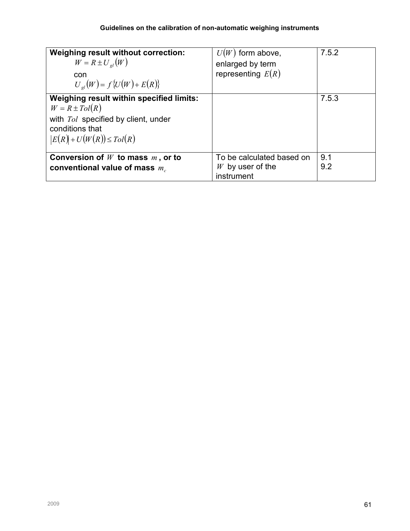| <b>Weighing result without correction:</b><br>$W = R \pm U_{el}(W)$<br>con<br>$U_{ol}(W) = f\{U(W) + E(R)\}\$                                                    | $U(W)$ form above,<br>enlarged by term<br>representing $E(R)$ | 7.5.2      |
|------------------------------------------------------------------------------------------------------------------------------------------------------------------|---------------------------------------------------------------|------------|
| Weighing result within specified limits:<br>$W = R \pm \text{tol}(R)$<br>with Tol specified by client, under<br>conditions that<br>$ E(R) + U(W(R)) \leq Tol(R)$ |                                                               | 7.5.3      |
| Conversion of $W$ to mass $m$ , or to<br>conventional value of mass $m_c$                                                                                        | To be calculated based on<br>$W$ by user of the<br>instrument | 9.1<br>9.2 |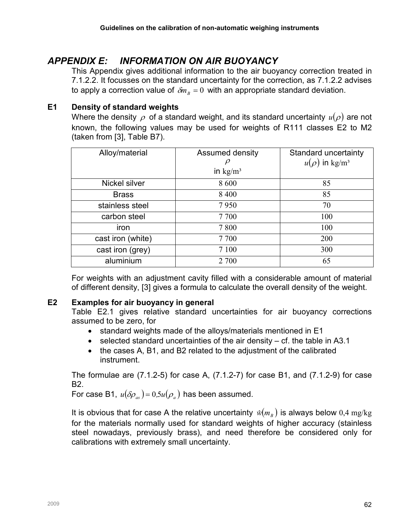# APPENDIX E: INFORMATION ON AIR BUOYANCY

This Appendix gives additional information to the air buoyancy correction treated in 7.1.2.2. It focusses on the standard uncertainty for the correction, as 7.1.2.2 advises to apply a correction value of  $\delta m_B = 0$  with an appropriate standard deviation.

## E1 Density of standard weights

Where the density  $\rho$  of a standard weight, and its standard uncertainty  $u(\rho)$  are not known, the following values may be used for weights of R111 classes E2 to M2 (taken from [3], Table B7).

| Alloy/material    | Assumed density<br>$\mu$<br>in $\text{kg/m}^3$ | Standard uncertainty<br>$u(\rho)$ in kg/m <sup>3</sup> |
|-------------------|------------------------------------------------|--------------------------------------------------------|
| Nickel silver     | 8 600                                          | 85                                                     |
| <b>Brass</b>      | 8 4 0 0                                        | 85                                                     |
| stainless steel   | 7950                                           | 70                                                     |
| carbon steel      | 7700                                           | 100                                                    |
| iron              | 7800                                           | 100                                                    |
| cast iron (white) | 7700                                           | 200                                                    |
| cast iron (grey)  | 7 100                                          | 300                                                    |
| aluminium         | 2 700                                          | 65                                                     |

For weights with an adjustment cavity filled with a considerable amount of material of different density, [3] gives a formula to calculate the overall density of the weight.

## E2 Examples for air buoyancy in general

Table E2.1 gives relative standard uncertainties for air buoyancy corrections assumed to be zero, for

- standard weights made of the alloys/materials mentioned in E1
- selected standard uncertainties of the air density cf. the table in A3.1
- the cases A, B1, and B2 related to the adjustment of the calibrated instrument.

The formulae are (7.1.2-5) for case A, (7.1.2-7) for case B1, and (7.1.2-9) for case B2.

For case B1,  $u(\delta \rho_{\scriptscriptstyle{a3}})=0,$ 5 $u(\rho_{\scriptscriptstyle{a}})$  has been assumed.

It is obvious that for case A the relative uncertainty  $\,\hat{w}(m_{_B})$  is always below  $0,\!4$   ${\rm mg/kg}$ for the materials normally used for standard weights of higher accuracy (stainless steel nowadays, previously brass), and need therefore be considered only for calibrations with extremely small uncertainty.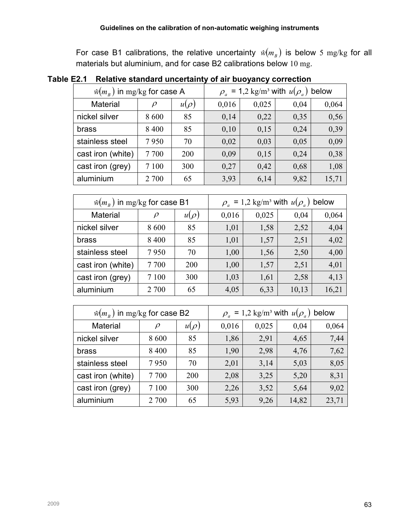For case B1 calibrations, the relative uncertainty  $\hat{w}(m_B)$  is below 5 mg/kg for all materials but aluminium, and for case B2 calibrations below 10 mg.

 $\hat{w}(m_{_B}^{})$  in mg/kg for case A  $\rho_{_a}^{}$ = 1,2 kg/m<sup>3</sup> with  $u(\rho_a)$  below Material |  $\rho$  |  $u(\rho)$  | 0,016 | 0,025 | 0,04 | 0,064 nickel silver  $\begin{array}{|c|c|c|c|c|c|} \hline 8600 & 85 & 0,14 & 0,22 & 0,35 & 0,56 \ \hline \end{array}$ brass  $\begin{array}{|c|c|c|c|c|c|} \hline 8 & 400 & 85 & 0,10 & 0,15 & 0,24 & 0,39 \ \hline \end{array}$ stainless steel |  $7950$  |  $70$  |  $0.02$  |  $0.03$  |  $0.05$  |  $0.09$ cast iron (white)  $\begin{array}{|c|c|c|c|c|c|c|c|c|} \hline \end{array}$  7 700  $\begin{array}{|c|c|c|c|c|c|} \hline \end{array}$  0,09  $\begin{array}{|c|c|c|c|c|} \hline \end{array}$  0,24  $\begin{array}{|c|c|c|c|c|} \hline \end{array}$  0,38 cast iron (grey)  $\begin{array}{|c|c|c|c|c|c|} \hline 7 & 100 & 300 & 0,27 & 0,42 & 0,68 & 1,08 \ \hline \end{array}$ aluminium  $\begin{array}{|c|c|c|c|c|c|c|c|c|} \hline \end{array}$  2 700 65  $\begin{array}{|c|c|c|c|c|c|} \hline \end{array}$  3,93 6,14 9,82 15,71  $\hat{w}(m_{_B} )$  in  ${\rm mg/kg}$  for case B1  $\qquad \qquad \rho_{_a}$ = 1,2 kg/m<sup>3</sup> with  $u(\rho_a)$  below Material  $\rho$   $u(\rho)$  0,016 0,025 0,04 0,064 nickel silver  $\begin{array}{|c|c|c|c|c|c|c|c|c|} \hline 8600 & 85 & 1,01 & 1,58 & 2,52 & 4,04 \ \hline \end{array}$ brass | 8 400 | 85 | 1,01 | 1,57 | 2,51 | 4,02

Table E2.1 Relative standard uncertainty of air buoyancy correction

| $\hat{w}(m_{R})$ in mg/kg for case B2 | $\rho_a = 1.2$ kg/m <sup>3</sup> with $u(\rho_a)$ below |           |       |       |       |       |  |  |  |
|---------------------------------------|---------------------------------------------------------|-----------|-------|-------|-------|-------|--|--|--|
| <b>Material</b>                       | $\rho$                                                  | $u(\rho)$ | 0,016 | 0,025 | 0,04  | 0,064 |  |  |  |
| nickel silver                         | 8 600                                                   | 85        | 1,86  | 2,91  | 4,65  | 7,44  |  |  |  |
| brass                                 | 8 4 0 0                                                 | 85        | 1,90  | 2,98  | 4,76  | 7,62  |  |  |  |
| stainless steel                       | 7950                                                    | 70        | 2,01  | 3,14  | 5,03  | 8,05  |  |  |  |
| cast iron (white)                     | 7700                                                    | 200       | 2,08  | 3,25  | 5,20  | 8,31  |  |  |  |
| cast iron (grey)                      | 7 100                                                   | 300       | 2,26  | 3,52  | 5,64  | 9,02  |  |  |  |
| aluminium                             | 2 700                                                   | 65        | 5,93  | 9,26  | 14,82 | 23,71 |  |  |  |

stainless steel |  $7\,950$  |  $70$  |  $1,00$  |  $1,56$  |  $2,50$  |  $4,00$ cast iron (white)  $\begin{array}{|c|c|c|c|c|c|c|c|c|} \hline 7 & 700 & 200 & 1,00 & 1,57 & 2,51 & 4,01 \ \hline \end{array}$ cast iron (grey)  $\begin{array}{|c|c|c|c|c|c|c|c|} \hline \end{array}$  7 100  $\begin{array}{|c|c|c|c|c|} \hline \end{array}$  300  $\begin{array}{|c|c|c|c|c|} \hline \end{array}$  1,61  $\begin{array}{|c|c|c|c|c|} \hline \end{array}$  2,58  $\begin{array}{|c|c|c|c|} \hline \end{array}$  4,13 aluminium  $\begin{array}{|c|c|c|c|c|c|c|c|c|} \hline \end{array}$  2 700  $\begin{array}{|c|c|c|c|c|c|} \hline \end{array}$  4,05  $\begin{array}{|c|c|c|c|c|} \hline \end{array}$  6,33  $\begin{array}{|c|c|c|c|c|} \hline \end{array}$  10,13  $\begin{array}{|c|c|c|c|c|} \hline \end{array}$  16,21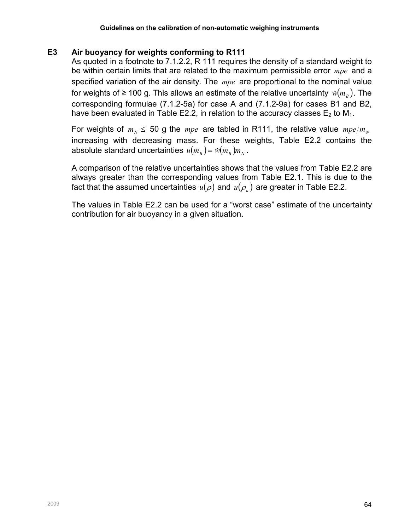#### E3 Air buoyancy for weights conforming to R111

As quoted in a footnote to 7.1.2.2, R 111 requires the density of a standard weight to be within certain limits that are related to the maximum permissible error  $\emph{mpe}$  and a specified variation of the air density. The mpe are proportional to the nominal value for weights of ≥ 100 g. This allows an estimate of the relative uncertainty  $\left. \hat{w}\right( m_{_{B}}).$  The corresponding formulae (7.1.2-5a) for case A and (7.1.2-9a) for cases B1 and B2, have been evaluated in Table E2.2, in relation to the accuracy classes  $E_2$  to  $M_1$ .

For weights of  $m_N \leq 50$  g the mpe are tabled in R111, the relative value  $mpe/m_N$ increasing with decreasing mass. For these weights, Table E2.2 contains the absolute standard uncertainties  $\,u(m_{_B})$  =  $\hat{w}(m_{_B}) m_{_N}$  .

A comparison of the relative uncertainties shows that the values from Table E2.2 are always greater than the corresponding values from Table E2.1. This is due to the fact that the assumed uncertainties  $u(\rho)$  and  $u(\rho_{_a})$  are greater in Table E2.2.

The values in Table E2.2 can be used for a "worst case" estimate of the uncertainty contribution for air buoyancy in a given situation.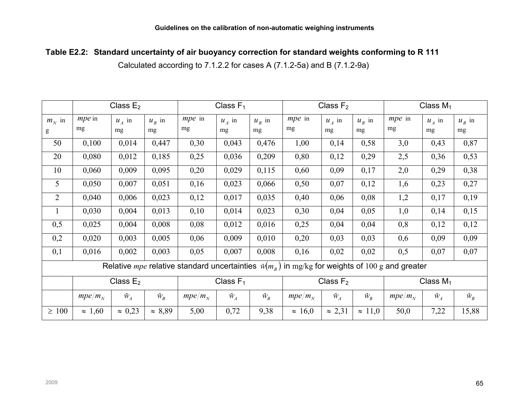## Table E2.2: Standard uncertainty of air buoyancy correction for standard weights conforming to R 111

Calculated according to 7.1.2.2 for cases A (7.1.2-5a) and B (7.1.2-9a)

|                 |                    | Class $E_2$    |                |                                                                    | Class $F_1$ |             | Class $F_2$        |                |                | Class $M_1$                                 |             |             |
|-----------------|--------------------|----------------|----------------|--------------------------------------------------------------------|-------------|-------------|--------------------|----------------|----------------|---------------------------------------------|-------------|-------------|
| $m_N$ in        | <i>mpe</i> in      | $u_A$ in       | $u_{R}$ in     | <i>mpe</i> in                                                      | $u_A$ in    | $u_B$ in    | <i>mpe</i> in      | $u_A$ in       | $u_{B}$ in     | mpe in                                      | $u_A$ in    | $u_{B}$ in  |
| g               | mg                 | mg             | mg             | mg                                                                 | mg          | mg          | mg                 | mg             | mg             | mg                                          | mg          | mg          |
| 50              | 0,100              | 0,014          | 0,447          | 0,30                                                               | 0,043       | 0,476       | 1,00               | 0,14           | 0,58           | 3,0                                         | 0,43        | 0,87        |
| 20              | 0,080              | 0,012          | 0,185          | 0,25                                                               | 0,036       | 0,209       | 0,80               | 0,12           | 0,29           | 2,5                                         | 0,36        | 0,53        |
| 10              | 0,060              | 0,009          | 0,095          | 0,20                                                               | 0,029       | 0,115       | 0,60               | 0,09           | 0,17           | 2,0                                         | 0,29        | 0,38        |
| $5\overline{)}$ | 0,050              | 0,007          | 0,051          | 0,16                                                               | 0,023       | 0,066       | 0,50               | 0,07           | 0,12           | 1,6                                         | 0,23        | 0,27        |
| $\overline{2}$  | 0,040              | 0,006          | 0,023          | 0,12                                                               | 0,017       | 0,035       | 0,40               | 0,06           | 0,08           | 1,2                                         | 0,17        | 0,19        |
| $\mathbf{1}$    | 0,030              | 0,004          | 0,013          | 0,10                                                               | 0,014       | 0,023       | 0,30               | 0,04           | 0,05           | 1,0                                         | 0,14        | 0,15        |
| 0,5             | 0,025              | 0,004          | 0,008          | 0,08                                                               | 0,012       | 0,016       | 0,25               | 0,04           | 0,04           | 0,8                                         | 0,12        | 0,12        |
| 0,2             | 0,020              | 0,003          | 0,005          | 0,06                                                               | 0,009       | 0,010       | 0,20               | 0,03           | 0,03           | 0,6                                         | 0,09        | 0,09        |
| 0,1             | 0,016              | 0,002          | 0,003          | 0,05                                                               | 0,007       | 0,008       | 0,16               | 0,02           | 0,02           | 0,5                                         | 0,07        | 0,07        |
|                 |                    |                |                | Relative <i>mpe</i> relative standard uncertainties $\hat{w}(m_R)$ |             |             |                    |                |                | in mg/kg for weights of $100$ g and greater |             |             |
|                 |                    | Class $E_2$    |                |                                                                    | Class $F_1$ |             |                    | Class $F_2$    |                |                                             | Class $M_1$ |             |
|                 | mpe/m <sub>N</sub> | $\hat{W}_A$    | $\hat{W}_B$    | mpe/m <sub>N</sub>                                                 | $\hat{W}_A$ | $\hat{W}_B$ | mpe/m <sub>N</sub> | $\hat{W}_A$    | $\hat{W}_B$    | mpe/m <sub>N</sub>                          | $\hat{W}_A$ | $\hat{W}_B$ |
| $\geq 100$      | $\approx 1,60$     | $\approx 0.23$ | $\approx 8,89$ | 5,00                                                               | 0,72        | 9,38        | $\approx 16,0$     | $\approx 2,31$ | $\approx 11,0$ | 50,0                                        | 7,22        | 15,88       |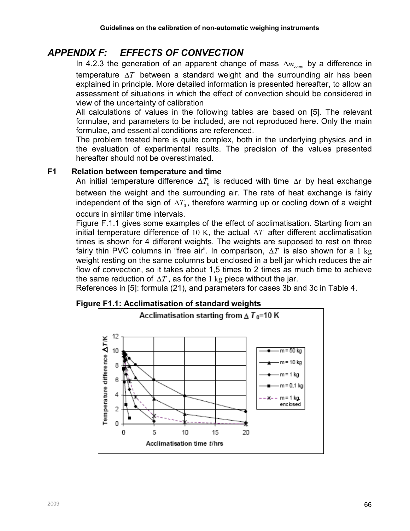# APPENDIX F: EFFECTS OF CONVECTION

In 4.2.3 the generation of an apparent change of mass  $\Delta m_{\text{conv}}$  by a difference in temperature  $\Delta T$  between a standard weight and the surrounding air has been explained in principle. More detailed information is presented hereafter, to allow an assessment of situations in which the effect of convection should be considered in view of the uncertainty of calibration

All calculations of values in the following tables are based on [5]. The relevant formulae, and parameters to be included, are not reproduced here. Only the main formulae, and essential conditions are referenced.

The problem treated here is quite complex, both in the underlying physics and in the evaluation of experimental results. The precision of the values presented hereafter should not be overestimated.

#### F1 Relation between temperature and time

An initial temperature difference  $\Delta T_0$  is reduced with time  $\Delta t$  by heat exchange between the weight and the surrounding air. The rate of heat exchange is fairly independent of the sign of  $\Delta T_0$ , therefore warming up or cooling down of a weight occurs in similar time intervals.

Figure F.1.1 gives some examples of the effect of acclimatisation. Starting from an initial temperature difference of 10 K, the actual  $\Delta T$  after different acclimatisation times is shown for 4 different weights. The weights are supposed to rest on three fairly thin PVC columns in "free air". In comparison,  $\Delta T$  is also shown for a 1 kg weight resting on the same columns but enclosed in a bell jar which reduces the air flow of convection, so it takes about 1,5 times to 2 times as much time to achieve the same reduction of  $\Delta T$ , as for the 1 kg piece without the jar.

References in [5]: formula (21), and parameters for cases 3b and 3c in Table 4.



#### Figure F1.1: Acclimatisation of standard weights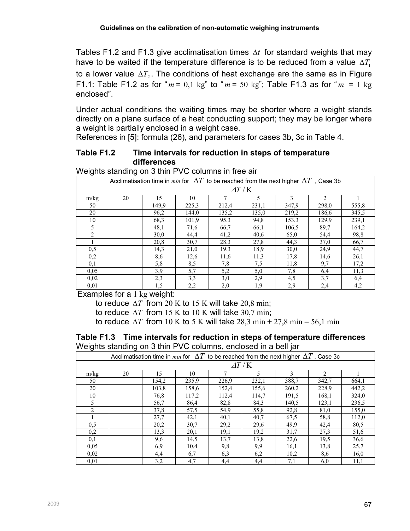Tables F1.2 and F1.3 give acclimatisation times  $\Delta t$  for standard weights that may have to be waited if the temperature difference is to be reduced from a value  $\Delta T_1$ to a lower value  $\Delta T_2$ . The conditions of heat exchange are the same as in Figure F1.1: Table F1.2 as for " $m = 0,1$  kg" to " $m = 50$  kg"; Table F1.3 as for " $m = 1$  kg enclosed".

Under actual conditions the waiting times may be shorter where a weight stands directly on a plane surface of a heat conducting support; they may be longer where a weight is partially enclosed in a weight case.

References in [5]: formula (26), and parameters for cases 3b, 3c in Table 4.

#### Table F1.2 Time intervals for reduction in steps of temperature differences

| Acclimatisation time in min for $\Delta T$ to be reached from the next higher $\Delta T$ , Case 3b |                              |       |       |       |       |              |                |       |  |
|----------------------------------------------------------------------------------------------------|------------------------------|-------|-------|-------|-------|--------------|----------------|-------|--|
|                                                                                                    | $\varDelta T$ / $\mathrm{K}$ |       |       |       |       |              |                |       |  |
| m/kg                                                                                               | 20                           | 15    | 10    |       | 5     | $\mathbf{3}$ | $\mathfrak{D}$ |       |  |
| 50                                                                                                 |                              | 149.9 | 225,3 | 212,4 | 231,1 | 347.9        | 298,0          | 555,8 |  |
| 20                                                                                                 |                              | 96,2  | 144,0 | 135,2 | 135,0 | 219,2        | 186,6          | 345,5 |  |
| 10                                                                                                 |                              | 68.3  | 101.9 | 95,3  | 94,8  | 153,3        | 129.9          | 239,1 |  |
| 5                                                                                                  |                              | 48,1  | 71,6  | 66,7  | 66,1  | 106.5        | 89.7           | 164,2 |  |
| $\overline{c}$                                                                                     |                              | 30,0  | 44,4  | 41,2  | 40,6  | 65,0         | 54,4           | 98,8  |  |
|                                                                                                    |                              | 20,8  | 30,7  | 28,3  | 27,8  | 44,3         | 37,0           | 66,7  |  |
| 0, 5                                                                                               |                              | 14,3  | 21,0  | 19,3  | 18,9  | 30,0         | 24,9           | 44,7  |  |
| 0,2                                                                                                |                              | 8,6   | 12,6  | 11,6  | 11,3  | 17,8         | 14,6           | 26,1  |  |
| 0,1                                                                                                |                              | 5,8   | 8,5   | 7,8   | 7,5   | 11,8         | 9,7            | 17,2  |  |
| 0,05                                                                                               |                              | 3,9   | 5,7   | 5,2   | 5,0   | 7,8          | 6,4            | 11,3  |  |
| 0,02                                                                                               |                              | 2,3   | 3,3   | 3,0   | 2,9   | 4,5          | 3,7            | 6,4   |  |
| 0.01                                                                                               |                              | 1,5   | 2,2   | 2,0   | 1.9   | 2,9          | 2,4            | 4,2   |  |

Weights standing on 3 thin PVC columns in free air

Examples for a 1 kg weight:

to reduce  $\Delta T$  from 20 K to 15 K will take 20,8 min;

to reduce  $\Delta T$  from 15 K to 10 K will take 30,7 min;

to reduce  $\Delta T$  from 10 K to 5 K will take 28,3 min + 27,8 min = 56,1 min

#### Table F1.3 Time intervals for reduction in steps of temperature differences Weights standing on 3 thin PVC columns, enclosed in a bell jar

| ັ<br>ັ         |                                                                                                    |       |       |       |       |       |                |       |  |  |
|----------------|----------------------------------------------------------------------------------------------------|-------|-------|-------|-------|-------|----------------|-------|--|--|
|                | Acclimatisation time in min for $\Delta T$ to be reached from the next higher $\Delta T$ , Case 3c |       |       |       |       |       |                |       |  |  |
|                | $\Delta T/K$                                                                                       |       |       |       |       |       |                |       |  |  |
| m/kg           | 20                                                                                                 | 15    | 10    |       | 5     | 3     | $\mathfrak{D}$ |       |  |  |
| 50             |                                                                                                    | 154,2 | 235,9 | 226,9 | 232,1 | 388,7 | 342,7          | 664,1 |  |  |
| 20             |                                                                                                    | 103,8 | 158,6 | 152,4 | 155,6 | 260,2 | 228,9          | 442,2 |  |  |
| 10             |                                                                                                    | 76,8  | 117,2 | 112.4 | 114,7 | 191,5 | 168,1          | 324,0 |  |  |
| 5              |                                                                                                    | 56,7  | 86,4  | 82,8  | 84,3  | 140,5 | 123,1          | 236,5 |  |  |
| $\mathfrak{D}$ |                                                                                                    | 37,8  | 57,5  | 54,9  | 55,8  | 92,8  | 81,0           | 155,0 |  |  |
|                |                                                                                                    | 27,7  | 42,1  | 40,1  | 40,7  | 67,5  | 58,8           | 112,0 |  |  |
| 0,5            |                                                                                                    | 20,2  | 30,7  | 29,2  | 29,6  | 49,9  | 42,4           | 80,5  |  |  |
| 0,2            |                                                                                                    | 13,3  | 20,1  | 19,1  | 19,2  | 31,7  | 27,3           | 51,6  |  |  |
| 0,1            |                                                                                                    | 9,6   | 14,5  | 13,7  | 13,8  | 22,6  | 19.5           | 36,6  |  |  |
| 0,05           |                                                                                                    | 6,9   | 10,4  | 9,8   | 9,9   | 16,1  | 13,8           | 25,7  |  |  |
| 0,02           |                                                                                                    | 4,4   | 6,7   | 6,3   | 6,2   | 10,2  | 8,6            | 16,0  |  |  |
| 0.01           |                                                                                                    | 3,2   | 4,7   | 4.4   | 4,4   | 7,1   | 6,0            | 11,1  |  |  |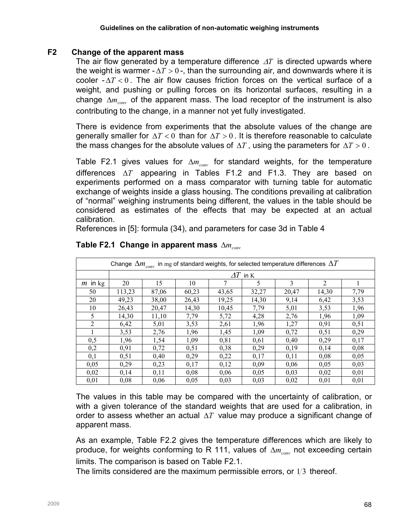#### F2 Change of the apparent mass

The air flow generated by a temperature difference  $\Delta T$  is directed upwards where the weight is warmer -  $\Delta T > 0$  -, than the surrounding air, and downwards where it is cooler  $-\Delta T < 0$ . The air flow causes friction forces on the vertical surface of a weight, and pushing or pulling forces on its horizontal surfaces, resulting in a change  $\Delta m_{\text{conv}}$  of the apparent mass. The load receptor of the instrument is also contributing to the change, in a manner not yet fully investigated.

There is evidence from experiments that the absolute values of the change are generally smaller for  $\Delta T < 0$  than for  $\Delta T > 0$ . It is therefore reasonable to calculate the mass changes for the absolute values of  $\Delta T$ , using the parameters for  $\Delta T > 0$ .

Table F2.1 gives values for  $\Delta m_{conv}$  for standard weights, for the temperature differences ∆T appearing in Tables F1.2 and F1.3. They are based on experiments performed on a mass comparator with turning table for automatic exchange of weights inside a glass housing. The conditions prevailing at calibration of "normal" weighing instruments being different, the values in the table should be considered as estimates of the effects that may be expected at an actual calibration.

References in [5]: formula (34), and parameters for case 3d in Table 4

|                | Change $\Delta m_{conv}$ in mg of standard weights, for selected temperature differences $\Delta T$ |                    |       |       |       |       |                |      |  |  |  |
|----------------|-----------------------------------------------------------------------------------------------------|--------------------|-------|-------|-------|-------|----------------|------|--|--|--|
|                |                                                                                                     | $\varDelta T$ in K |       |       |       |       |                |      |  |  |  |
| $m$ in kg      | 20                                                                                                  | 15                 | 10    |       | 5     | 3     | $\overline{2}$ |      |  |  |  |
| 50             | 113,23                                                                                              | 87,06              | 60,23 | 43,65 | 32,27 | 20,47 | 14,30          | 7,79 |  |  |  |
| 20             | 49,23                                                                                               | 38,00              | 26,43 | 19,25 | 14,30 | 9,14  | 6,42           | 3,53 |  |  |  |
| 10             | 26,43                                                                                               | 20,47              | 14,30 | 10,45 | 7,79  | 5,01  | 3,53           | 1,96 |  |  |  |
| 5              | 14,30                                                                                               | 11,10              | 7,79  | 5,72  | 4,28  | 2,76  | 1,96           | 1,09 |  |  |  |
| $\overline{2}$ | 6,42                                                                                                | 5,01               | 3,53  | 2,61  | 1,96  | 1,27  | 0,91           | 0,51 |  |  |  |
|                | 3,53                                                                                                | 2,76               | 1,96  | 1,45  | 1,09  | 0,72  | 0,51           | 0,29 |  |  |  |
| 0,5            | 1,96                                                                                                | 1,54               | 1,09  | 0,81  | 0.61  | 0,40  | 0,29           | 0,17 |  |  |  |
| 0,2            | 0,91                                                                                                | 0,72               | 0,51  | 0,38  | 0,29  | 0,19  | 0,14           | 0,08 |  |  |  |
| 0,1            | 0,51                                                                                                | 0,40               | 0,29  | 0,22  | 0,17  | 0,11  | 0,08           | 0,05 |  |  |  |
| 0,05           | 0,29                                                                                                | 0,23               | 0,17  | 0,12  | 0,09  | 0,06  | 0,05           | 0,03 |  |  |  |
| 0,02           | 0,14                                                                                                | 0,11               | 0,08  | 0,06  | 0,05  | 0,03  | 0,02           | 0,01 |  |  |  |
| 0,01           | 0,08                                                                                                | 0,06               | 0,05  | 0.03  | 0,03  | 0,02  | 0,01           | 0,01 |  |  |  |

#### Table F2.1 Change in apparent mass  $\Delta m_{\text{conv}}$

The values in this table may be compared with the uncertainty of calibration, or with a given tolerance of the standard weights that are used for a calibration, in order to assess whether an actual  $\Delta T$  value may produce a significant change of apparent mass.

As an example, Table F2.2 gives the temperature differences which are likely to produce, for weights conforming to R 111, values of  $\Delta m_{\text{corr}}$  not exceeding certain limits. The comparison is based on Table F2.1.

The limits considered are the maximum permissible errors, or  $1/3$  thereof.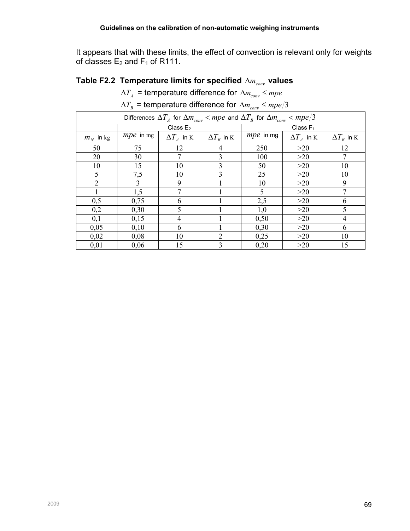It appears that with these limits, the effect of convection is relevant only for weights of classes  $E_2$  and  $F_1$  of R111.

# Table F2.2 Temperature limits for specified  $\Delta m_{conv}$  values

 $\Delta T_{_A}$  = temperature difference for  $\Delta m_{conv}$   $\leq$   $mpe$ 

 $\Delta T_{_B}$  = temperature difference for  $\Delta m_{conv} \leq mpe/3$ 

| Differences $\Delta T_A$ for $\Delta m_{conv} < mpe$ and $\Delta T_B$ for $\Delta m_{conv} < mpe/3$ |                  |                     |                                        |                  |                   |                   |  |  |  |
|-----------------------------------------------------------------------------------------------------|------------------|---------------------|----------------------------------------|------------------|-------------------|-------------------|--|--|--|
|                                                                                                     |                  | Class $E_2$         |                                        | Class $F_1$      |                   |                   |  |  |  |
| $m_N$ in kg                                                                                         | <i>mpe</i> in mg | $\Delta T_{A}$ in K | $\Delta T_{\scriptscriptstyle R}$ in K | <i>mpe</i> in mg | $\Delta T_A$ in K | $\Delta T_R$ in K |  |  |  |
| 50                                                                                                  | 75               | 12                  | 4                                      | 250              | >20               | 12                |  |  |  |
| 20                                                                                                  | 30               | 7                   | 3                                      | 100              | $>20$             | 7                 |  |  |  |
| 10                                                                                                  | 15               | 10                  | 3                                      | 50               | >20               | 10                |  |  |  |
| 5                                                                                                   | 7,5              | 10                  | 3                                      | 25               | >20               | 10                |  |  |  |
| 2                                                                                                   | $\overline{3}$   | 9                   |                                        | 10               | >20               | 9                 |  |  |  |
|                                                                                                     | 1,5              |                     |                                        | 5                | >20               |                   |  |  |  |
| 0,5                                                                                                 | 0,75             | 6                   |                                        | 2,5              | >20               | 6                 |  |  |  |
| 0,2                                                                                                 | 0,30             | 5                   |                                        | 1,0              | >20               | 5                 |  |  |  |
| 0,1                                                                                                 | 0,15             | $\overline{4}$      |                                        | 0,50             | >20               | 4                 |  |  |  |
| 0,05                                                                                                | 0,10             | 6                   |                                        | 0,30             | >20               | 6                 |  |  |  |
| 0,02                                                                                                | 0,08             | 10                  | $\overline{2}$                         | 0,25             | >20               | 10                |  |  |  |
| 0,01                                                                                                | 0,06             | 15                  | 3                                      | 0,20             | >20               | 15                |  |  |  |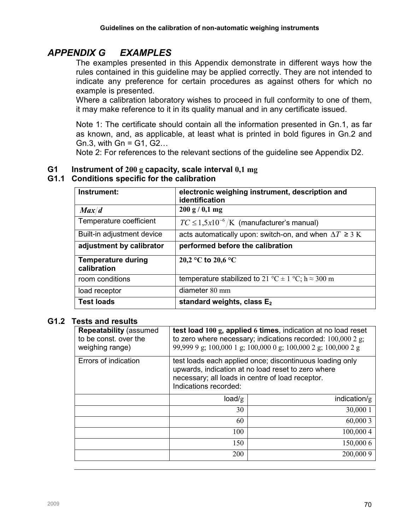# APPENDIX G EXAMPLES

The examples presented in this Appendix demonstrate in different ways how the rules contained in this guideline may be applied correctly. They are not intended to indicate any preference for certain procedures as against others for which no example is presented.

Where a calibration laboratory wishes to proceed in full conformity to one of them, it may make reference to it in its quality manual and in any certificate issued.

Note 1: The certificate should contain all the information presented in Gn.1, as far as known, and, as applicable, at least what is printed in bold figures in Gn.2 and Gn.3, with  $Gn = G1, G2...$ 

Note 2: For references to the relevant sections of the guideline see Appendix D2.

#### G1 Instrument of 200 g capacity, scale interval  $0,1 \text{ mg}$

## G1.1 Conditions specific for the calibration

| Instrument:                              | electronic weighing instrument, description and<br>identification |
|------------------------------------------|-------------------------------------------------------------------|
| Max/d                                    | 200 g / 0,1 mg                                                    |
| Temperature coefficient                  | $TC \leq 1.5x10^{-6}/K$ (manufacturer's manual)                   |
| Built-in adjustment device               | acts automatically upon: switch-on, and when $\Delta T \ge 3$ K   |
| adjustment by calibrator                 | performed before the calibration                                  |
| <b>Temperature during</b><br>calibration | 20,2 °C to 20,6 °C                                                |
| room conditions                          | temperature stabilized to 21 °C $\pm$ 1 °C; h $\approx$ 300 m     |
| load receptor                            | diameter $80 \text{ mm}$                                          |
| <b>Test loads</b>                        | standard weights, class $E_2$                                     |

#### G1.2 Tests and results

| <b>Repeatability (assumed)</b><br>to be const, over the<br>weighing range) | test load 100 g, applied 6 times, indication at no load reset<br>to zero where necessary; indications recorded: $100,000$ 2 g;<br>99,999 9 g; 100,000 1 g; 100,000 0 g; 100,000 2 g; 100,000 2 g |           |  |  |  |  |  |
|----------------------------------------------------------------------------|--------------------------------------------------------------------------------------------------------------------------------------------------------------------------------------------------|-----------|--|--|--|--|--|
| Errors of indication                                                       | test loads each applied once; discontinuous loading only<br>upwards, indication at no load reset to zero where<br>necessary; all loads in centre of load receptor.<br>Indications recorded:      |           |  |  |  |  |  |
|                                                                            | indication/g<br>load/g                                                                                                                                                                           |           |  |  |  |  |  |
|                                                                            | 30                                                                                                                                                                                               | 30,000 1  |  |  |  |  |  |
|                                                                            | 60<br>60,000 3                                                                                                                                                                                   |           |  |  |  |  |  |
|                                                                            | 100<br>100,000 4                                                                                                                                                                                 |           |  |  |  |  |  |
|                                                                            | 150<br>150,000 6                                                                                                                                                                                 |           |  |  |  |  |  |
|                                                                            | <b>200</b>                                                                                                                                                                                       | 200,000 9 |  |  |  |  |  |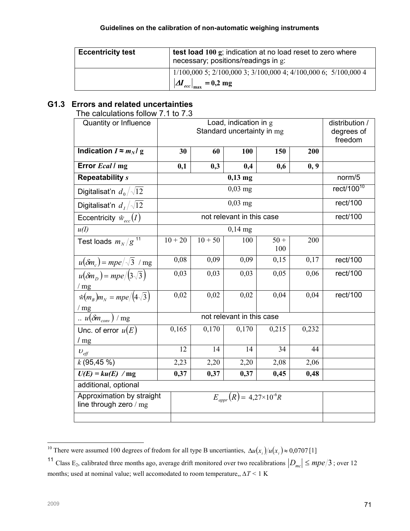| <b>Eccentricity test</b> | test load 100 g; indication at no load reset to zero where<br>necessary; positions/readings in g:                                         |  |  |  |
|--------------------------|-------------------------------------------------------------------------------------------------------------------------------------------|--|--|--|
|                          | $1/100,0005$ ; $2/100,0003$ ; $3/100,0004$ ; $4/100,0006$ ; $5/100,0004$<br>$\left  \Delta I_{ecc} \right _{\text{max}} = 0.2 \text{ mg}$ |  |  |  |

# G1.3 Errors and related uncertainties

The calculations follow 7.1 to 7.3

| Quantity or Influence                                |           | distribution /<br>degrees of |                           |               |       |               |
|------------------------------------------------------|-----------|------------------------------|---------------------------|---------------|-------|---------------|
|                                                      |           |                              |                           |               |       | freedom       |
| Indication $I \approx m_N l$ g                       | 30        | 60                           | <b>100</b>                | 150           | 200   |               |
| Error Ecal / mg                                      | 0,1       | 0,3                          | 0,4                       | 0,6           | 0, 9  |               |
| <b>Repeatability s</b>                               |           |                              | $0,13$ mg                 |               |       | norm/5        |
| Digitalisat'n $d_0/\sqrt{12}$                        |           |                              | $0,03$ mg                 |               |       | rect/100 $10$ |
| Digitalisat'n $d_1/\sqrt{12}$                        |           |                              | $0,03$ mg                 |               |       | rect/100      |
| Eccentricity $\hat{w}_{ecc}(I)$                      |           |                              | not relevant in this case |               |       | rect/100      |
| u(I)                                                 |           |                              | $0,14$ mg                 |               |       |               |
| Test loads $m_N/g^{11}$                              | $10 + 20$ | $10 + 50$                    | 100                       | $50 +$<br>100 | 200   |               |
| $u(\delta m_c) = mpe/\sqrt{3}$ / mg                  | 0,08      | 0,09                         | 0,09                      | 0,15          | 0,17  | rect/100      |
| $u(\delta m_D) = mpe/(3\sqrt{3})$                    | 0,03      | 0,03                         | 0,03                      | 0,05          | 0,06  | rect/100      |
| /mg                                                  |           |                              |                           |               |       |               |
| $\hat{w}(m_R)m_N = mpe/(4\sqrt{3})$                  | 0,02      | 0,02                         | 0,02                      | 0,04          | 0,04  | rect/100      |
| /mg                                                  |           |                              |                           |               |       |               |
| $\frac{u(\delta m_{conv})}{m}$ / mg                  |           |                              | not relevant in this case |               |       |               |
| Unc. of error $u(E)$                                 | 0,165     | 0,170                        | 0,170                     | 0,215         | 0,232 |               |
| /mg                                                  |           |                              |                           |               |       |               |
| $U_{\it eff}$                                        | 12        | 14                           | 14                        | 34            | 44    |               |
| $k$ (95,45 %)                                        | 2,23      | 2,20                         | 2,20                      | 2,08          | 2,06  |               |
| $U(E) = ku(E)$ / mg                                  | 0,37      | 0,37                         | 0,37                      | 0,45          | 0,48  |               |
| additional, optional                                 |           |                              |                           |               |       |               |
| Approximation by straight<br>line through zero $/mg$ |           |                              |                           |               |       |               |
|                                                      |           |                              |                           |               |       |               |

 $\overline{a}$ <sup>10</sup> There were assumed 100 degrees of fredom for all type B uncertianties,  $\Delta u(x_i)/u(x_i) \approx 0.0707$  [1]

<sup>&</sup>lt;sup>11</sup> Class E<sub>2</sub>, calibrated three months ago, average drift monitored over two recalibrations  $|D_{mc}| \leq mpe/3$ ; over 12 months; used at nominal value; well accomodated to room temperature,,  $\Delta T$  < 1 K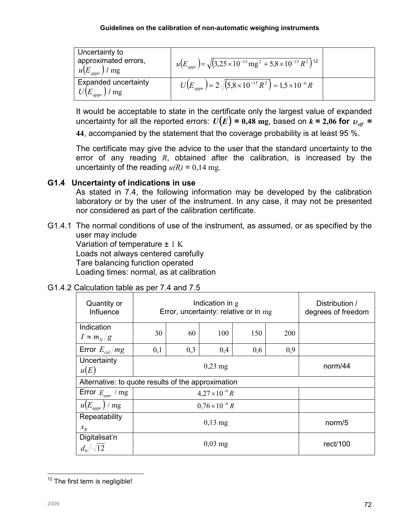| Uncertainty to<br>approximated errors,<br>$u(E_{\textit{apor}})$ / mg | $u(E_{appr}) = \sqrt{(3.25 \times 10^{-13} \text{ mg}^2 + 5.8 \times 10^{-13} \text{ R}^2)}$ <sup>12</sup> |  |
|-----------------------------------------------------------------------|------------------------------------------------------------------------------------------------------------|--|
| <b>Expanded uncertainty</b><br>$U(E_{\textit{appr}})$ / mg            | $U(E_{appr}) = 2\sqrt{(5.8 \times 10^{-13} R^2)} = 1.5 \times 10^{-6} R$                                   |  |

It would be acceptable to state in the certificate only the largest value of expanded uncertainty for all the reported errors:  $U(E) = 0.48$  mg, based on  $k = 2.06$  for  $v_{\text{eff}}$  =

44, accompanied by the statement that the coverage probability is at least 95 %.

The certificate may give the advice to the user that the standard uncertainty to the error of any reading  $R$ , obtained after the calibration, is increased by the uncertainty of the reading  $u(R) = 0.14$  mg.

## G1.4 Uncertainty of indications in use

As stated in 7.4, the following information may be developed by the calibration laboratory or by the user of the instrument. In any case, it may not be presented nor considered as part of the calibration certificate.

G1.4.1 The normal conditions of use of the instrument, as assumed, or as specified by the user may include Variation of temperature  $\pm$  1 K Loads not always centered carefully Tare balancing function operated Loading times: normal, as at calibration

| Quantity or<br>Influence                           |                     | Indication in g<br>Error, uncertainty: relative or in mg | Distribution /<br>degrees of freedom |         |            |          |  |  |
|----------------------------------------------------|---------------------|----------------------------------------------------------|--------------------------------------|---------|------------|----------|--|--|
| Indication<br>$I \approx m_N/g$                    | 30                  | 60                                                       | 100                                  | 150     | <b>200</b> |          |  |  |
| Error $E_{cal}/mg$                                 | 0,1                 | 0,3                                                      | 0,4                                  | 0,6     | 0,9        |          |  |  |
| Uncertainty<br>u(E)                                |                     |                                                          |                                      | norm/44 |            |          |  |  |
| Alternative: to quote results of the approximation |                     |                                                          |                                      |         |            |          |  |  |
| Error $E_{appr}$ / mg                              |                     | $4,27 \times 10^{-6} R$                                  |                                      |         |            |          |  |  |
| $u(E_{\textit{appr}})$ / mg                        |                     | $0.76 \times 10^{-6} R$                                  |                                      |         |            |          |  |  |
| Repeatability<br>$S_R$                             | $0,13$ mg<br>norm/5 |                                                          |                                      |         |            |          |  |  |
| Digitalisat'n<br>$d_0/\sqrt{12}$                   |                     |                                                          | $0,03 \text{ mg}$                    |         |            | rect/100 |  |  |

# G1.4.2 Calculation table as per 7.4 and 7.5

 $\overline{a}$  $12$  The first term is negligible!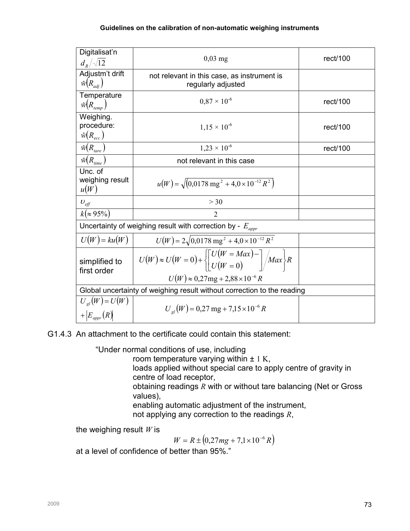| Digitalisat'n<br>$d_{R}/\sqrt{12}$            | $0,03$ mg                                                                                                                                       | rect/100 |  |  |  |  |
|-----------------------------------------------|-------------------------------------------------------------------------------------------------------------------------------------------------|----------|--|--|--|--|
| Adjustm't drift<br>$\hat{w}(R_{adi})$         | not relevant in this case, as instrument is<br>regularly adjusted                                                                               |          |  |  |  |  |
| Temperature<br>$\hat{w}(R_{temp})$            | $0.87 \times 10^{-6}$                                                                                                                           | rect/100 |  |  |  |  |
| Weighing.<br>procedure:<br>$\hat{w}(R_{ecc})$ | $1.15 \times 10^{-6}$                                                                                                                           | rect/100 |  |  |  |  |
| $\hat{w}(R_{\text{tare}})$                    | $1,23 \times 10^{-6}$                                                                                                                           | rect/100 |  |  |  |  |
| $\hat{w}(R_{time})$                           | not relevant in this case                                                                                                                       |          |  |  |  |  |
| Unc. of<br>weighing result<br>u(W)            | $u(W) = \sqrt{(0.0178 \text{ mg}^2 + 4.0 \times 10^{-12} \text{ R}^2)}$                                                                         |          |  |  |  |  |
| $U_{\text{eff}}$                              | >30                                                                                                                                             |          |  |  |  |  |
| $k ( \approx 95\%)$                           | $\overline{2}$                                                                                                                                  |          |  |  |  |  |
|                                               | Uncertainty of weighing result with correction by - $E_{appr}$                                                                                  |          |  |  |  |  |
| $U(W) = ku(W)$                                | $U(W) = 2\sqrt{0.0178 \text{ mg}^2 + 4.0 \times 10^{-12} R^2}$                                                                                  |          |  |  |  |  |
| simplified to<br>first order                  | $U(W) \approx U(W=0) + \left\{ \left[ \frac{U(W=Max)}{U(W=0)} - \right] / Max \right\} R$<br>$U(W) \approx 0.27$ mg + 2,88 × 10 <sup>-6</sup> R |          |  |  |  |  |
|                                               | Global uncertainty of weighing result without correction to the reading                                                                         |          |  |  |  |  |
| $U_{gl}(W) = U(W)$<br>$+ E_{\text{appr}}(R) $ | $U_{el}(W) = 0.27$ mg + 7,15 × 10 <sup>-6</sup> R                                                                                               |          |  |  |  |  |

G1.4.3 An attachment to the certificate could contain this statement:

"Under normal conditions of use, including

room temperature varying within  $\pm$  1 K,

loads applied without special care to apply centre of gravity in centre of load receptor,

obtaining readings  $R$  with or without tare balancing (Net or Gross values),

enabling automatic adjustment of the instrument, not applying any correction to the readings  $R$ ,

the weighing result  $W$  is

 $W = R \pm (0.27mg + 7.1 \times 10^{-6} R)$ 

at a level of confidence of better than 95%."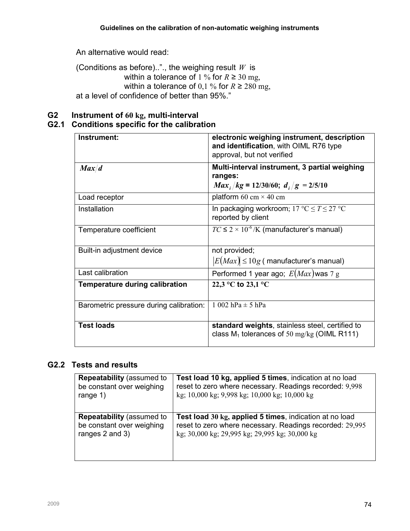An alternative would read:

(Conditions as before).."., the weighing result  $W$  is within a tolerance of 1 % for  $R \ge 30$  mg, within a tolerance of 0,1 % for  $R \ge 280$  mg, at a level of confidence of better than 95%."

# G2 Instrument of 60 kg, multi-interval

# G2.1 Conditions specific for the calibration

| Instrument:                             | electronic weighing instrument, description<br>and identification, with OIML R76 type<br>approval, but not verified |
|-----------------------------------------|---------------------------------------------------------------------------------------------------------------------|
| Max/d                                   | Multi-interval instrument, 3 partial weighing<br>ranges:<br>$Max_i/kg = 12/30/60; d_i/g = 2/5/10$                   |
| Load receptor                           | platform 60 cm $\times$ 40 cm                                                                                       |
| Installation                            | In packaging workroom; $17 \text{ °C} \leq T \leq 27 \text{ °C}$<br>reported by client                              |
| Temperature coefficient                 | $TC \leq 2 \times 10^{-6}$ /K (manufacturer's manual)                                                               |
| Built-in adjustment device              | not provided;<br>$ E(Max)  \leq 10g$ (manufacturer's manual)                                                        |
| Last calibration                        | Performed 1 year ago; $E(Max)$ was 7 g                                                                              |
| <b>Temperature during calibration</b>   | 22,3 °C to 23,1 °C                                                                                                  |
| Barometric pressure during calibration: | 1 002 hPa $\pm$ 5 hPa                                                                                               |
| <b>Test loads</b>                       | standard weights, stainless steel, certified to<br>class $M_1$ tolerances of 50 mg/kg (OIML R111)                   |

# G2.2 Tests and results

| <b>Repeatability (assumed to</b> | Test load 10 kg, applied 5 times, indication at no load  |
|----------------------------------|----------------------------------------------------------|
| be constant over weighing        | reset to zero where necessary. Readings recorded: 9,998  |
| range $1)$                       | kg; 10,000 kg; 9,998 kg; 10,000 kg; 10,000 kg            |
| <b>Repeatability (assumed to</b> | Test load 30 kg, applied 5 times, indication at no load  |
| be constant over weighing        | reset to zero where necessary. Readings recorded: 29,995 |
| ranges 2 and 3)                  | kg; 30,000 kg; 29,995 kg; 29,995 kg; 30,000 kg           |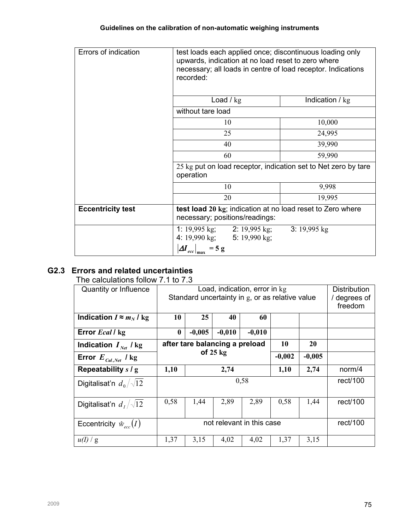| Errors of indication     | test loads each applied once; discontinuous loading only<br>upwards, indication at no load reset to zero where<br>necessary; all loads in centre of load receptor. Indications<br>recorded: |                         |  |  |  |  |  |
|--------------------------|---------------------------------------------------------------------------------------------------------------------------------------------------------------------------------------------|-------------------------|--|--|--|--|--|
|                          | Load $\frac{1}{1}$ kg                                                                                                                                                                       | Indication $/\text{kg}$ |  |  |  |  |  |
|                          | without tare load                                                                                                                                                                           |                         |  |  |  |  |  |
|                          | 10                                                                                                                                                                                          | 10,000                  |  |  |  |  |  |
|                          | 25                                                                                                                                                                                          | 24,995                  |  |  |  |  |  |
|                          | 40                                                                                                                                                                                          | 39,990                  |  |  |  |  |  |
|                          | 60                                                                                                                                                                                          | 59,990                  |  |  |  |  |  |
|                          | 25 kg put on load receptor, indication set to Net zero by tare<br>operation                                                                                                                 |                         |  |  |  |  |  |
|                          | 10                                                                                                                                                                                          | 9,998                   |  |  |  |  |  |
|                          | 20                                                                                                                                                                                          | 19,995                  |  |  |  |  |  |
| <b>Eccentricity test</b> | test load 20 kg; indication at no load reset to Zero where<br>necessary; positions/readings:                                                                                                |                         |  |  |  |  |  |
|                          | 1: 19,995 kg; 2: 19,995 kg;<br>4: 19,990 kg; 5: 19,990 kg;<br>$\left  \Delta I_{ecc} \right _{\text{max}} = 5 \text{ g}$                                                                    | 3: $19,995$ kg          |  |  |  |  |  |

# G2.3 Errors and related uncertainties

The calculations follow 7.1 to 7.3

| Quantity or Influence                  | Load, indication, error in kg<br>Standard uncertainty in g, or as relative value |          |                                |          |          |          | Distribution<br>/ degrees of<br>freedom |
|----------------------------------------|----------------------------------------------------------------------------------|----------|--------------------------------|----------|----------|----------|-----------------------------------------|
| Indication $I \approx m_N / \text{kg}$ | 10                                                                               | 25       | 40                             | 60       |          |          |                                         |
| Error Ecal / kg                        | $\boldsymbol{0}$                                                                 | $-0,005$ | $-0,010$                       | $-0,010$ |          |          |                                         |
| Indication $I_{\text{Net}}$ / kg       |                                                                                  |          | after tare balancing a preload | 10       | 20       |          |                                         |
| Error $E_{\text{Cal},\text{Net}}$ / kg | of $25 \text{ kg}$                                                               |          |                                | $-0,002$ | $-0,005$ |          |                                         |
| Repeatability $s/g$                    | 1,10                                                                             |          | 2,74                           |          | 1,10     | 2,74     | norm/4                                  |
| Digitalisat'n $d_0/\sqrt{12}$          | 0,58                                                                             |          |                                |          |          |          | rect/100                                |
| Digitalisat'n $d_1/\sqrt{12}$          | 0,58                                                                             | 1,44     | 2,89                           | 2,89     | 0,58     | 1,44     | rect/100                                |
| Eccentricity $\hat{w}_{\text{acc}}(I)$ | not relevant in this case                                                        |          |                                |          |          | rect/100 |                                         |
| u(I)/g                                 | 1,37                                                                             | 3,15     | 4,02                           | 4,02     | 1,37     | 3,15     |                                         |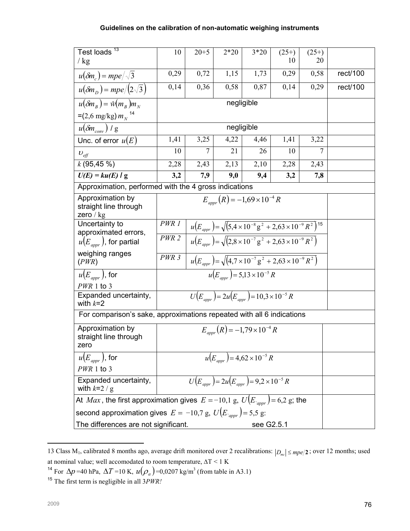| Test loads <sup>13</sup>                                                                       | 10                                                    | $20 + 5$                                                                                        | $2*20$                                       | $3*20$     | $(25+)$                                                                                   | $(25+)$        |          |  |
|------------------------------------------------------------------------------------------------|-------------------------------------------------------|-------------------------------------------------------------------------------------------------|----------------------------------------------|------------|-------------------------------------------------------------------------------------------|----------------|----------|--|
| $/$ kg                                                                                         |                                                       |                                                                                                 |                                              |            | 10                                                                                        | 20             |          |  |
| $u(\delta m_c) = mpe/\sqrt{3}$                                                                 | 0,29                                                  | 0,72                                                                                            | 1,15                                         | 1,73       | 0,29                                                                                      | 0,58           | rect/100 |  |
| $u(\delta m_D) = mpe/(2\sqrt{3})$                                                              | 0,14                                                  | 0,36                                                                                            | 0,58                                         | 0,87       | 0,14                                                                                      | 0,29           | rect/100 |  |
| $u(\delta m_{R}) = \hat{w}(m_{R})m_{N}$                                                        |                                                       |                                                                                                 | negligible                                   |            |                                                                                           |                |          |  |
| $=(2.6 \text{ mg/kg}) m_{N}^{-14}$                                                             |                                                       |                                                                                                 |                                              |            |                                                                                           |                |          |  |
| $u(\delta m_{conv})$ / g                                                                       |                                                       |                                                                                                 | negligible                                   |            |                                                                                           |                |          |  |
| Unc. of error $u(E)$                                                                           | 1,41                                                  | 3,25                                                                                            | 4,22                                         | 4,46       | 1,41                                                                                      | 3,22           |          |  |
| $v_{\text{eff}}$                                                                               | 10                                                    | $\overline{7}$                                                                                  | 21                                           | 26         | 10                                                                                        | $\overline{7}$ |          |  |
| $k$ (95,45 %)                                                                                  | 2,28                                                  | 2,43                                                                                            | 2,13                                         | 2,10       | 2,28                                                                                      | 2,43           |          |  |
| $U(E) = ku(E)$ / g                                                                             | 3,2                                                   | 7,9                                                                                             | 9,0                                          | 9,4        | 3,2                                                                                       | 7,8            |          |  |
|                                                                                                | Approximation, performed with the 4 gross indications |                                                                                                 |                                              |            |                                                                                           |                |          |  |
| Approximation by<br>straight line through<br>zero $/\text{kg}$                                 |                                                       |                                                                                                 | $E_{\text{app}}(R) = -1.69 \times 10^{-4} R$ |            |                                                                                           |                |          |  |
| Uncertainty to                                                                                 | PWR 1                                                 | $u(E_{appr}) = \sqrt{(5.4 \times 10^{-8} \text{ g}^2 + 2.63 \times 10^{-9} \text{ R}^2})^{15}}$ |                                              |            |                                                                                           |                |          |  |
| approximated errors,<br>$u(E_{\textit{anor}})$ , for partial                                   | PWR <sub>2</sub>                                      |                                                                                                 |                                              |            | $u(E_{appr}) = \sqrt{(2.8 \times 10^{-7} \text{ g}^2 + 2.63 \times 10^{-9} \text{ R}^2)}$ |                |          |  |
| weighing ranges<br>(PWR)                                                                       | PWR <sub>3</sub>                                      | $u(E_{amp}) = \sqrt{(4.7 \times 10^{-7} \text{ g}^2 + 2.63 \times 10^{-9} \text{ R}^2)}$        |                                              |            |                                                                                           |                |          |  |
| $u(E_{\textit{appr}})$ , for                                                                   |                                                       | $u(E_{\text{max}})$ = 5,13 × 10 <sup>-5</sup> R                                                 |                                              |            |                                                                                           |                |          |  |
| $PWR$ 1 to 3<br>Expanded uncertainty,                                                          |                                                       |                                                                                                 |                                              |            |                                                                                           |                |          |  |
| with $k=2$                                                                                     |                                                       | $U(E_{appr}) = 2u(E_{appr}) = 10,3 \times 10^{-5} R$                                            |                                              |            |                                                                                           |                |          |  |
| For comparison's sake, approximations repeated with all 6 indications                          |                                                       |                                                                                                 |                                              |            |                                                                                           |                |          |  |
| Approximation by<br>straight line through<br>zero                                              |                                                       |                                                                                                 | $E_{appr}(R) = -1.79 \times 10^{-4} R$       |            |                                                                                           |                |          |  |
| $u(E_{\textit{anor}})$ , for                                                                   |                                                       | $u(E_{amp}) = 4.62 \times 10^{-5} R$                                                            |                                              |            |                                                                                           |                |          |  |
| $PWR$ 1 to 3                                                                                   |                                                       |                                                                                                 |                                              |            |                                                                                           |                |          |  |
| Expanded uncertainty,<br>with $k=2/g$                                                          | $U(E_{appr}) = 2u(E_{appr}) = 9.2 \times 10^{-5} R$   |                                                                                                 |                                              |            |                                                                                           |                |          |  |
| At <i>Max</i> , the first approximation gives $E = -10.1$ g, $U(E_{\text{appr}}) = 6.2$ g; the |                                                       |                                                                                                 |                                              |            |                                                                                           |                |          |  |
| second approximation gives $E = -10.7$ g, $U(E_{\text{appr}}) = 5.5$ g:                        |                                                       |                                                                                                 |                                              |            |                                                                                           |                |          |  |
| The differences are not significant.                                                           |                                                       |                                                                                                 |                                              | see G2.5.1 |                                                                                           |                |          |  |

13 Class M<sub>1</sub>, calibrated 8 months ago, average drift monitored over 2 recalibrations:  $|D_{mc}| \leq mpe/2$ ; over 12 months; used at nominal value; well accomodated to room temperature,  $\Delta T \leq 1$  K

 $\overline{a}$ 

<sup>&</sup>lt;sup>14</sup> For  $\Delta p$  =40 hPa,  $\Delta T$  =10 K,  $u(\rho_a)$  =0,0207 kg/m<sup>3</sup> (from table in A3.1)

<sup>&</sup>lt;sup>15</sup> The first term is negligible in all  $3PWR$ !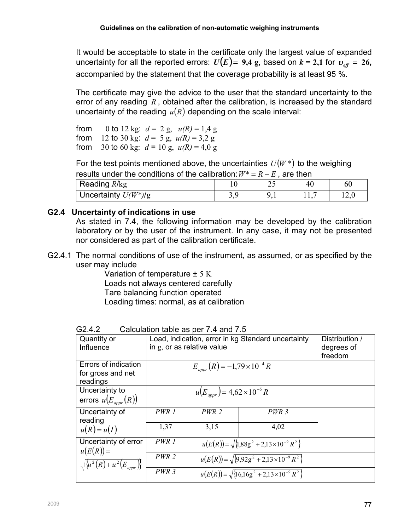It would be acceptable to state in the certificate only the largest value of expanded uncertainty for all the reported errors:  $U(E) = 9.4$  g, based on  $k = 2.1$  for  $v_{\text{eff}} = 26$ , accompanied by the statement that the coverage probability is at least 95 %.

The certificate may give the advice to the user that the standard uncertainty to the error of any reading  $R$ , obtained after the calibration, is increased by the standard uncertainty of the reading  $u(R)$  depending on the scale interval:

from 0 to 12 kg:  $d = 2$  g,  $u(R) = 1.4$  g from 12 to 30 kg:  $d = 5$  g,  $u(R) = 3.2$  g from 30 to 60 kg:  $d = 10$  g,  $u(R) = 4.0$  g

For the test points mentioned above, the uncertainties  $U(W^*)$  to the weighing results under the conditions of the calibration:  $W^* = R - E$  , are then

| Reading R/kg           |          | ∸~ | 60   |
|------------------------|----------|----|------|
| Uncertainty $U(W^*)/g$ | <u>.</u> |    | 14.U |

## G2.4 Uncertainty of indications in use

As stated in 7.4, the following information may be developed by the calibration laboratory or by the user of the instrument. In any case, it may not be presented nor considered as part of the calibration certificate.

G2.4.1 The normal conditions of use of the instrument, as assumed, or as specified by the user may include

Variation of temperature ± 5 K Loads not always centered carefully Tare balancing function operated Loading times: normal, as at calibration

| Quantity or<br>Influence                              | Load, indication, error in kg Standard uncertainty<br>in g, or as relative value | Distribution /<br>degrees of<br>freedom                  |                                                          |  |
|-------------------------------------------------------|----------------------------------------------------------------------------------|----------------------------------------------------------|----------------------------------------------------------|--|
| Errors of indication<br>for gross and net<br>readings |                                                                                  |                                                          |                                                          |  |
| Uncertainty to<br>errors $u(E_{appr}(R))$             |                                                                                  |                                                          |                                                          |  |
| Uncertainty of<br>reading                             | PWR 1                                                                            | $PWR$ 2                                                  | PWR <sub>3</sub>                                         |  |
| $u(R) = u(I)$                                         | 1,37                                                                             | 3,15                                                     | 4,02                                                     |  |
| Uncertainty of error<br>$u(E(R))=$                    | PWR 1                                                                            |                                                          | $u(E(R)) = \sqrt{\{1,88g^2 + 2,13 \times 10^{-9} R^2\}}$ |  |
| $\sqrt{\{u^2(R)+u^2(E_{appr})\}}$                     | PWR 2                                                                            | $u(E(R)) = \sqrt{\{9.92g^2 + 2.13 \times 10^{-9} R^2\}}$ |                                                          |  |
|                                                       | PWR <sub>3</sub>                                                                 | $u(E(R)) = \sqrt{\{16,16g^2 + 2,13\times10^{-9} R^2\}}$  |                                                          |  |

G2.4.2 Calculation table as per 7.4 and 7.5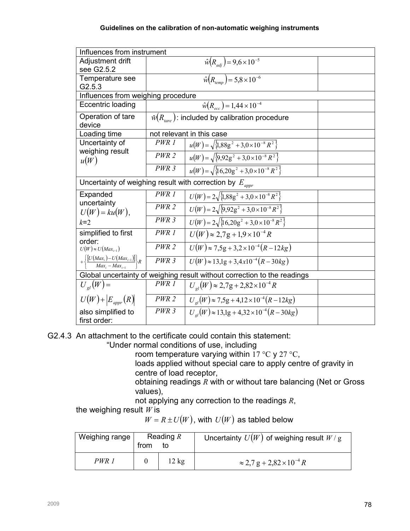| Influences from instrument                                                    |                  |                                                                 |  |  |  |  |
|-------------------------------------------------------------------------------|------------------|-----------------------------------------------------------------|--|--|--|--|
| Adjustment drift<br>see G2.5.2                                                |                  | $\hat{w}(R_{adi}) = 9.6 \times 10^{-5}$                         |  |  |  |  |
| Temperature see                                                               |                  | $\hat{w}(R_{\text{conn}}) = 5.8 \times 10^{-6}$                 |  |  |  |  |
| G2.5.3                                                                        |                  |                                                                 |  |  |  |  |
| Influences from weighing procedure                                            |                  |                                                                 |  |  |  |  |
| Eccentric loading                                                             |                  | $\hat{w}(R_{\infty}) = 1.44 \times 10^{-4}$                     |  |  |  |  |
| Operation of tare<br>device                                                   |                  | $\hat{w}(R_{tare})$ : included by calibration procedure         |  |  |  |  |
| Loading time                                                                  |                  | not relevant in this case                                       |  |  |  |  |
| Uncertainty of                                                                | PWR 1            | $u(W) = \sqrt{\frac{1}{3}88g^2 + 3.0 \times 10^{-8} R^2}$       |  |  |  |  |
| weighing result<br>u(W)                                                       | $PWR$ 2          | $u(W) = \sqrt{\left\{9.92g^2 + 3.0 \times 10^{-8} R^2\right\}}$ |  |  |  |  |
|                                                                               | PWR <sub>3</sub> | $u(W) = \sqrt{\frac{1}{16,20g^2 + 3,0 \times 10^{-8} R^2}}$     |  |  |  |  |
| Uncertainty of weighing result with correction by $E_{appr}$                  |                  |                                                                 |  |  |  |  |
| Expanded                                                                      | PWR 1            | $U(W) = 2\sqrt{1.88g^2 + 3.0 \times 10^{-8} R^2}$               |  |  |  |  |
| uncertainty<br>$U(W) = ku(W),$                                                | PWR <sub>2</sub> | $U(W) = 2\sqrt{9.92g^2 + 3.0 \times 10^{-8} R^2}$               |  |  |  |  |
| $k=2$                                                                         | $PWR$ 3          | $U(W) = 2\sqrt{16,20g^2 + 3,0 \times 10^{-8} R^2}$              |  |  |  |  |
| simplified to first<br>order:                                                 | PWR 1            | $U(W) \approx 2.7g + 1.9 \times 10^{-4} R$                      |  |  |  |  |
| $U(W) \approx U(Max_{i-1})$                                                   | $PWR$ 2          | $U(W) \approx 7.5g + 3.2 \times 10^{-4} (R - 12kg)$             |  |  |  |  |
| $+\left\{\frac{\left[U(Max_i)-U(Max_{i-1})\right]}{Max_i-Max_{i-1}}\right\}R$ | PWR <sub>3</sub> | $U(W) \approx 13.1g + 3.4x10^{-4}(R - 30kg)$                    |  |  |  |  |
| Global uncertainty of weighing result without correction to the readings      |                  |                                                                 |  |  |  |  |
| $U_{ol}(W)$ =                                                                 | PWR 1            | $U_{el}(W) \approx 2.7g + 2.82 \times 10^{-4} R$                |  |  |  |  |
| $U(W) + E_{appr}(R)$                                                          | $PWR$ 2          | $U_{el}(W) \approx 7.5g + 4.12 \times 10^{-4} (R - 12kg)$       |  |  |  |  |
| also simplified to                                                            | PWR <sub>3</sub> | $U_{el}(W) \approx 13.1g + 4.32 \times 10^{-4} (R - 30kg)$      |  |  |  |  |
| first order:                                                                  |                  |                                                                 |  |  |  |  |

G2.4.3 An attachment to the certificate could contain this statement:

"Under normal conditions of use, including

room temperature varying within  $17 \text{ °C}$  y  $27 \text{ °C}$ ,

loads applied without special care to apply centre of gravity in centre of load receptor,

obtaining readings  $R$  with or without tare balancing (Net or Gross values),

not applying any correction to the readings  $R$ ,

the weighing result  $W$  is

 $W = R \pm U(W)$ , with  $U(W)$  as tabled below

| Weighing range | Reading $R$<br>from |                 | Uncertainty $U(W)$ of weighing result $W/g$        |
|----------------|---------------------|-----------------|----------------------------------------------------|
| PWR 1          |                     | $12 \text{ kg}$ | $\approx$ 2,7 g + 2,82 $\times$ 10 <sup>-4</sup> R |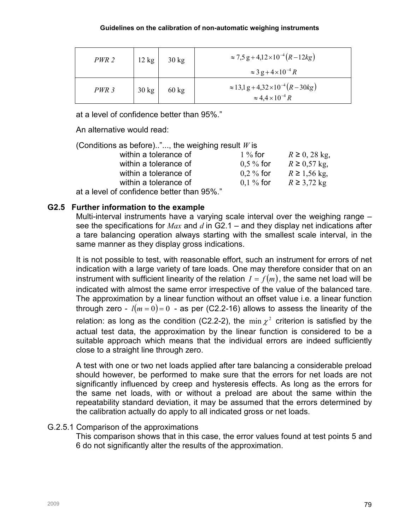| PWR 2            | 12 kg           | $30 \text{ kg}$ | $\approx$ 7,5 g + 4,12 × 10 <sup>-4</sup> (R - 12kg)<br>$\approx 3 g + 4 \times 10^{-4} R$ |
|------------------|-----------------|-----------------|--------------------------------------------------------------------------------------------|
| PWR <sub>3</sub> | $30 \text{ kg}$ | $60 \text{ kg}$ | $\approx$ 13,1 g + 4,32 × 10 <sup>-4</sup> (R – 30kg)<br>$\approx 4.4 \times 10^{-4} R$    |

at a level of confidence better than 95%."

An alternative would read:

| (Conditions as before)", the weighing result $W$ is |              |                     |
|-----------------------------------------------------|--------------|---------------------|
| within a tolerance of                               | $1\%$ for    | $R \geq 0$ , 28 kg, |
| within a tolerance of                               | $0.5 \%$ for | $R \ge 0.57$ kg,    |
| within a tolerance of                               | $0.2 \%$ for | $R \ge 1,56$ kg,    |
| within a tolerance of                               | $0,1%$ for   | $R \geq 3.72$ kg    |
| $\lambda$ a laid af aanfidenaa hattanthan OEO/ "    |              |                     |

at a level of confidence better than 95%."

## G2.5 Further information to the example

Multi-interval instruments have a varying scale interval over the weighing range – see the specifications for Max and d in G2.1 – and they display net indications after a tare balancing operation always starting with the smallest scale interval, in the same manner as they display gross indications.

It is not possible to test, with reasonable effort, such an instrument for errors of net indication with a large variety of tare loads. One may therefore consider that on an instrument with sufficient linearity of the relation  $I = f(m)$ , the same net load will be indicated with almost the same error irrespective of the value of the balanced tare. The approximation by a linear function without an offset value i.e. a linear function through zero -  $l(m = 0) = 0$  - as per (C2.2-16) allows to assess the linearity of the relation: as long as the condition (C2.2-2), the  $\min \chi^2$  criterion is satisfied by the actual test data, the approximation by the linear function is considered to be a suitable approach which means that the individual errors are indeed sufficiently close to a straight line through zero.

A test with one or two net loads applied after tare balancing a considerable preload should however, be performed to make sure that the errors for net loads are not significantly influenced by creep and hysteresis effects. As long as the errors for the same net loads, with or without a preload are about the same within the repeatability standard deviation, it may be assumed that the errors determined by the calibration actually do apply to all indicated gross or net loads.

## G.2.5.1 Comparison of the approximations

This comparison shows that in this case, the error values found at test points 5 and 6 do not significantly alter the results of the approximation.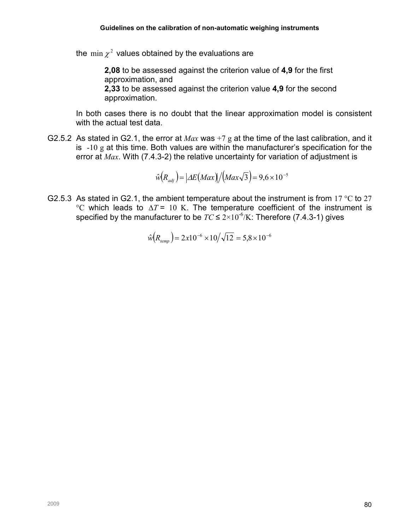the min  $\chi^2$  values obtained by the evaluations are

2,08 to be assessed against the criterion value of 4,9 for the first approximation, and 2,33 to be assessed against the criterion value 4,9 for the second approximation.

In both cases there is no doubt that the linear approximation model is consistent with the actual test data.

G2.5.2 As stated in G2.1, the error at  $Max$  was +7 g at the time of the last calibration, and it is  $-10$  g at this time. Both values are within the manufacturer's specification for the error at Max. With (7.4.3-2) the relative uncertainty for variation of adjustment is

$$
\hat{w}(R_{\text{adj}}) = |\Delta E(\text{Max})|/(\text{Max}\sqrt{3}) = 9.6 \times 10^{-5}
$$

G2.5.3 As stated in G2.1, the ambient temperature about the instrument is from 17 °C to 27 °C which leads to  $\Delta T = 10$  K. The temperature coefficient of the instrument is specified by the manufacturer to be  $TC \leq 2 \times 10^{-6}/K$ : Therefore (7.4.3-1) gives

$$
\hat{w}(R_{temp}) = 2x10^{-6} \times 10/\sqrt{12} = 5.8 \times 10^{-6}
$$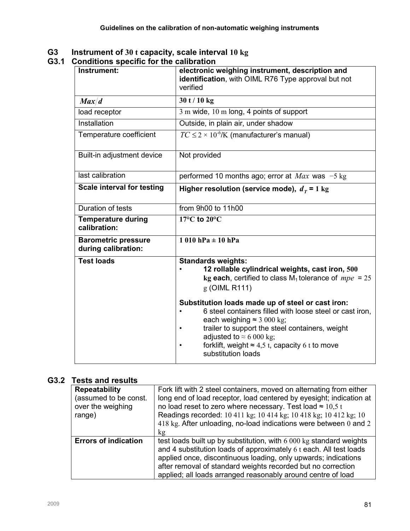#### G3 Instrument of 30 t capacity, scale interval  $10 \text{ kg}$

#### G3.1 Conditions specific for the calibration

| onannons specing for the calloration              |                                                                                                                                                                                                                                                                                                                                      |
|---------------------------------------------------|--------------------------------------------------------------------------------------------------------------------------------------------------------------------------------------------------------------------------------------------------------------------------------------------------------------------------------------|
| Instrument:                                       | electronic weighing instrument, description and<br>identification, with OIML R76 Type approval but not<br>verified                                                                                                                                                                                                                   |
| Max/d                                             | 30 t / 10 kg                                                                                                                                                                                                                                                                                                                         |
| load receptor                                     | 3 m wide, 10 m long, 4 points of support                                                                                                                                                                                                                                                                                             |
| Installation                                      | Outside, in plain air, under shadow                                                                                                                                                                                                                                                                                                  |
| Temperature coefficient                           | $TC \leq 2 \times 10^{-6}$ /K (manufacturer's manual)                                                                                                                                                                                                                                                                                |
| Built-in adjustment device                        | Not provided                                                                                                                                                                                                                                                                                                                         |
| last calibration                                  | performed 10 months ago; error at $Max$ was $-5$ kg                                                                                                                                                                                                                                                                                  |
| <b>Scale interval for testing</b>                 | Higher resolution (service mode), $dT = 1$ kg                                                                                                                                                                                                                                                                                        |
| Duration of tests                                 | from 9h00 to 11h00                                                                                                                                                                                                                                                                                                                   |
| <b>Temperature during</b><br>calibration:         | $17^{\circ}$ C to $20^{\circ}$ C                                                                                                                                                                                                                                                                                                     |
| <b>Barometric pressure</b><br>during calibration: | $1010$ hPa $\pm 10$ hPa                                                                                                                                                                                                                                                                                                              |
| <b>Test loads</b>                                 | <b>Standards weights:</b><br>12 rollable cylindrical weights, cast iron, 500<br>kg each, certified to class $M_1$ tolerance of $mpe = 25$<br>g (OIML R111)                                                                                                                                                                           |
|                                                   | Substitution loads made up of steel or cast iron:<br>6 steel containers filled with loose steel or cast iron,<br>each weighing $\approx$ 3 000 kg;<br>trailer to support the steel containers, weight<br>adjusted to $\approx 6000$ kg;<br>forklift, weight $\approx 4.5$ t, capacity 6 t to move<br>$\bullet$<br>substitution loads |

# G3.2 Tests and results

| <b>Repeatability</b><br>(assumed to be const.<br>over the weighing<br>range) | Fork lift with 2 steel containers, moved on alternating from either<br>long end of load receptor, load centered by eyesight; indication at<br>no load reset to zero where necessary. Test load $\approx$ 10,5 t<br>Readings recorded: 10 411 kg; 10 414 kg; 10 418 kg; 10 412 kg; 10<br>418 kg. After unloading, no-load indications were between 0 and 2<br>kg |
|------------------------------------------------------------------------------|-----------------------------------------------------------------------------------------------------------------------------------------------------------------------------------------------------------------------------------------------------------------------------------------------------------------------------------------------------------------|
| <b>Errors of indication</b>                                                  | test loads built up by substitution, with 6 000 kg standard weights<br>and 4 substitution loads of approximately 6 t each. All test loads<br>applied once, discontinuous loading, only upwards; indications<br>after removal of standard weights recorded but no correction<br>applied; all loads arranged reasonably around centre of load                     |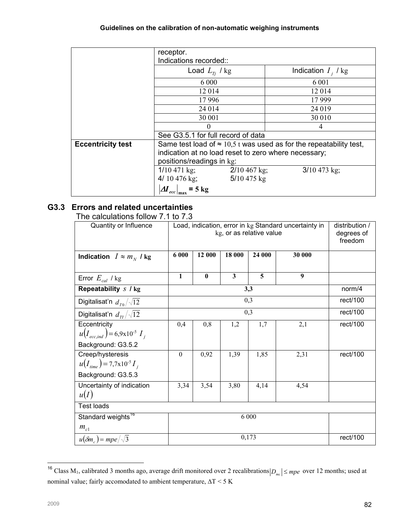|                          | receptor.<br>Indications recorded::                  |                                                                            |  |  |
|--------------------------|------------------------------------------------------|----------------------------------------------------------------------------|--|--|
|                          | Load $L_{T_i}$ / kg                                  | Indication $I_i$ / kg                                                      |  |  |
|                          | 6 0 0 0                                              | 6 0 0 1                                                                    |  |  |
|                          | 12014                                                | 12 014                                                                     |  |  |
|                          | 17996                                                | 17 9 99                                                                    |  |  |
|                          | 24 014                                               | 24 019                                                                     |  |  |
|                          | 30 001                                               | 30 010                                                                     |  |  |
|                          | $\theta$                                             | 4                                                                          |  |  |
|                          | See G3.5.1 for full record of data                   |                                                                            |  |  |
| <b>Eccentricity test</b> |                                                      | Same test load of $\approx$ 10,5 t was used as for the repeatability test, |  |  |
|                          | indication at no load reset to zero where necessary; |                                                                            |  |  |
|                          | positions/readings in kg:                            |                                                                            |  |  |
|                          | $1/10$ 471 kg;<br>$2/10$ 467 kg;                     | $3/10$ 473 kg;                                                             |  |  |
|                          | 4/ 10 476 kg;<br>5/10 475 kg                         |                                                                            |  |  |
|                          | $\Delta I_{\text{ecc}} _{\text{max}}$ = 5 kg         |                                                                            |  |  |

## G3.3 Errors and related uncertainties

The calculations follow 7.1 to 7.3

| Quantity or Influence                       |              | Load, indication, error in kg Standard uncertainty in<br>kg, or as relative value |                         |        |                  |          |  |
|---------------------------------------------|--------------|-----------------------------------------------------------------------------------|-------------------------|--------|------------------|----------|--|
| Indication $I \approx m_N I$ kg             | 6 000        | 12 000                                                                            | 18 000                  | 24 000 | 30 000           |          |  |
| Error $E_{cal}$ / kg                        | $\mathbf{1}$ | $\mathbf{0}$                                                                      | $\overline{\mathbf{3}}$ | 5      | $\boldsymbol{9}$ |          |  |
| Repeatability s / kg                        |              |                                                                                   |                         | 3,3    |                  | norm/4   |  |
| Digitalisat'n $d_{T0}/\sqrt{12}$            |              |                                                                                   |                         | 0,3    |                  | rect/100 |  |
| Digitalisat'n $d_{\tau} / \sqrt{12}$        |              |                                                                                   |                         | 0,3    |                  | rect/100 |  |
| Eccentricity                                | 0,4          | 0,8                                                                               | 1,2                     | 1,7    | 2,1              | rect/100 |  |
| $u(I_{ecc~ind}) = 6.9 \times 10^{-5} I_{i}$ |              |                                                                                   |                         |        |                  |          |  |
| Background: G3.5.2                          |              |                                                                                   |                         |        |                  |          |  |
| Creep/hysteresis                            | $\theta$     | 0,92                                                                              | 1,39                    | 1,85   | 2,31             | rect/100 |  |
| $u(I_{time}) = 7{,}7x10^{-5}I_{i}$          |              |                                                                                   |                         |        |                  |          |  |
| Background: G3.5.3                          |              |                                                                                   |                         |        |                  |          |  |
| Uncertainty of indication                   | 3,34         | 3,54                                                                              | 3,80                    | 4,14   | 4,54             |          |  |
| u(I)                                        |              |                                                                                   |                         |        |                  |          |  |
| <b>Test loads</b>                           |              |                                                                                   |                         |        |                  |          |  |
| Standard weights <sup>16</sup>              | 6 000        |                                                                                   |                         |        |                  |          |  |
| $m_{c1}$                                    |              |                                                                                   |                         |        |                  |          |  |
| $u(\delta m_c) = mpe/\sqrt{3}$              |              |                                                                                   |                         | 0,173  |                  | rect/100 |  |

l <sup>16</sup> Class M<sub>1</sub>, calibrated 3 months ago, average drift monitored over 2 recalibrations  $|D_{mc}| \leq mpe$  over 12 months; used at nominal value; fairly accomodated to ambient temperature, ∆T < 5 K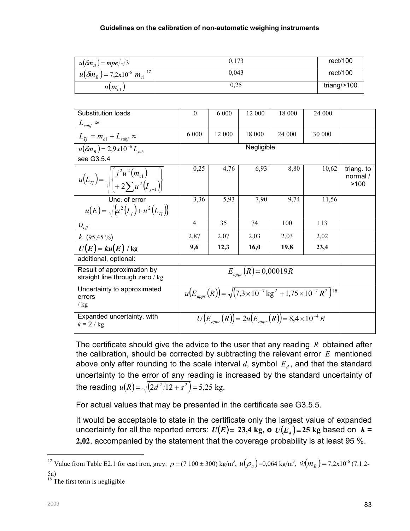| $u(\delta m_{\rm n}) = mpe/\sqrt{3}$              | 0,173 | rect/100       |
|---------------------------------------------------|-------|----------------|
| $u(\delta m_B) = 7.2 \times 10^{-6} m_{c1}^{-17}$ | 0.043 | rect/100       |
| $u(m_{c1})$                                       | 0.25  | triang/ $>100$ |

| Substitution loads                                                                           | $\mathbf{0}$                                                                                | 6 0 0 0 | 12 000     | 18 000                                                                | 24 000 |                                |
|----------------------------------------------------------------------------------------------|---------------------------------------------------------------------------------------------|---------|------------|-----------------------------------------------------------------------|--------|--------------------------------|
| $L_{subj} \approx$                                                                           |                                                                                             |         |            |                                                                       |        |                                |
| $L_{Ti} = m_{c1} + L_{subi} \approx$                                                         | 6 0 0 0                                                                                     | 12 000  | 18 000     | 24 000                                                                | 30 000 |                                |
| $u(\delta m_{R}) = 2.9x10^{-6} L_{sub}$                                                      |                                                                                             |         | Negligible |                                                                       |        |                                |
| see G3.5.4                                                                                   |                                                                                             |         |            |                                                                       |        |                                |
| $u(L_{Tj}) = \sqrt{\left  \frac{j^2 u^2(m_{c1})}{j^2 m_{c1}} \right  + 2 \sum u^2(I_{j-1})}$ | 0,25                                                                                        | 4,76    | 6,93       | 8,80                                                                  | 10,62  | triang. to<br>normal /<br>>100 |
| Unc. of error                                                                                | 3,36                                                                                        | 5,93    | 7,90       | 9,74                                                                  | 11,56  |                                |
| $u(E) = \sqrt{u^2(I_i) + u^2(L_i)}$                                                          |                                                                                             |         |            |                                                                       |        |                                |
| $U_{\text{eff}}$                                                                             | 4                                                                                           | 35      | 74         | 100                                                                   | 113    |                                |
| $k(95,45\%)$                                                                                 | 2,87                                                                                        | 2,07    | 2,03       | 2,03                                                                  | 2,02   |                                |
| $U(E) = ku(E) / kg$                                                                          | 9,6                                                                                         | 12,3    | 16,0       | 19,8                                                                  | 23,4   |                                |
| additional, optional:                                                                        |                                                                                             |         |            |                                                                       |        |                                |
| Result of approximation by<br>straight line through zero / kg                                | $E_{appr}(R) = 0,00019R$                                                                    |         |            |                                                                       |        |                                |
| Uncertainty to approximated<br>errors<br>/ $kg$                                              | $u(E_{appr}(R)) = \sqrt{(7.3 \times 10^{-7} \text{ kg}^2 + 1.75 \times 10^{-7} R^2})^{18}}$ |         |            |                                                                       |        |                                |
| Expanded uncertainty, with<br>$k = 2/kg$                                                     |                                                                                             |         |            | $U(E_{\text{app}}(R)) = 2u(E_{\text{app}}(R)) = 8.4 \times 10^{-4} R$ |        |                                |

The certificate should give the advice to the user that any reading  $R$  obtained after the calibration, should be corrected by subtracting the relevant error  $E$  mentioned above only after rounding to the scale interval  $d$ , symbol  $E_d$ , and that the standard uncertainty to the error of any reading is increased by the standard uncertainty of the reading  $u(R) = \sqrt{ (2d^2/12 + s^2 )} = 5,25$  kg.

For actual values that may be presented in the certificate see G3.5.5.

It would be acceptable to state in the certificate only the largest value of expanded uncertainty for all the reported errors:  $U(E)$ = 23,4 kg, o  $U(E_a)$ =25 kg based on  $k$  = 2,02, accompanied by the statement that the coverage probability is at least 95 %.

 $\overline{a}$ 

<sup>&</sup>lt;sup>17</sup> Value from Table E2.1 for cast iron, grey:  $\rho = (7 \ 100 \pm 300) \text{ kg/m}^3$ ,  $u(\rho_a) = 0.064 \text{ kg/m}^3$ ,  $\hat{w}(m_B) = 7.2 \times 10^{-6} (7.1.2 -$ 5a)

 $18$  The first term is negligible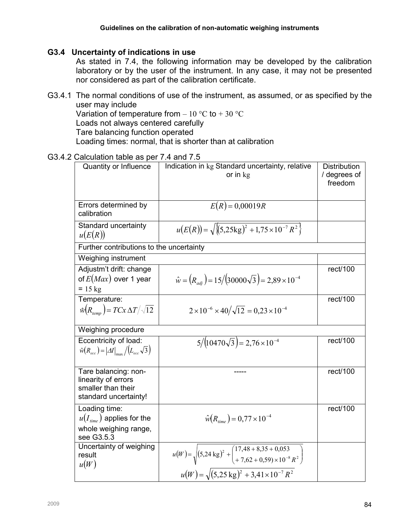#### G3.4 Uncertainty of indications in use

As stated in 7.4, the following information may be developed by the calibration laboratory or by the user of the instrument. In any case, it may not be presented nor considered as part of the calibration certificate.

- G3.4.1 The normal conditions of use of the instrument, as assumed, or as specified by the user may include Variation of temperature from  $-10\text{ °C}$  to  $+30\text{ °C}$ Loads not always centered carefully Tare balancing function operated Loading times: normal, that is shorter than at calibration
- G3.4.2 Calculation table as per 7.4 and 7.5

| Quantity or Influence                                                                      | Indication in kg Standard uncertainty, relative<br>or in $kg$                                                                                                                     | <b>Distribution</b><br>/ degrees of<br>freedom |
|--------------------------------------------------------------------------------------------|-----------------------------------------------------------------------------------------------------------------------------------------------------------------------------------|------------------------------------------------|
| Errors determined by<br>calibration                                                        | $E(R) = 0,00019R$                                                                                                                                                                 |                                                |
| Standard uncertainty<br>u(E(R))                                                            | $u(E(R)) = \sqrt{\{(5,25\text{kg})^2 + 1,75 \times 10^{-7} R^2\}}$                                                                                                                |                                                |
| Further contributions to the uncertainty                                                   |                                                                                                                                                                                   |                                                |
| Weighing instrument                                                                        |                                                                                                                                                                                   |                                                |
| Adjustm't drift: change<br>of $E(Max)$ over 1 year<br>$= 15$ kg                            | $\hat{w} = (R_{adi}) = 15/(30000\sqrt{3}) = 2{,}89 \times 10^{-4}$                                                                                                                | rect/100                                       |
| Temperature:<br>$\hat{w}(R_{t_{\text{temp}}}) = TCx \Delta T / \sqrt{12}$                  | $2 \times 10^{-6} \times 40/\sqrt{12} = 0.23 \times 10^{-4}$                                                                                                                      | rect/100                                       |
| Weighing procedure                                                                         |                                                                                                                                                                                   |                                                |
| Eccentricity of load:<br>$\hat{w}(R_{ecc}) =  \Delta I _{max}/(L_{ecc}\sqrt{3})$           | $5/(10470\sqrt{3}) = 2,76 \times 10^{-4}$                                                                                                                                         | rect/100                                       |
| Tare balancing: non-<br>linearity of errors<br>smaller than their<br>standard uncertainty! |                                                                                                                                                                                   | rect/100                                       |
| Loading time:<br>$u(I_{time})$ applies for the<br>whole weighing range,<br>see G3.5.3      | $\hat{w}(R_{time}) = 0.77 \times 10^{-4}$                                                                                                                                         | rect/100                                       |
| Uncertainty of weighing<br>result<br>u(W)                                                  | $u(W) = \sqrt{(5,24 \text{ kg})^2 + \left(\frac{17,48 + 8,35 + 0,053}{+7,62 + 0,59) \times 10^{-8} R^2}\right)}$<br>$u(W) = \sqrt{(5,25 \text{ kg})^2 + 3,41 \times 10^{-7} R^2}$ |                                                |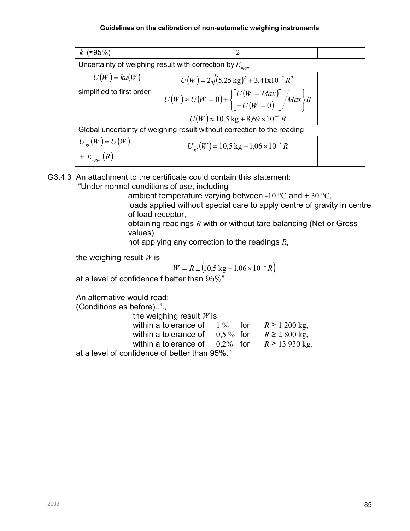| $k$ (≈95%)                                                            | 2                                                                                                                      |  |  |  |  |  |  |
|-----------------------------------------------------------------------|------------------------------------------------------------------------------------------------------------------------|--|--|--|--|--|--|
| Uncertainty of weighing result with correction by $E_{\textit{appr}}$ |                                                                                                                        |  |  |  |  |  |  |
| $U(W) = ku(W)$                                                        | $U(W) = 2\sqrt{(5,25 \text{ kg})^2 + 3,41 \text{x} 10^{-7} R^2}$                                                       |  |  |  |  |  |  |
| simplified to first order                                             | $U(W) \approx U(W = 0) + \left\{ \left[ \begin{array}{l} U(W = Max) \\ -U(W = 0) \end{array} \right] / Max \right\} R$ |  |  |  |  |  |  |
|                                                                       | $U(W) \approx 10.5$ kg + 8.69 × 10 <sup>-4</sup> R                                                                     |  |  |  |  |  |  |
|                                                                       | Global uncertainty of weighing result without correction to the reading                                                |  |  |  |  |  |  |
| $U_{el}(W) = U(W)$<br>$+E_{appr}(R)$                                  | $U_{ol}(W) = 10,5$ kg + 1,06 × 10 <sup>-3</sup> R                                                                      |  |  |  |  |  |  |

G3.4.3 An attachment to the certificate could contain this statement:

"Under normal conditions of use, including

ambient temperature varying between -10 °C and + 30 °C, loads applied without special care to apply centre of gravity in centre of load receptor,

obtaining readings R with or without tare balancing (Net or Gross values)

not applying any correction to the readings  $R$ ,

the weighing result  $W$  is

$$
W = R \pm (10.5 \text{ kg} + 1.06 \times 10^{-4} R)
$$

at a level of confidence f better than 95%"

An alternative would read:

(Conditions as before)..".,

| the weighing result $W$ is                           |  |  |
|------------------------------------------------------|--|--|
| within a tolerance of $1\%$ for $R \ge 1200$ kg,     |  |  |
| within a tolerance of $0.5\%$ for $R \ge 2.800$ kg,  |  |  |
| within a tolerance of $0.2\%$ for $R \ge 13.930$ kg, |  |  |
| at a level of confidence of better than 95%."        |  |  |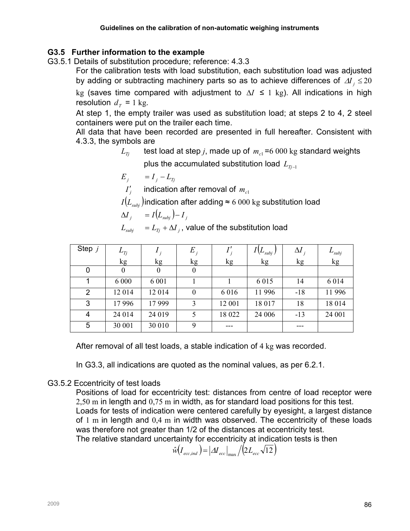## G3.5 Further information to the example

G3.5.1 Details of substitution procedure; reference: 4.3.3

For the calibration tests with load substitution, each substitution load was adjusted by adding or subtracting machinery parts so as to achieve differences of  $\Delta I_j \leq 20$ kg (saves time compared with adjustment to  $\Delta I$  ≤ 1 kg). All indications in high resolution  $d_T = 1$  kg.

At step 1, the empty trailer was used as substitution load; at steps 2 to 4, 2 steel containers were put on the trailer each time.

All data that have been recorded are presented in full hereafter. Consistent with 4.3.3, the symbols are

 $L_{\tau_i}$  test load at step j, made up of  $m_{c1} = 6000$  kg standard weights

plus the accumulated substitution load  $L_{T_{i-1}}$ 

$$
E_j = I_j - L_{Tj}
$$

 $I_j'$  indication after removal of  $m_{c1}$ 

 $I(L_{sub})$  indication after adding ≈ 6 000 kg substitution load

$$
\Delta I_j = I(L_{\text{subj}}) - I_j
$$

 $L_{\textit{subj}}$  =  $L_{\textit{Tj}}$  +  $\Delta{I}_{\textit{j}}$  , value of the substitution load

| Step $j$       | $L_{Tj}$         |                  | $E_{i}$          |         | $(L_{subj})$ | $\Delta l$ | $L_{subj}$ |
|----------------|------------------|------------------|------------------|---------|--------------|------------|------------|
|                | kg               | kg               | kg               | kg      | kg           | kg         | kg         |
| 0              | $\boldsymbol{0}$ | $\boldsymbol{0}$ | $\boldsymbol{0}$ |         |              |            |            |
|                | 6 0 0 0          | 6 0 0 1          |                  |         | 6 0 1 5      | 14         | 6 0 1 4    |
| $\overline{2}$ | 12014            | 12014            | $\boldsymbol{0}$ | 6 0 1 6 | 11 996       | $-18$      | 11 996     |
| 3              | 17996            | 17999            | 3                | 12 001  | 18 017       | 18         | 18 014     |
| 4              | 24 014           | 24 019           | 5                | 18 022  | 24 006       | $-13$      | 24 001     |
| 5              | 30 001           | 30 010           | 9                | ---     |              | ---        |            |

After removal of all test loads, a stable indication of 4 kg was recorded.

In G3.3, all indications are quoted as the nominal values, as per 6.2.1.

## G3.5.2 Eccentricity of test loads

Positions of load for eccentricity test: distances from centre of load receptor were 2,50 m in length and 0,75 m in width, as for standard load positions for this test. Loads for tests of indication were centered carefully by eyesight, a largest distance of 1 m in length and 0,4 m in width was observed. The eccentricity of these loads was therefore not greater than 1/2 of the distances at eccentricity test. The relative standard uncertainty for eccentricity at indication tests is then

$$
\hat{w}(I_{ecc,ind}) = | \Delta I_{ecc}|_{max} / (2L_{ecc} \sqrt{12})
$$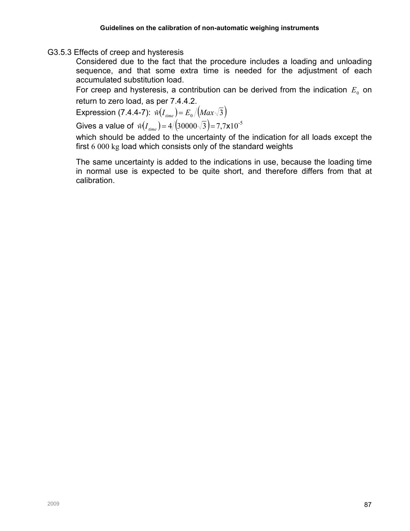#### G3.5.3 Effects of creep and hysteresis

Considered due to the fact that the procedure includes a loading and unloading sequence, and that some extra time is needed for the adjustment of each accumulated substitution load.

For creep and hysteresis, a contribution can be derived from the indication  $E_0$  on return to zero load, as per 7.4.4.2.

Expression (7.4.4-7):  $\hat{w}(I_{time}) = E_0 / (Max\sqrt{3})$ 

Gives a value of  $\hat{w}(I_{time}) = 4/(30000\sqrt{3}) = 7{,}7 \times 10^{-5}$ 

which should be added to the uncertainty of the indication for all loads except the first 6 000 kg load which consists only of the standard weights

The same uncertainty is added to the indications in use, because the loading time in normal use is expected to be quite short, and therefore differs from that at calibration.